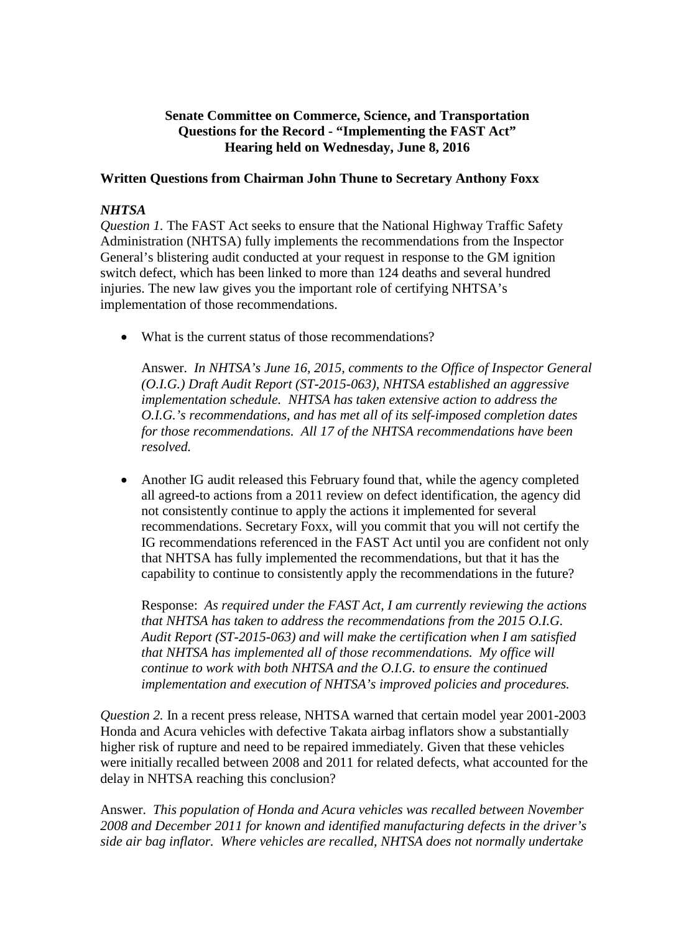# **Senate Committee on Commerce, Science, and Transportation Questions for the Record - "Implementing the FAST Act" Hearing held on Wednesday, June 8, 2016**

## **Written Questions from Chairman John Thune to Secretary Anthony Foxx**

## *NHTSA*

*Question 1.* The FAST Act seeks to ensure that the National Highway Traffic Safety Administration (NHTSA) fully implements the recommendations from the Inspector General's blistering audit conducted at your request in response to the GM ignition switch defect, which has been linked to more than 124 deaths and several hundred injuries. The new law gives you the important role of certifying NHTSA's implementation of those recommendations.

• What is the current status of those recommendations?

Answer. *In NHTSA's June 16, 2015, comments to the Office of Inspector General (O.I.G.) Draft Audit Report (ST-2015-063), NHTSA established an aggressive implementation schedule. NHTSA has taken extensive action to address the O.I.G.'s recommendations, and has met all of its self-imposed completion dates for those recommendations. All 17 of the NHTSA recommendations have been resolved.*

• Another IG audit released this February found that, while the agency completed all agreed-to actions from a 2011 review on defect identification, the agency did not consistently continue to apply the actions it implemented for several recommendations. Secretary Foxx, will you commit that you will not certify the IG recommendations referenced in the FAST Act until you are confident not only that NHTSA has fully implemented the recommendations, but that it has the capability to continue to consistently apply the recommendations in the future?

Response: *As required under the FAST Act, I am currently reviewing the actions that NHTSA has taken to address the recommendations from the 2015 O.I.G. Audit Report (ST-2015-063) and will make the certification when I am satisfied that NHTSA has implemented all of those recommendations. My office will continue to work with both NHTSA and the O.I.G. to ensure the continued implementation and execution of NHTSA's improved policies and procedures.* 

*Question 2.* In a recent press release, NHTSA warned that certain model year 2001-2003 Honda and Acura vehicles with defective Takata airbag inflators show a substantially higher risk of rupture and need to be repaired immediately. Given that these vehicles were initially recalled between 2008 and 2011 for related defects, what accounted for the delay in NHTSA reaching this conclusion?

Answer. *This population of Honda and Acura vehicles was recalled between November 2008 and December 2011 for known and identified manufacturing defects in the driver's side air bag inflator. Where vehicles are recalled, NHTSA does not normally undertake*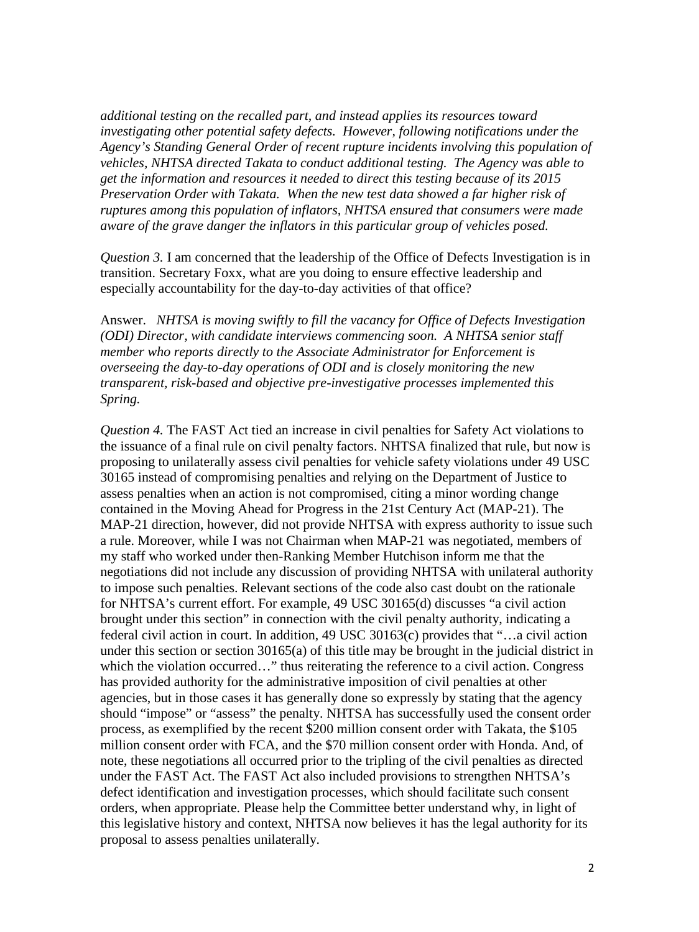*additional testing on the recalled part, and instead applies its resources toward investigating other potential safety defects. However, following notifications under the Agency's Standing General Order of recent rupture incidents involving this population of vehicles, NHTSA directed Takata to conduct additional testing. The Agency was able to get the information and resources it needed to direct this testing because of its 2015 Preservation Order with Takata. When the new test data showed a far higher risk of ruptures among this population of inflators, NHTSA ensured that consumers were made aware of the grave danger the inflators in this particular group of vehicles posed.*

*Question 3.* I am concerned that the leadership of the Office of Defects Investigation is in transition. Secretary Foxx, what are you doing to ensure effective leadership and especially accountability for the day-to-day activities of that office?

Answer. *NHTSA is moving swiftly to fill the vacancy for Office of Defects Investigation (ODI) Director, with candidate interviews commencing soon. A NHTSA senior staff member who reports directly to the Associate Administrator for Enforcement is overseeing the day-to-day operations of ODI and is closely monitoring the new transparent, risk-based and objective pre-investigative processes implemented this Spring.* 

*Question 4.* The FAST Act tied an increase in civil penalties for Safety Act violations to the issuance of a final rule on civil penalty factors. NHTSA finalized that rule, but now is proposing to unilaterally assess civil penalties for vehicle safety violations under 49 USC 30165 instead of compromising penalties and relying on the Department of Justice to assess penalties when an action is not compromised, citing a minor wording change contained in the Moving Ahead for Progress in the 21st Century Act (MAP-21). The MAP-21 direction, however, did not provide NHTSA with express authority to issue such a rule. Moreover, while I was not Chairman when MAP-21 was negotiated, members of my staff who worked under then-Ranking Member Hutchison inform me that the negotiations did not include any discussion of providing NHTSA with unilateral authority to impose such penalties. Relevant sections of the code also cast doubt on the rationale for NHTSA's current effort. For example, 49 USC 30165(d) discusses "a civil action brought under this section" in connection with the civil penalty authority, indicating a federal civil action in court. In addition, 49 USC 30163(c) provides that "…a civil action under this section or section 30165(a) of this title may be brought in the judicial district in which the violation occurred..." thus reiterating the reference to a civil action. Congress has provided authority for the administrative imposition of civil penalties at other agencies, but in those cases it has generally done so expressly by stating that the agency should "impose" or "assess" the penalty. NHTSA has successfully used the consent order process, as exemplified by the recent \$200 million consent order with Takata, the \$105 million consent order with FCA, and the \$70 million consent order with Honda. And, of note, these negotiations all occurred prior to the tripling of the civil penalties as directed under the FAST Act. The FAST Act also included provisions to strengthen NHTSA's defect identification and investigation processes, which should facilitate such consent orders, when appropriate. Please help the Committee better understand why, in light of this legislative history and context, NHTSA now believes it has the legal authority for its proposal to assess penalties unilaterally.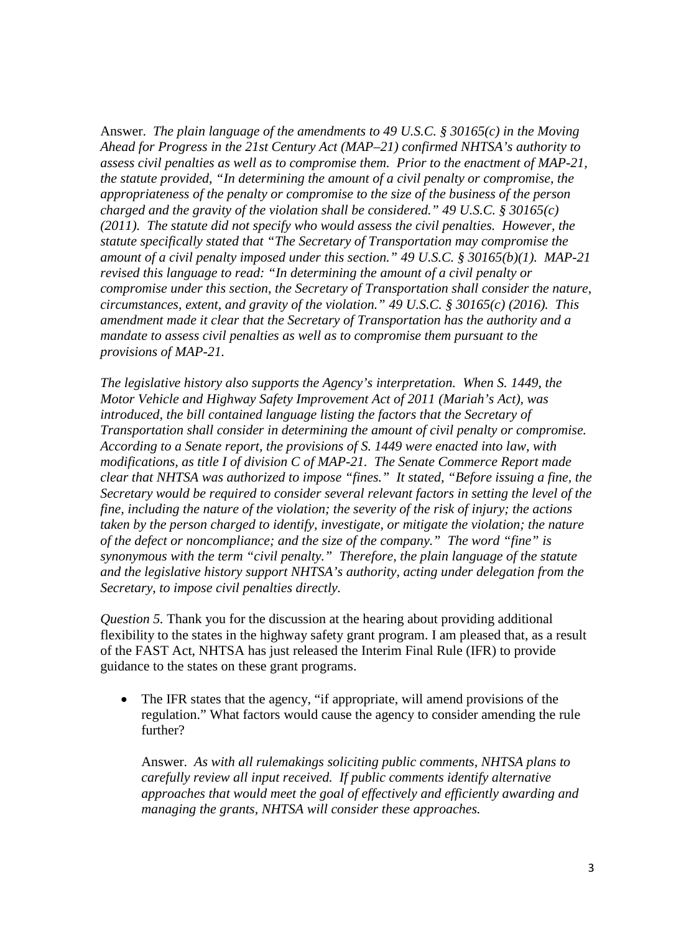Answer. *The plain language of the amendments to 49 U.S.C. § 30165(c) in the Moving Ahead for Progress in the 21st Century Act (MAP–21) confirmed NHTSA's authority to assess civil penalties as well as to compromise them. Prior to the enactment of MAP-21, the statute provided, "In determining the amount of a civil penalty or compromise, the appropriateness of the penalty or compromise to the size of the business of the person charged and the gravity of the violation shall be considered." 49 U.S.C. § 30165(c) (2011). The statute did not specify who would assess the civil penalties. However, the statute specifically stated that "The Secretary of Transportation may compromise the amount of a civil penalty imposed under this section." 49 U.S.C. § 30165(b)(1). MAP-21 revised this language to read: "In determining the amount of a civil penalty or compromise under this section, the Secretary of Transportation shall consider the nature, circumstances, extent, and gravity of the violation." 49 U.S.C. § 30165(c) (2016). This amendment made it clear that the Secretary of Transportation has the authority and a mandate to assess civil penalties as well as to compromise them pursuant to the provisions of MAP-21.* 

*The legislative history also supports the Agency's interpretation. When S. 1449, the Motor Vehicle and Highway Safety Improvement Act of 2011 (Mariah's Act), was introduced, the bill contained language listing the factors that the Secretary of Transportation shall consider in determining the amount of civil penalty or compromise. According to a Senate report, the provisions of S. 1449 were enacted into law, with modifications, as title I of division C of MAP-21. The Senate Commerce Report made clear that NHTSA was authorized to impose "fines." It stated, "Before issuing a fine, the Secretary would be required to consider several relevant factors in setting the level of the fine, including the nature of the violation; the severity of the risk of injury; the actions taken by the person charged to identify, investigate, or mitigate the violation; the nature of the defect or noncompliance; and the size of the company." The word "fine" is synonymous with the term "civil penalty." Therefore, the plain language of the statute and the legislative history support NHTSA's authority, acting under delegation from the Secretary, to impose civil penalties directly.*

*Question 5.* Thank you for the discussion at the hearing about providing additional flexibility to the states in the highway safety grant program. I am pleased that, as a result of the FAST Act, NHTSA has just released the Interim Final Rule (IFR) to provide guidance to the states on these grant programs.

• The IFR states that the agency, "if appropriate, will amend provisions of the regulation." What factors would cause the agency to consider amending the rule further?

Answer. *As with all rulemakings soliciting public comments, NHTSA plans to carefully review all input received. If public comments identify alternative approaches that would meet the goal of effectively and efficiently awarding and managing the grants, NHTSA will consider these approaches.*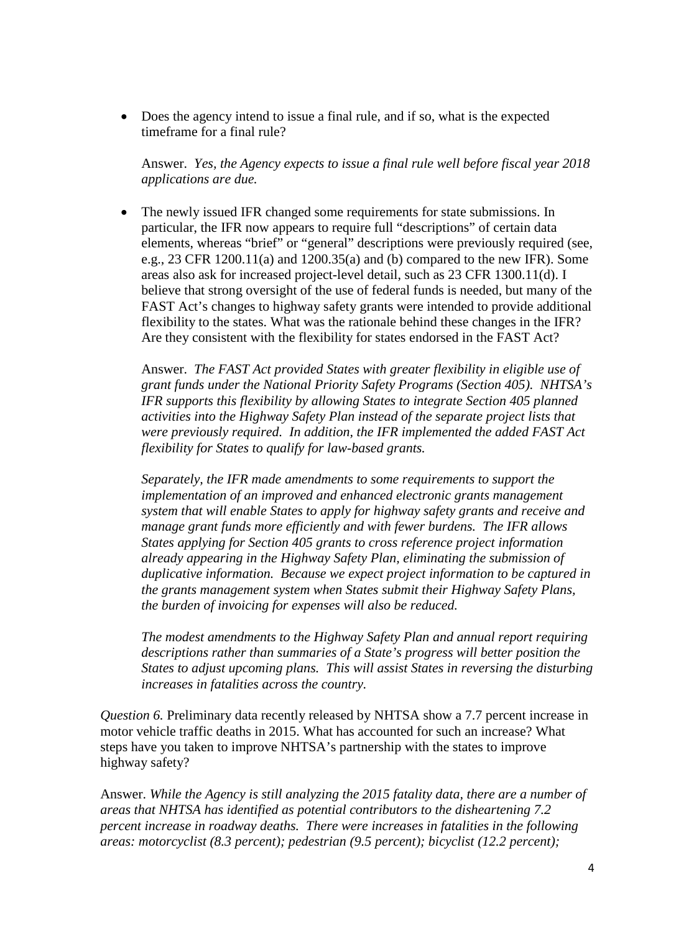• Does the agency intend to issue a final rule, and if so, what is the expected timeframe for a final rule?

Answer. *Yes, the Agency expects to issue a final rule well before fiscal year 2018 applications are due.*

• The newly issued IFR changed some requirements for state submissions. In particular, the IFR now appears to require full "descriptions" of certain data elements, whereas "brief" or "general" descriptions were previously required (see, e.g.,  $23$  CFR 1200.11(a) and 1200.35(a) and (b) compared to the new IFR). Some areas also ask for increased project-level detail, such as 23 CFR 1300.11(d). I believe that strong oversight of the use of federal funds is needed, but many of the FAST Act's changes to highway safety grants were intended to provide additional flexibility to the states. What was the rationale behind these changes in the IFR? Are they consistent with the flexibility for states endorsed in the FAST Act?

Answer. *The FAST Act provided States with greater flexibility in eligible use of grant funds under the National Priority Safety Programs (Section 405). NHTSA's IFR supports this flexibility by allowing States to integrate Section 405 planned activities into the Highway Safety Plan instead of the separate project lists that were previously required. In addition, the IFR implemented the added FAST Act flexibility for States to qualify for law-based grants.* 

*Separately, the IFR made amendments to some requirements to support the implementation of an improved and enhanced electronic grants management system that will enable States to apply for highway safety grants and receive and manage grant funds more efficiently and with fewer burdens. The IFR allows States applying for Section 405 grants to cross reference project information already appearing in the Highway Safety Plan, eliminating the submission of duplicative information. Because we expect project information to be captured in the grants management system when States submit their Highway Safety Plans, the burden of invoicing for expenses will also be reduced.* 

*The modest amendments to the Highway Safety Plan and annual report requiring descriptions rather than summaries of a State's progress will better position the States to adjust upcoming plans. This will assist States in reversing the disturbing increases in fatalities across the country.*

*Question 6.* Preliminary data recently released by NHTSA show a 7.7 percent increase in motor vehicle traffic deaths in 2015. What has accounted for such an increase? What steps have you taken to improve NHTSA's partnership with the states to improve highway safety?

Answer. *While the Agency is still analyzing the 2015 fatality data, there are a number of areas that NHTSA has identified as potential contributors to the disheartening 7.2 percent increase in roadway deaths. There were increases in fatalities in the following areas: motorcyclist (8.3 percent); pedestrian (9.5 percent); bicyclist (12.2 percent);*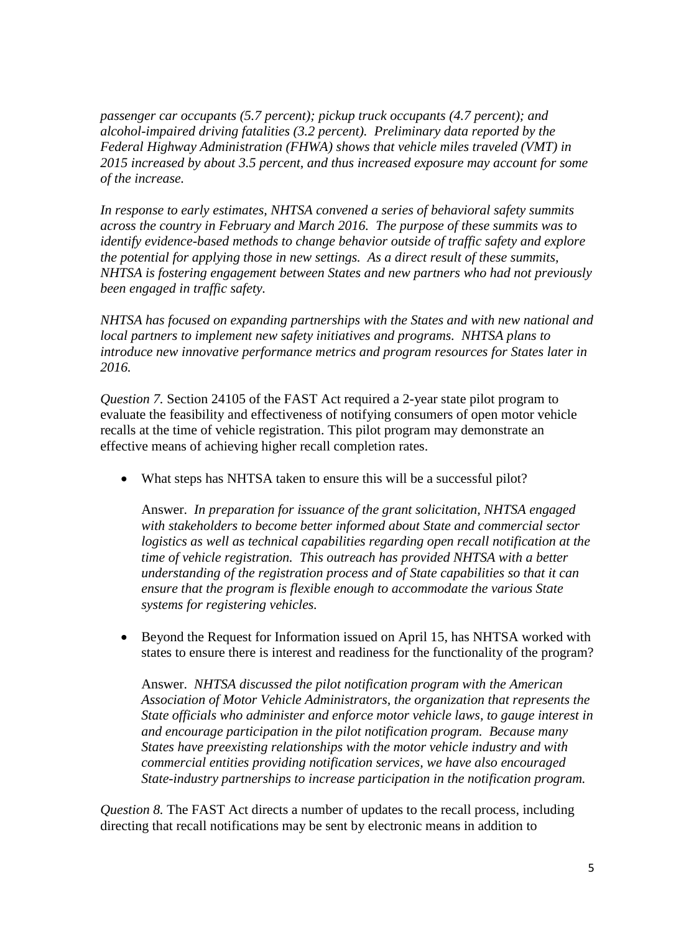*passenger car occupants (5.7 percent); pickup truck occupants (4.7 percent); and alcohol-impaired driving fatalities (3.2 percent). Preliminary data reported by the Federal Highway Administration (FHWA) shows that vehicle miles traveled (VMT) in 2015 increased by about 3.5 percent, and thus increased exposure may account for some of the increase.* 

*In response to early estimates, NHTSA convened a series of behavioral safety summits across the country in February and March 2016. The purpose of these summits was to identify evidence-based methods to change behavior outside of traffic safety and explore the potential for applying those in new settings. As a direct result of these summits, NHTSA is fostering engagement between States and new partners who had not previously been engaged in traffic safety.* 

*NHTSA has focused on expanding partnerships with the States and with new national and local partners to implement new safety initiatives and programs. NHTSA plans to introduce new innovative performance metrics and program resources for States later in 2016.*

*Question 7.* Section 24105 of the FAST Act required a 2-year state pilot program to evaluate the feasibility and effectiveness of notifying consumers of open motor vehicle recalls at the time of vehicle registration. This pilot program may demonstrate an effective means of achieving higher recall completion rates.

• What steps has NHTSA taken to ensure this will be a successful pilot?

Answer. *In preparation for issuance of the grant solicitation, NHTSA engaged with stakeholders to become better informed about State and commercial sector logistics as well as technical capabilities regarding open recall notification at the time of vehicle registration. This outreach has provided NHTSA with a better understanding of the registration process and of State capabilities so that it can ensure that the program is flexible enough to accommodate the various State systems for registering vehicles.* 

• Beyond the Request for Information issued on April 15, has NHTSA worked with states to ensure there is interest and readiness for the functionality of the program?

Answer. *NHTSA discussed the pilot notification program with the American Association of Motor Vehicle Administrators, the organization that represents the State officials who administer and enforce motor vehicle laws, to gauge interest in and encourage participation in the pilot notification program. Because many States have preexisting relationships with the motor vehicle industry and with commercial entities providing notification services, we have also encouraged State-industry partnerships to increase participation in the notification program.*

*Question 8.* The FAST Act directs a number of updates to the recall process, including directing that recall notifications may be sent by electronic means in addition to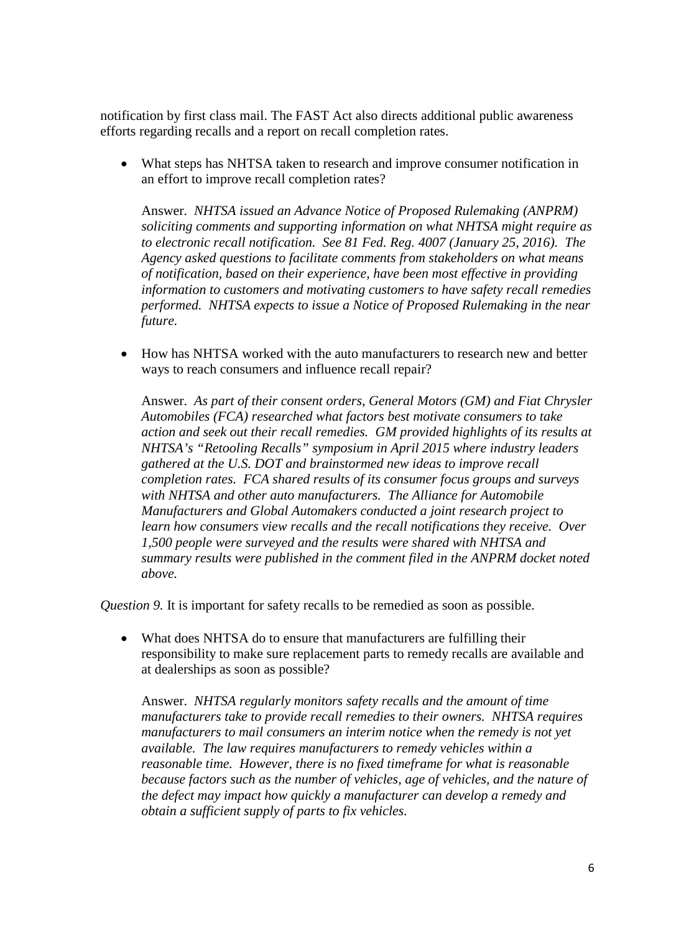notification by first class mail. The FAST Act also directs additional public awareness efforts regarding recalls and a report on recall completion rates.

• What steps has NHTSA taken to research and improve consumer notification in an effort to improve recall completion rates?

Answer. *NHTSA issued an Advance Notice of Proposed Rulemaking (ANPRM) soliciting comments and supporting information on what NHTSA might require as to electronic recall notification. See 81 Fed. Reg. 4007 (January 25, 2016). The Agency asked questions to facilitate comments from stakeholders on what means of notification, based on their experience, have been most effective in providing information to customers and motivating customers to have safety recall remedies performed. NHTSA expects to issue a Notice of Proposed Rulemaking in the near future.*

• How has NHTSA worked with the auto manufacturers to research new and better ways to reach consumers and influence recall repair?

Answer. *As part of their consent orders, General Motors (GM) and Fiat Chrysler Automobiles (FCA) researched what factors best motivate consumers to take action and seek out their recall remedies. GM provided highlights of its results at NHTSA's "Retooling Recalls" symposium in April 2015 where industry leaders gathered at the U.S. DOT and brainstormed new ideas to improve recall completion rates. FCA shared results of its consumer focus groups and surveys with NHTSA and other auto manufacturers. The Alliance for Automobile Manufacturers and Global Automakers conducted a joint research project to learn how consumers view recalls and the recall notifications they receive. Over 1,500 people were surveyed and the results were shared with NHTSA and summary results were published in the comment filed in the ANPRM docket noted above.*

*Question 9.* It is important for safety recalls to be remedied as soon as possible.

• What does NHTSA do to ensure that manufacturers are fulfilling their responsibility to make sure replacement parts to remedy recalls are available and at dealerships as soon as possible?

Answer. *NHTSA regularly monitors safety recalls and the amount of time manufacturers take to provide recall remedies to their owners. NHTSA requires manufacturers to mail consumers an interim notice when the remedy is not yet available. The law requires manufacturers to remedy vehicles within a reasonable time. However, there is no fixed timeframe for what is reasonable because factors such as the number of vehicles, age of vehicles, and the nature of the defect may impact how quickly a manufacturer can develop a remedy and obtain a sufficient supply of parts to fix vehicles.*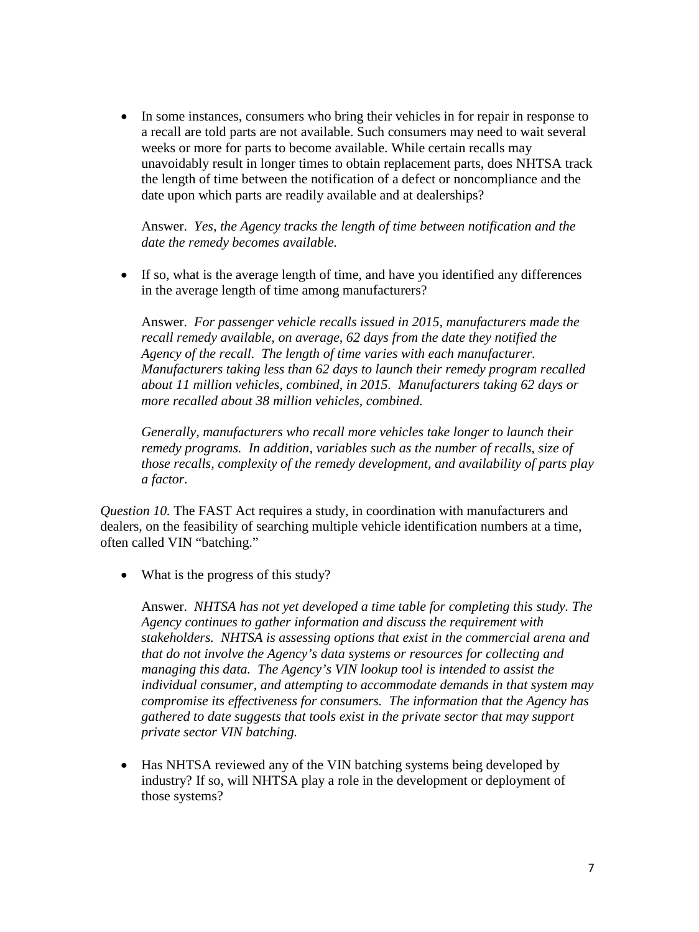• In some instances, consumers who bring their vehicles in for repair in response to a recall are told parts are not available. Such consumers may need to wait several weeks or more for parts to become available. While certain recalls may unavoidably result in longer times to obtain replacement parts, does NHTSA track the length of time between the notification of a defect or noncompliance and the date upon which parts are readily available and at dealerships?

Answer. *Yes, the Agency tracks the length of time between notification and the date the remedy becomes available.*

• If so, what is the average length of time, and have you identified any differences in the average length of time among manufacturers?

Answer. *For passenger vehicle recalls issued in 2015, manufacturers made the recall remedy available, on average, 62 days from the date they notified the Agency of the recall. The length of time varies with each manufacturer. Manufacturers taking less than 62 days to launch their remedy program recalled about 11 million vehicles, combined, in 2015. Manufacturers taking 62 days or more recalled about 38 million vehicles, combined.* 

*Generally, manufacturers who recall more vehicles take longer to launch their remedy programs. In addition, variables such as the number of recalls, size of those recalls, complexity of the remedy development, and availability of parts play a factor.*

*Question 10.* The FAST Act requires a study, in coordination with manufacturers and dealers, on the feasibility of searching multiple vehicle identification numbers at a time, often called VIN "batching."

• What is the progress of this study?

Answer. *NHTSA has not yet developed a time table for completing this study. The Agency continues to gather information and discuss the requirement with stakeholders. NHTSA is assessing options that exist in the commercial arena and that do not involve the Agency's data systems or resources for collecting and managing this data. The Agency's VIN lookup tool is intended to assist the individual consumer, and attempting to accommodate demands in that system may compromise its effectiveness for consumers. The information that the Agency has gathered to date suggests that tools exist in the private sector that may support private sector VIN batching.*

• Has NHTSA reviewed any of the VIN batching systems being developed by industry? If so, will NHTSA play a role in the development or deployment of those systems?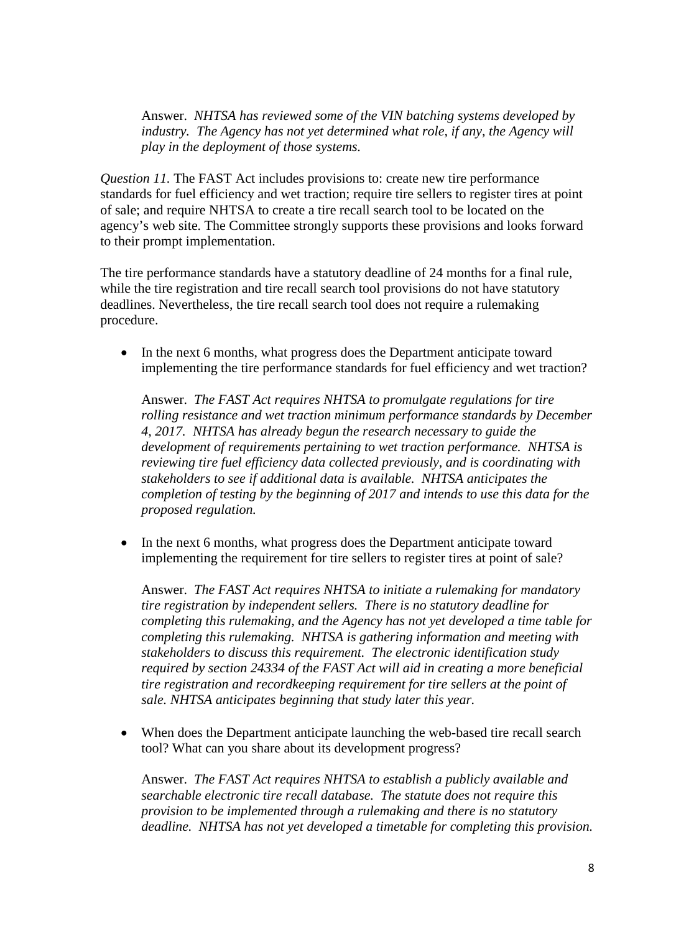Answer. *NHTSA has reviewed some of the VIN batching systems developed by industry. The Agency has not yet determined what role, if any, the Agency will play in the deployment of those systems.*

*Question 11.* The FAST Act includes provisions to: create new tire performance standards for fuel efficiency and wet traction; require tire sellers to register tires at point of sale; and require NHTSA to create a tire recall search tool to be located on the agency's web site. The Committee strongly supports these provisions and looks forward to their prompt implementation.

The tire performance standards have a statutory deadline of 24 months for a final rule, while the tire registration and tire recall search tool provisions do not have statutory deadlines. Nevertheless, the tire recall search tool does not require a rulemaking procedure.

• In the next 6 months, what progress does the Department anticipate toward implementing the tire performance standards for fuel efficiency and wet traction?

Answer. *The FAST Act requires NHTSA to promulgate regulations for tire rolling resistance and wet traction minimum performance standards by December 4, 2017. NHTSA has already begun the research necessary to guide the development of requirements pertaining to wet traction performance. NHTSA is reviewing tire fuel efficiency data collected previously, and is coordinating with stakeholders to see if additional data is available. NHTSA anticipates the completion of testing by the beginning of 2017 and intends to use this data for the proposed regulation.*

• In the next 6 months, what progress does the Department anticipate toward implementing the requirement for tire sellers to register tires at point of sale?

Answer. *The FAST Act requires NHTSA to initiate a rulemaking for mandatory tire registration by independent sellers. There is no statutory deadline for completing this rulemaking, and the Agency has not yet developed a time table for completing this rulemaking. NHTSA is gathering information and meeting with stakeholders to discuss this requirement. The electronic identification study required by section 24334 of the FAST Act will aid in creating a more beneficial tire registration and recordkeeping requirement for tire sellers at the point of sale. NHTSA anticipates beginning that study later this year.*

• When does the Department anticipate launching the web-based tire recall search tool? What can you share about its development progress?

Answer. *The FAST Act requires NHTSA to establish a publicly available and searchable electronic tire recall database. The statute does not require this provision to be implemented through a rulemaking and there is no statutory deadline. NHTSA has not yet developed a timetable for completing this provision.*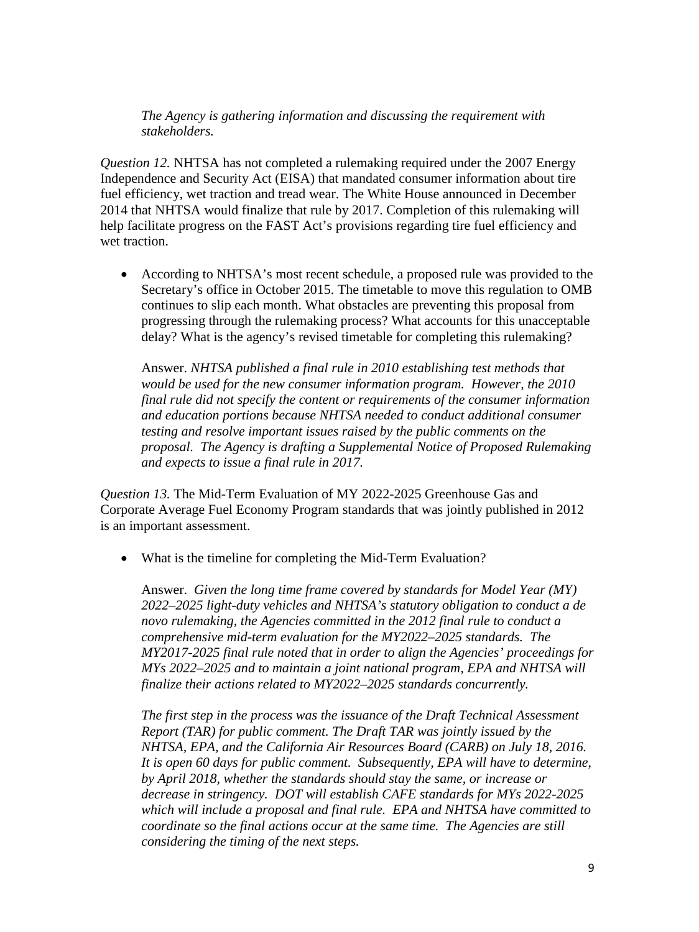*The Agency is gathering information and discussing the requirement with stakeholders.*

*Question 12.* NHTSA has not completed a rulemaking required under the 2007 Energy Independence and Security Act (EISA) that mandated consumer information about tire fuel efficiency, wet traction and tread wear. The White House announced in December 2014 that NHTSA would finalize that rule by 2017. Completion of this rulemaking will help facilitate progress on the FAST Act's provisions regarding tire fuel efficiency and wet traction.

• According to NHTSA's most recent schedule, a proposed rule was provided to the Secretary's office in October 2015. The timetable to move this regulation to OMB continues to slip each month. What obstacles are preventing this proposal from progressing through the rulemaking process? What accounts for this unacceptable delay? What is the agency's revised timetable for completing this rulemaking?

Answer. *NHTSA published a final rule in 2010 establishing test methods that would be used for the new consumer information program. However, the 2010 final rule did not specify the content or requirements of the consumer information and education portions because NHTSA needed to conduct additional consumer testing and resolve important issues raised by the public comments on the proposal. The Agency is drafting a Supplemental Notice of Proposed Rulemaking and expects to issue a final rule in 2017.*

*Question 13.* The Mid-Term Evaluation of MY 2022-2025 Greenhouse Gas and Corporate Average Fuel Economy Program standards that was jointly published in 2012 is an important assessment.

• What is the timeline for completing the Mid-Term Evaluation?

Answer. *Given the long time frame covered by standards for Model Year (MY) 2022–2025 light-duty vehicles and NHTSA's statutory obligation to conduct a de novo rulemaking, the Agencies committed in the 2012 final rule to conduct a comprehensive mid-term evaluation for the MY2022–2025 standards. The MY2017-2025 final rule noted that in order to align the Agencies' proceedings for MYs 2022–2025 and to maintain a joint national program, EPA and NHTSA will finalize their actions related to MY2022–2025 standards concurrently.* 

*The first step in the process was the issuance of the Draft Technical Assessment Report (TAR) for public comment. The Draft TAR was jointly issued by the NHTSA, EPA, and the California Air Resources Board (CARB) on July 18, 2016. It is open 60 days for public comment. Subsequently, EPA will have to determine, by April 2018, whether the standards should stay the same, or increase or decrease in stringency. DOT will establish CAFE standards for MYs 2022-2025 which will include a proposal and final rule. EPA and NHTSA have committed to coordinate so the final actions occur at the same time. The Agencies are still considering the timing of the next steps.*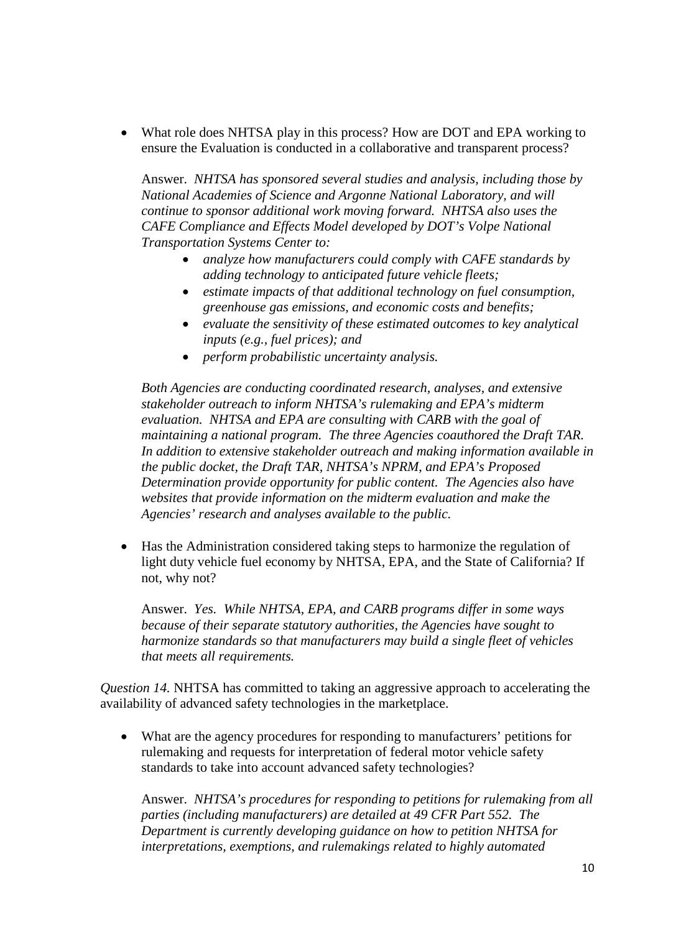• What role does NHTSA play in this process? How are DOT and EPA working to ensure the Evaluation is conducted in a collaborative and transparent process?

Answer. *NHTSA has sponsored several studies and analysis, including those by National Academies of Science and Argonne National Laboratory, and will continue to sponsor additional work moving forward. NHTSA also uses the CAFE Compliance and Effects Model developed by DOT's Volpe National Transportation Systems Center to:*

- *analyze how manufacturers could comply with CAFE standards by adding technology to anticipated future vehicle fleets;*
- *estimate impacts of that additional technology on fuel consumption, greenhouse gas emissions, and economic costs and benefits;*
- *evaluate the sensitivity of these estimated outcomes to key analytical inputs (e.g., fuel prices); and*
- *perform probabilistic uncertainty analysis.*

*Both Agencies are conducting coordinated research, analyses, and extensive stakeholder outreach to inform NHTSA's rulemaking and EPA's midterm evaluation. NHTSA and EPA are consulting with CARB with the goal of maintaining a national program. The three Agencies coauthored the Draft TAR. In addition to extensive stakeholder outreach and making information available in the public docket, the Draft TAR, NHTSA's NPRM, and EPA's Proposed Determination provide opportunity for public content. The Agencies also have websites that provide information on the midterm evaluation and make the Agencies' research and analyses available to the public.*

• Has the Administration considered taking steps to harmonize the regulation of light duty vehicle fuel economy by NHTSA, EPA, and the State of California? If not, why not?

Answer. *Yes. While NHTSA, EPA, and CARB programs differ in some ways because of their separate statutory authorities, the Agencies have sought to harmonize standards so that manufacturers may build a single fleet of vehicles that meets all requirements.* 

*Question 14.* NHTSA has committed to taking an aggressive approach to accelerating the availability of advanced safety technologies in the marketplace.

• What are the agency procedures for responding to manufacturers' petitions for rulemaking and requests for interpretation of federal motor vehicle safety standards to take into account advanced safety technologies?

Answer. *NHTSA's procedures for responding to petitions for rulemaking from all parties (including manufacturers) are detailed at 49 CFR Part 552. The Department is currently developing guidance on how to petition NHTSA for interpretations, exemptions, and rulemakings related to highly automated*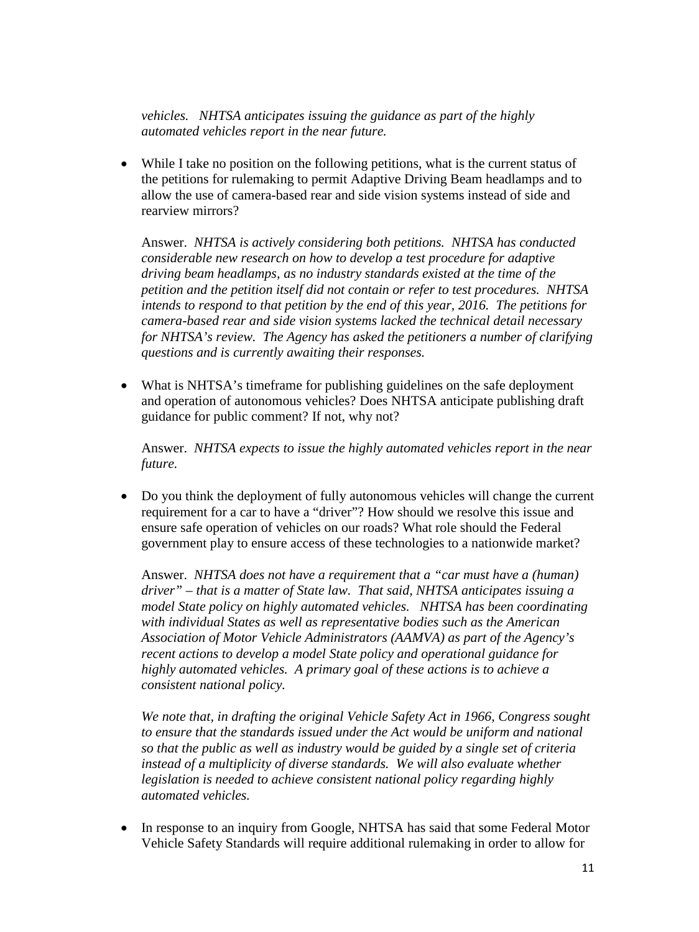*vehicles. NHTSA anticipates issuing the guidance as part of the highly automated vehicles report in the near future.* 

• While I take no position on the following petitions, what is the current status of the petitions for rulemaking to permit Adaptive Driving Beam headlamps and to allow the use of camera-based rear and side vision systems instead of side and rearview mirrors?

Answer. *NHTSA is actively considering both petitions. NHTSA has conducted considerable new research on how to develop a test procedure for adaptive driving beam headlamps, as no industry standards existed at the time of the petition and the petition itself did not contain or refer to test procedures. NHTSA intends to respond to that petition by the end of this year, 2016. The petitions for camera-based rear and side vision systems lacked the technical detail necessary for NHTSA's review. The Agency has asked the petitioners a number of clarifying questions and is currently awaiting their responses.*

• What is NHTSA's timeframe for publishing guidelines on the safe deployment and operation of autonomous vehicles? Does NHTSA anticipate publishing draft guidance for public comment? If not, why not?

Answer. *NHTSA expects to issue the highly automated vehicles report in the near future.* 

• Do you think the deployment of fully autonomous vehicles will change the current requirement for a car to have a "driver"? How should we resolve this issue and ensure safe operation of vehicles on our roads? What role should the Federal government play to ensure access of these technologies to a nationwide market?

Answer. *NHTSA does not have a requirement that a "car must have a (human) driver" – that is a matter of State law. That said, NHTSA anticipates issuing a model State policy on highly automated vehicles. NHTSA has been coordinating with individual States as well as representative bodies such as the American Association of Motor Vehicle Administrators (AAMVA) as part of the Agency's recent actions to develop a model State policy and operational guidance for highly automated vehicles. A primary goal of these actions is to achieve a consistent national policy.*

*We note that, in drafting the original Vehicle Safety Act in 1966, Congress sought to ensure that the standards issued under the Act would be uniform and national so that the public as well as industry would be guided by a single set of criteria instead of a multiplicity of diverse standards. We will also evaluate whether legislation is needed to achieve consistent national policy regarding highly automated vehicles.*

• In response to an inquiry from Google, NHTSA has said that some Federal Motor Vehicle Safety Standards will require additional rulemaking in order to allow for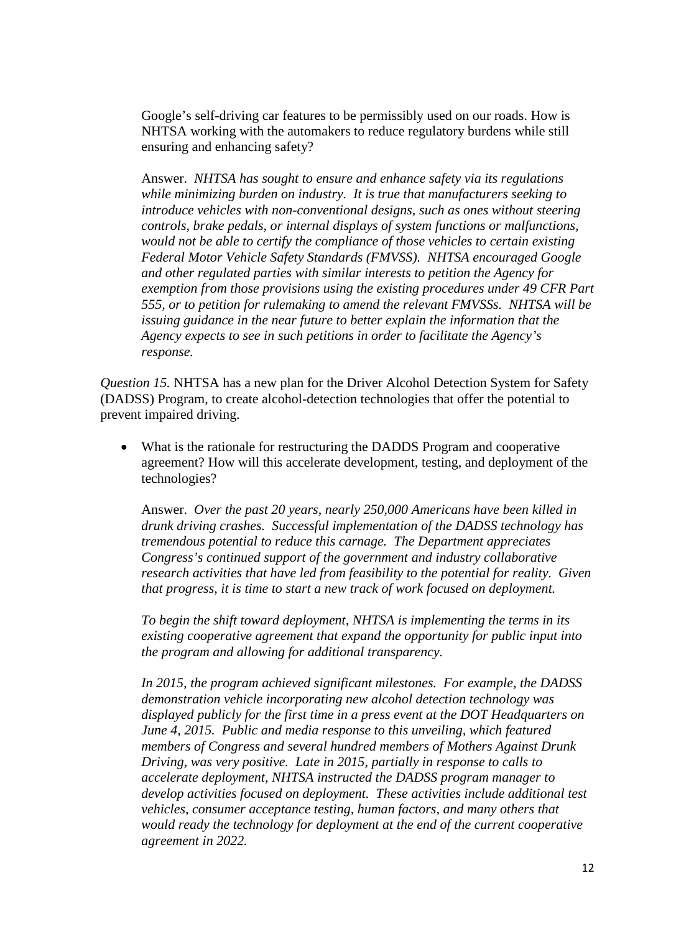Google's self-driving car features to be permissibly used on our roads. How is NHTSA working with the automakers to reduce regulatory burdens while still ensuring and enhancing safety?

Answer. *NHTSA has sought to ensure and enhance safety via its regulations while minimizing burden on industry. It is true that manufacturers seeking to introduce vehicles with non-conventional designs, such as ones without steering controls, brake pedals, or internal displays of system functions or malfunctions, would not be able to certify the compliance of those vehicles to certain existing Federal Motor Vehicle Safety Standards (FMVSS). NHTSA encouraged Google and other regulated parties with similar interests to petition the Agency for exemption from those provisions using the existing procedures under 49 CFR Part 555, or to petition for rulemaking to amend the relevant FMVSSs. NHTSA will be issuing guidance in the near future to better explain the information that the Agency expects to see in such petitions in order to facilitate the Agency's response.*

*Question 15.* NHTSA has a new plan for the Driver Alcohol Detection System for Safety (DADSS) Program, to create alcohol-detection technologies that offer the potential to prevent impaired driving.

• What is the rationale for restructuring the DADDS Program and cooperative agreement? How will this accelerate development, testing, and deployment of the technologies?

Answer. *Over the past 20 years, nearly 250,000 Americans have been killed in drunk driving crashes. Successful implementation of the DADSS technology has tremendous potential to reduce this carnage. The Department appreciates Congress's continued support of the government and industry collaborative research activities that have led from feasibility to the potential for reality. Given that progress, it is time to start a new track of work focused on deployment.* 

*To begin the shift toward deployment, NHTSA is implementing the terms in its existing cooperative agreement that expand the opportunity for public input into the program and allowing for additional transparency.*

*In 2015, the program achieved significant milestones. For example, the DADSS demonstration vehicle incorporating new alcohol detection technology was displayed publicly for the first time in a press event at the DOT Headquarters on June 4, 2015. Public and media response to this unveiling, which featured members of Congress and several hundred members of Mothers Against Drunk Driving, was very positive. Late in 2015, partially in response to calls to accelerate deployment, NHTSA instructed the DADSS program manager to develop activities focused on deployment. These activities include additional test vehicles, consumer acceptance testing, human factors, and many others that would ready the technology for deployment at the end of the current cooperative agreement in 2022.*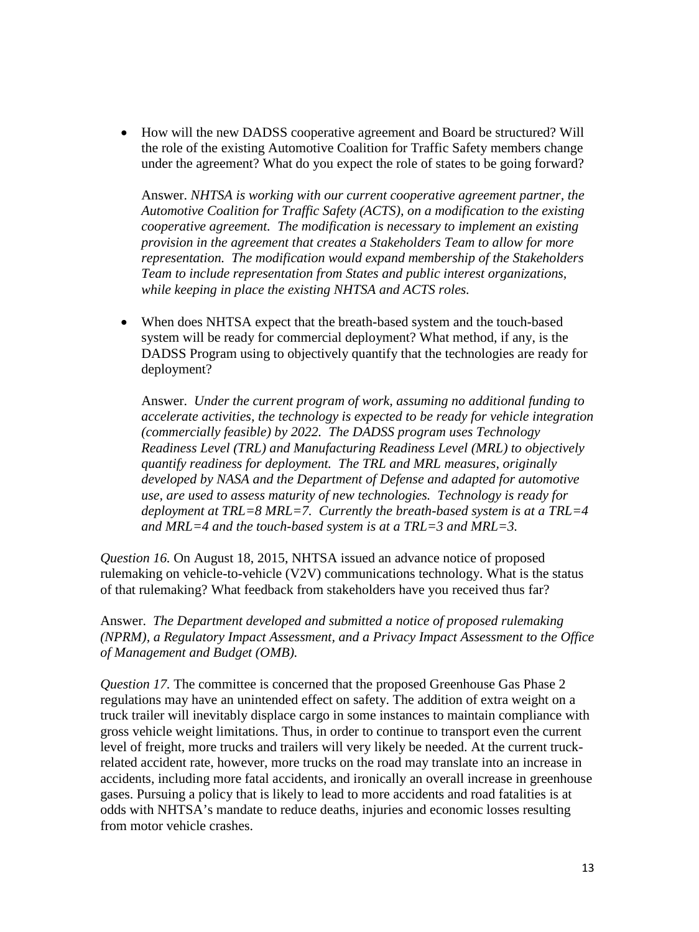• How will the new DADSS cooperative agreement and Board be structured? Will the role of the existing Automotive Coalition for Traffic Safety members change under the agreement? What do you expect the role of states to be going forward?

Answer. *NHTSA is working with our current cooperative agreement partner, the Automotive Coalition for Traffic Safety (ACTS), on a modification to the existing cooperative agreement. The modification is necessary to implement an existing provision in the agreement that creates a Stakeholders Team to allow for more representation. The modification would expand membership of the Stakeholders Team to include representation from States and public interest organizations, while keeping in place the existing NHTSA and ACTS roles.* 

• When does NHTSA expect that the breath-based system and the touch-based system will be ready for commercial deployment? What method, if any, is the DADSS Program using to objectively quantify that the technologies are ready for deployment?

Answer. *Under the current program of work, assuming no additional funding to accelerate activities, the technology is expected to be ready for vehicle integration (commercially feasible) by 2022. The DADSS program uses Technology Readiness Level (TRL) and Manufacturing Readiness Level (MRL) to objectively quantify readiness for deployment. The TRL and MRL measures, originally developed by NASA and the Department of Defense and adapted for automotive use, are used to assess maturity of new technologies. Technology is ready for deployment at TRL=8 MRL=7. Currently the breath-based system is at a TRL=4 and MRL=4 and the touch-based system is at a TRL=3 and MRL=3.*

*Question 16.* On August 18, 2015, NHTSA issued an advance notice of proposed rulemaking on vehicle-to-vehicle (V2V) communications technology. What is the status of that rulemaking? What feedback from stakeholders have you received thus far?

Answer. *The Department developed and submitted a notice of proposed rulemaking (NPRM), a Regulatory Impact Assessment, and a Privacy Impact Assessment to the Office of Management and Budget (OMB).* 

*Question 17.* The committee is concerned that the proposed Greenhouse Gas Phase 2 regulations may have an unintended effect on safety. The addition of extra weight on a truck trailer will inevitably displace cargo in some instances to maintain compliance with gross vehicle weight limitations. Thus, in order to continue to transport even the current level of freight, more trucks and trailers will very likely be needed. At the current truckrelated accident rate, however, more trucks on the road may translate into an increase in accidents, including more fatal accidents, and ironically an overall increase in greenhouse gases. Pursuing a policy that is likely to lead to more accidents and road fatalities is at odds with NHTSA's mandate to reduce deaths, injuries and economic losses resulting from motor vehicle crashes.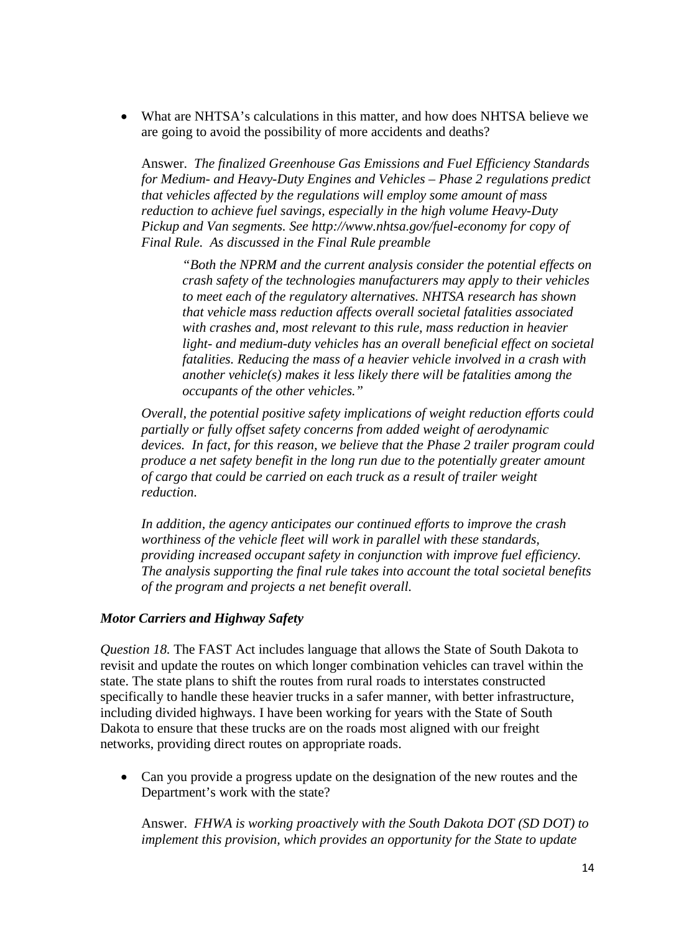• What are NHTSA's calculations in this matter, and how does NHTSA believe we are going to avoid the possibility of more accidents and deaths?

Answer. *The finalized Greenhouse Gas Emissions and Fuel Efficiency Standards for Medium- and Heavy-Duty Engines and Vehicles – Phase 2 regulations predict that vehicles affected by the regulations will employ some amount of mass reduction to achieve fuel savings, especially in the high volume Heavy-Duty Pickup and Van segments. See<http://www.nhtsa.gov/fuel-economy> for copy of Final Rule. As discussed in the Final Rule preamble*

*"Both the NPRM and the current analysis consider the potential effects on crash safety of the technologies manufacturers may apply to their vehicles to meet each of the regulatory alternatives. NHTSA research has shown that vehicle mass reduction affects overall societal fatalities associated with crashes and, most relevant to this rule, mass reduction in heavier light- and medium-duty vehicles has an overall beneficial effect on societal fatalities. Reducing the mass of a heavier vehicle involved in a crash with another vehicle(s) makes it less likely there will be fatalities among the occupants of the other vehicles."* 

*Overall, the potential positive safety implications of weight reduction efforts could partially or fully offset safety concerns from added weight of aerodynamic devices. In fact, for this reason, we believe that the Phase 2 trailer program could produce a net safety benefit in the long run due to the potentially greater amount of cargo that could be carried on each truck as a result of trailer weight reduction.*

*In addition, the agency anticipates our continued efforts to improve the crash worthiness of the vehicle fleet will work in parallel with these standards, providing increased occupant safety in conjunction with improve fuel efficiency. The analysis supporting the final rule takes into account the total societal benefits of the program and projects a net benefit overall.* 

## *Motor Carriers and Highway Safety*

*Question 18.* The FAST Act includes language that allows the State of South Dakota to revisit and update the routes on which longer combination vehicles can travel within the state. The state plans to shift the routes from rural roads to interstates constructed specifically to handle these heavier trucks in a safer manner, with better infrastructure, including divided highways. I have been working for years with the State of South Dakota to ensure that these trucks are on the roads most aligned with our freight networks, providing direct routes on appropriate roads.

• Can you provide a progress update on the designation of the new routes and the Department's work with the state?

Answer. *FHWA is working proactively with the South Dakota DOT (SD DOT) to implement this provision, which provides an opportunity for the State to update*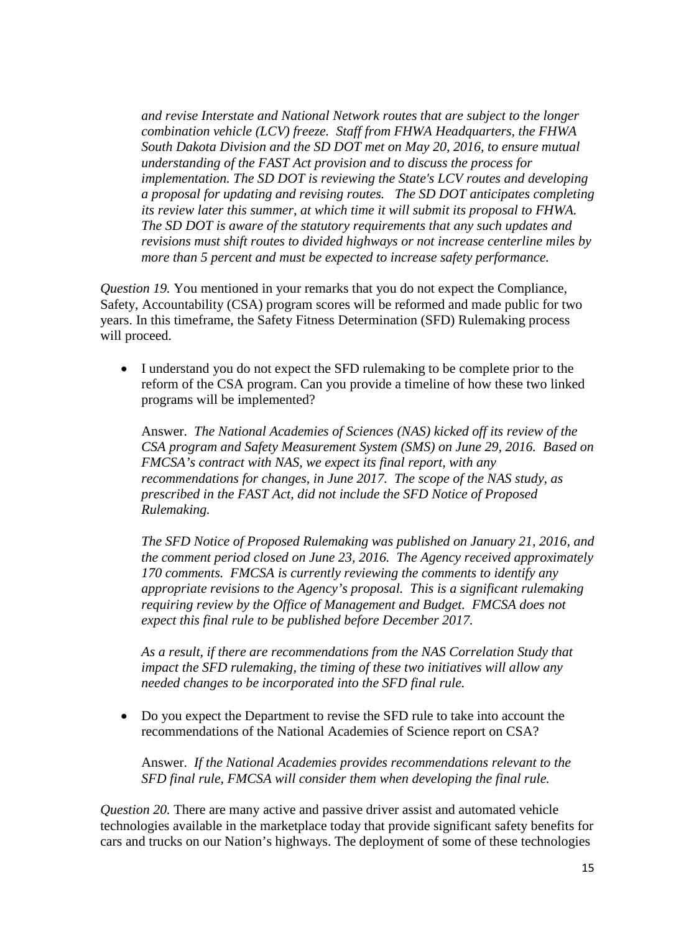*and revise Interstate and National Network routes that are subject to the longer combination vehicle (LCV) freeze. Staff from FHWA Headquarters, the FHWA South Dakota Division and the SD DOT met on May 20, 2016, to ensure mutual understanding of the FAST Act provision and to discuss the process for implementation. The SD DOT is reviewing the State's LCV routes and developing a proposal for updating and revising routes. The SD DOT anticipates completing its review later this summer, at which time it will submit its proposal to FHWA. The SD DOT is aware of the statutory requirements that any such updates and revisions must shift routes to divided highways or not increase centerline miles by more than 5 percent and must be expected to increase safety performance.*

*Question 19.* You mentioned in your remarks that you do not expect the Compliance, Safety, Accountability (CSA) program scores will be reformed and made public for two years. In this timeframe, the Safety Fitness Determination (SFD) Rulemaking process will proceed.

• I understand you do not expect the SFD rulemaking to be complete prior to the reform of the CSA program. Can you provide a timeline of how these two linked programs will be implemented?

Answer. *The National Academies of Sciences (NAS) kicked off its review of the CSA program and Safety Measurement System (SMS) on June 29, 2016. Based on FMCSA's contract with NAS, we expect its final report, with any recommendations for changes, in June 2017. The scope of the NAS study, as prescribed in the FAST Act, did not include the SFD Notice of Proposed Rulemaking.*

*The SFD Notice of Proposed Rulemaking was published on January 21, 2016, and the comment period closed on June 23, 2016. The Agency received approximately 170 comments. FMCSA is currently reviewing the comments to identify any appropriate revisions to the Agency's proposal. This is a significant rulemaking requiring review by the Office of Management and Budget. FMCSA does not expect this final rule to be published before December 2017.*

*As a result, if there are recommendations from the NAS Correlation Study that impact the SFD rulemaking, the timing of these two initiatives will allow any needed changes to be incorporated into the SFD final rule.*

• Do you expect the Department to revise the SFD rule to take into account the recommendations of the National Academies of Science report on CSA?

Answer. *If the National Academies provides recommendations relevant to the SFD final rule, FMCSA will consider them when developing the final rule.*

*Question 20.* There are many active and passive driver assist and automated vehicle technologies available in the marketplace today that provide significant safety benefits for cars and trucks on our Nation's highways. The deployment of some of these technologies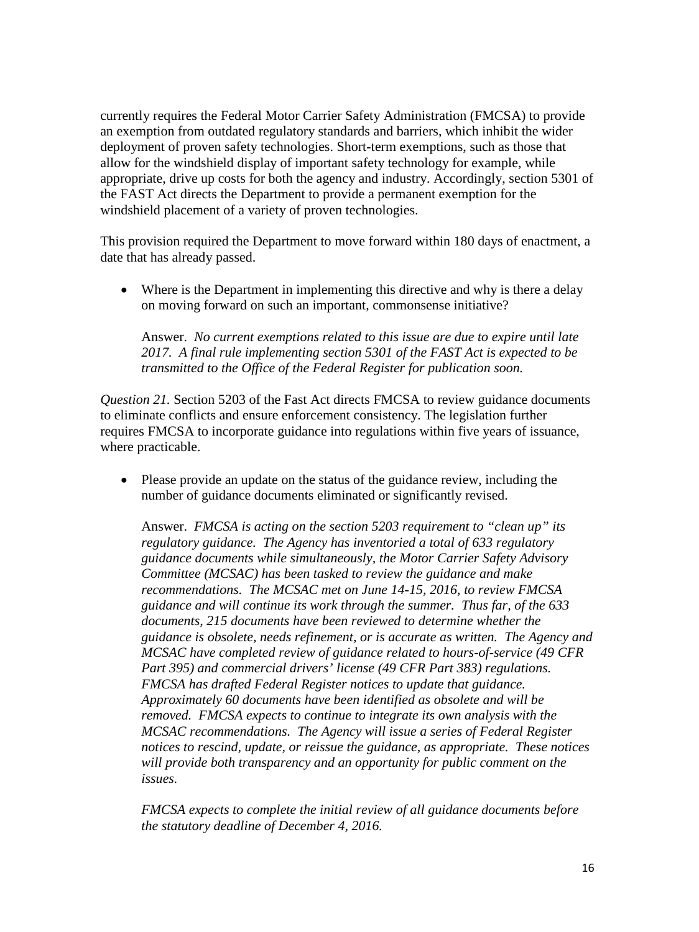currently requires the Federal Motor Carrier Safety Administration (FMCSA) to provide an exemption from outdated regulatory standards and barriers, which inhibit the wider deployment of proven safety technologies. Short-term exemptions, such as those that allow for the windshield display of important safety technology for example, while appropriate, drive up costs for both the agency and industry. Accordingly, section 5301 of the FAST Act directs the Department to provide a permanent exemption for the windshield placement of a variety of proven technologies.

This provision required the Department to move forward within 180 days of enactment, a date that has already passed.

• Where is the Department in implementing this directive and why is there a delay on moving forward on such an important, commonsense initiative?

Answer. *No current exemptions related to this issue are due to expire until late 2017. A final rule implementing section 5301 of the FAST Act is expected to be transmitted to the Office of the Federal Register for publication soon.*

*Question 21.* Section 5203 of the Fast Act directs FMCSA to review guidance documents to eliminate conflicts and ensure enforcement consistency. The legislation further requires FMCSA to incorporate guidance into regulations within five years of issuance, where practicable.

• Please provide an update on the status of the guidance review, including the number of guidance documents eliminated or significantly revised.

Answer. *FMCSA is acting on the section 5203 requirement to "clean up" its regulatory guidance. The Agency has inventoried a total of 633 regulatory guidance documents while simultaneously, the Motor Carrier Safety Advisory Committee (MCSAC) has been tasked to review the guidance and make recommendations. The MCSAC met on June 14-15, 2016, to review FMCSA guidance and will continue its work through the summer. Thus far, of the 633 documents, 215 documents have been reviewed to determine whether the guidance is obsolete, needs refinement, or is accurate as written. The Agency and MCSAC have completed review of guidance related to hours-of-service (49 CFR Part 395) and commercial drivers' license (49 CFR Part 383) regulations. FMCSA has drafted Federal Register notices to update that guidance. Approximately 60 documents have been identified as obsolete and will be removed. FMCSA expects to continue to integrate its own analysis with the MCSAC recommendations. The Agency will issue a series of Federal Register notices to rescind, update, or reissue the guidance, as appropriate. These notices will provide both transparency and an opportunity for public comment on the issues.* 

*FMCSA expects to complete the initial review of all guidance documents before the statutory deadline of December 4, 2016.*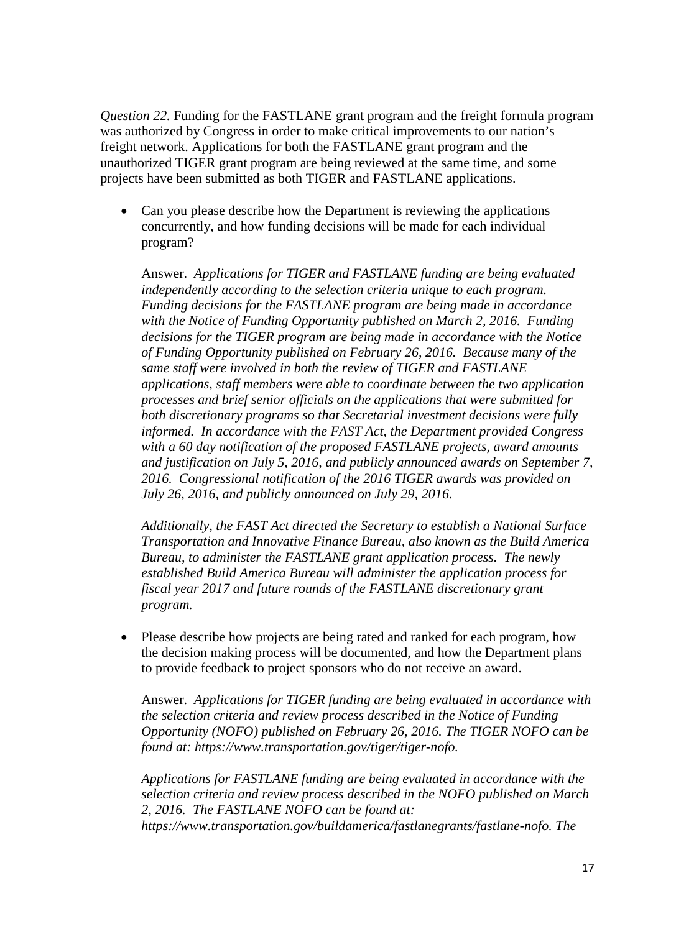*Question 22.* Funding for the FASTLANE grant program and the freight formula program was authorized by Congress in order to make critical improvements to our nation's freight network. Applications for both the FASTLANE grant program and the unauthorized TIGER grant program are being reviewed at the same time, and some projects have been submitted as both TIGER and FASTLANE applications.

• Can you please describe how the Department is reviewing the applications concurrently, and how funding decisions will be made for each individual program?

Answer. *Applications for TIGER and FASTLANE funding are being evaluated independently according to the selection criteria unique to each program. Funding decisions for the FASTLANE program are being made in accordance with the Notice of Funding Opportunity published on March 2, 2016. Funding decisions for the TIGER program are being made in accordance with the Notice of Funding Opportunity published on February 26, 2016. Because many of the same staff were involved in both the review of TIGER and FASTLANE applications, staff members were able to coordinate between the two application processes and brief senior officials on the applications that were submitted for both discretionary programs so that Secretarial investment decisions were fully informed. In accordance with the FAST Act, the Department provided Congress with a 60 day notification of the proposed FASTLANE projects, award amounts and justification on July 5, 2016, and publicly announced awards on September 7, 2016. Congressional notification of the 2016 TIGER awards was provided on July 26, 2016, and publicly announced on July 29, 2016.* 

*Additionally, the FAST Act directed the Secretary to establish a National Surface Transportation and Innovative Finance Bureau, also known as the Build America Bureau, to administer the FASTLANE grant application process. The newly established Build America Bureau will administer the application process for fiscal year 2017 and future rounds of the FASTLANE discretionary grant program.*

• Please describe how projects are being rated and ranked for each program, how the decision making process will be documented, and how the Department plans to provide feedback to project sponsors who do not receive an award.

Answer. *Applications for TIGER funding are being evaluated in accordance with the selection criteria and review process described in the Notice of Funding Opportunity (NOFO) published on February 26, 2016. The TIGER NOFO can be found at: [https://www.transportation.gov/tiger/tiger-nofo.](https://www.transportation.gov/tiger/tiger-nofo)* 

*Applications for FASTLANE funding are being evaluated in accordance with the selection criteria and review process described in the NOFO published on March 2, 2016. The FASTLANE NOFO can be found at: [https://www.transportation.gov/buildamerica/fastlanegrants/fastlane-nofo.](https://www.transportation.gov/buildamerica/fastlanegrants/fastlane-nofo) The*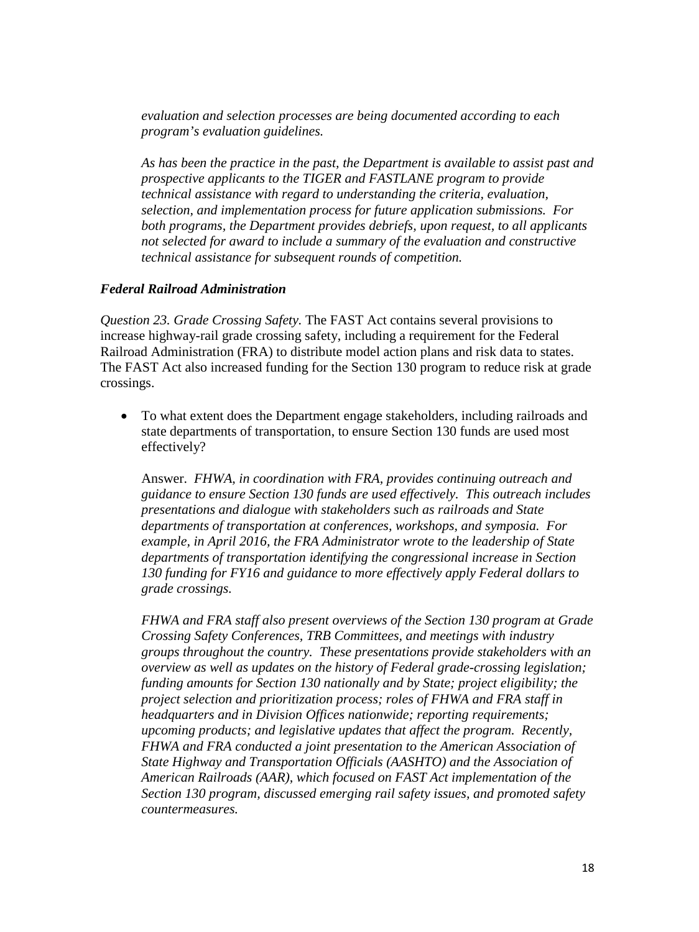*evaluation and selection processes are being documented according to each program's evaluation guidelines.*

*As has been the practice in the past, the Department is available to assist past and prospective applicants to the TIGER and FASTLANE program to provide technical assistance with regard to understanding the criteria, evaluation, selection, and implementation process for future application submissions. For both programs, the Department provides debriefs, upon request, to all applicants not selected for award to include a summary of the evaluation and constructive technical assistance for subsequent rounds of competition.* 

#### *Federal Railroad Administration*

*Question 23. Grade Crossing Safety.* The FAST Act contains several provisions to increase highway-rail grade crossing safety, including a requirement for the Federal Railroad Administration (FRA) to distribute model action plans and risk data to states. The FAST Act also increased funding for the Section 130 program to reduce risk at grade crossings.

• To what extent does the Department engage stakeholders, including railroads and state departments of transportation, to ensure Section 130 funds are used most effectively?

Answer. *FHWA, in coordination with FRA, provides continuing outreach and guidance to ensure Section 130 funds are used effectively. This outreach includes presentations and dialogue with stakeholders such as railroads and State departments of transportation at conferences, workshops, and symposia. For example, in April 2016, the FRA Administrator wrote to the leadership of State departments of transportation identifying the congressional increase in Section 130 funding for FY16 and guidance to more effectively apply Federal dollars to grade crossings.* 

*FHWA and FRA staff also present overviews of the Section 130 program at Grade Crossing Safety Conferences, TRB Committees, and meetings with industry groups throughout the country. These presentations provide stakeholders with an overview as well as updates on the history of Federal grade-crossing legislation; funding amounts for Section 130 nationally and by State; project eligibility; the project selection and prioritization process; roles of FHWA and FRA staff in headquarters and in Division Offices nationwide; reporting requirements; upcoming products; and legislative updates that affect the program. Recently, FHWA and FRA conducted a joint presentation to the American Association of State Highway and Transportation Officials (AASHTO) and the Association of American Railroads (AAR), which focused on FAST Act implementation of the Section 130 program, discussed emerging rail safety issues, and promoted safety countermeasures.*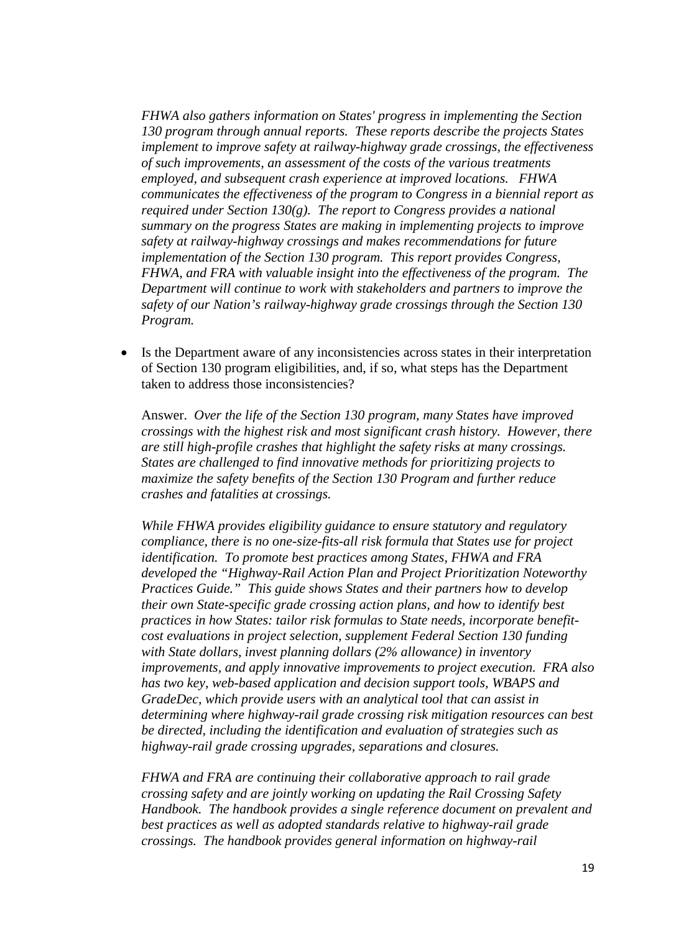*FHWA also gathers information on States' progress in implementing the Section 130 program through annual reports. These reports describe the projects States implement to improve safety at railway-highway grade crossings, the effectiveness of such improvements, an assessment of the costs of the various treatments employed, and subsequent crash experience at improved locations. FHWA communicates the effectiveness of the program to Congress in a biennial report as required under Section 130(g). The report to Congress provides a national summary on the progress States are making in implementing projects to improve safety at railway-highway crossings and makes recommendations for future implementation of the Section 130 program. This report provides Congress, FHWA, and FRA with valuable insight into the effectiveness of the program. The Department will continue to work with stakeholders and partners to improve the safety of our Nation's railway-highway grade crossings through the Section 130 Program.*

• Is the Department aware of any inconsistencies across states in their interpretation of Section 130 program eligibilities, and, if so, what steps has the Department taken to address those inconsistencies?

Answer. *Over the life of the Section 130 program, many States have improved crossings with the highest risk and most significant crash history. However, there are still high-profile crashes that highlight the safety risks at many crossings. States are challenged to find innovative methods for prioritizing projects to maximize the safety benefits of the Section 130 Program and further reduce crashes and fatalities at crossings.* 

*While FHWA provides eligibility guidance to ensure statutory and regulatory compliance, there is no one-size-fits-all risk formula that States use for project identification. To promote best practices among States, FHWA and FRA developed the "Highway-Rail Action Plan and Project Prioritization Noteworthy Practices Guide." This guide shows States and their partners how to develop their own State-specific grade crossing action plans, and how to identify best practices in how States: tailor risk formulas to State needs, incorporate benefitcost evaluations in project selection, supplement Federal Section 130 funding with State dollars, invest planning dollars (2% allowance) in inventory improvements, and apply innovative improvements to project execution. FRA also has two key, web-based application and decision support tools, WBAPS and GradeDec, which provide users with an analytical tool that can assist in determining where highway-rail grade crossing risk mitigation resources can best be directed, including the identification and evaluation of strategies such as highway-rail grade crossing upgrades, separations and closures.*

*FHWA and FRA are continuing their collaborative approach to rail grade crossing safety and are jointly working on updating the Rail Crossing Safety Handbook. The handbook provides a single reference document on prevalent and best practices as well as adopted standards relative to highway-rail grade crossings. The handbook provides general information on highway-rail*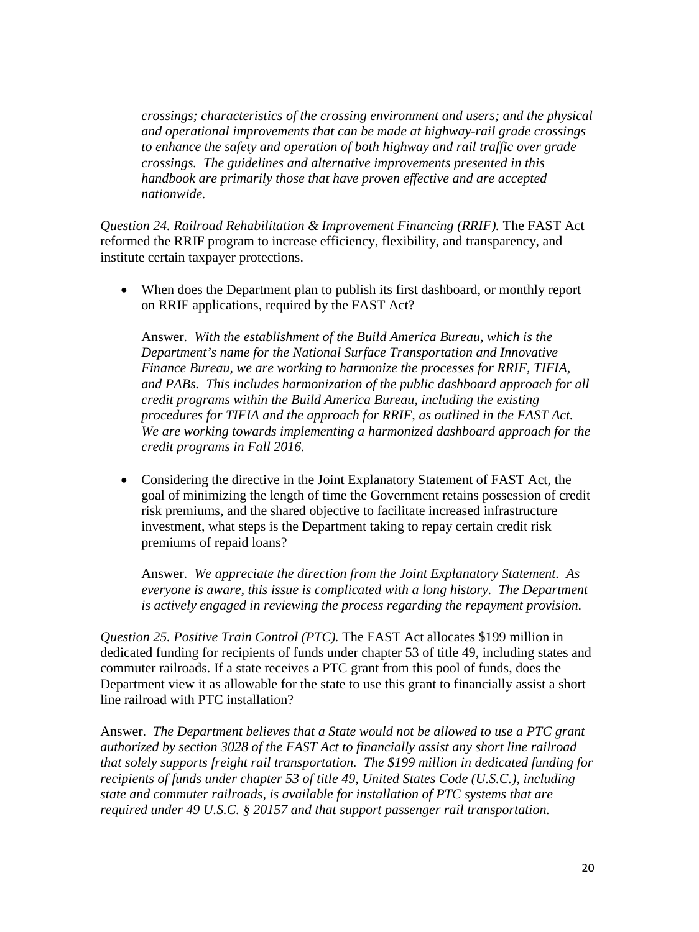*crossings; characteristics of the crossing environment and users; and the physical and operational improvements that can be made at highway-rail grade crossings to enhance the safety and operation of both highway and rail traffic over grade crossings. The guidelines and alternative improvements presented in this handbook are primarily those that have proven effective and are accepted nationwide.*

*Question 24. Railroad Rehabilitation & Improvement Financing (RRIF).* The FAST Act reformed the RRIF program to increase efficiency, flexibility, and transparency, and institute certain taxpayer protections.

• When does the Department plan to publish its first dashboard, or monthly report on RRIF applications, required by the FAST Act?

Answer. *With the establishment of the Build America Bureau, which is the Department's name for the National Surface Transportation and Innovative Finance Bureau, we are working to harmonize the processes for RRIF, TIFIA, and PABs. This includes harmonization of the public dashboard approach for all credit programs within the Build America Bureau, including the existing procedures for TIFIA and the approach for RRIF, as outlined in the FAST Act. We are working towards implementing a harmonized dashboard approach for the credit programs in Fall 2016.* 

• Considering the directive in the Joint Explanatory Statement of FAST Act, the goal of minimizing the length of time the Government retains possession of credit risk premiums, and the shared objective to facilitate increased infrastructure investment, what steps is the Department taking to repay certain credit risk premiums of repaid loans?

Answer. *We appreciate the direction from the Joint Explanatory Statement. As everyone is aware, this issue is complicated with a long history. The Department is actively engaged in reviewing the process regarding the repayment provision.*

*Question 25. Positive Train Control (PTC).* The FAST Act allocates \$199 million in dedicated funding for recipients of funds under chapter 53 of title 49, including states and commuter railroads. If a state receives a PTC grant from this pool of funds, does the Department view it as allowable for the state to use this grant to financially assist a short line railroad with PTC installation?

Answer. *The Department believes that a State would not be allowed to use a PTC grant authorized by section 3028 of the FAST Act to financially assist any short line railroad that solely supports freight rail transportation. The \$199 million in dedicated funding for recipients of funds under chapter 53 of title 49, United States Code (U.S.C.), including state and commuter railroads, is available for installation of PTC systems that are required under 49 U.S.C. § 20157 and that support passenger rail transportation.*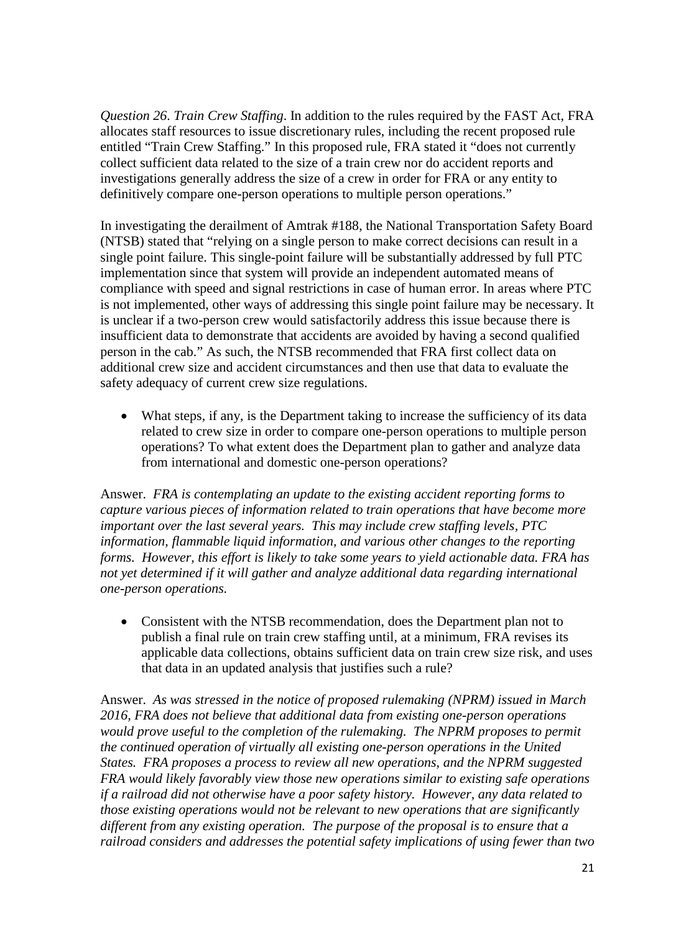*Question 26*. *Train Crew Staffing*. In addition to the rules required by the FAST Act, FRA allocates staff resources to issue discretionary rules, including the recent proposed rule entitled "Train Crew Staffing." In this proposed rule, FRA stated it "does not currently collect sufficient data related to the size of a train crew nor do accident reports and investigations generally address the size of a crew in order for FRA or any entity to definitively compare one-person operations to multiple person operations."

In investigating the derailment of Amtrak #188, the National Transportation Safety Board (NTSB) stated that "relying on a single person to make correct decisions can result in a single point failure. This single-point failure will be substantially addressed by full PTC implementation since that system will provide an independent automated means of compliance with speed and signal restrictions in case of human error. In areas where PTC is not implemented, other ways of addressing this single point failure may be necessary. It is unclear if a two-person crew would satisfactorily address this issue because there is insufficient data to demonstrate that accidents are avoided by having a second qualified person in the cab." As such, the NTSB recommended that FRA first collect data on additional crew size and accident circumstances and then use that data to evaluate the safety adequacy of current crew size regulations.

• What steps, if any, is the Department taking to increase the sufficiency of its data related to crew size in order to compare one-person operations to multiple person operations? To what extent does the Department plan to gather and analyze data from international and domestic one-person operations?

Answer. *FRA is contemplating an update to the existing accident reporting forms to capture various pieces of information related to train operations that have become more important over the last several years. This may include crew staffing levels, PTC information, flammable liquid information, and various other changes to the reporting forms. However, this effort is likely to take some years to yield actionable data. FRA has not yet determined if it will gather and analyze additional data regarding international one-person operations.*

• Consistent with the NTSB recommendation, does the Department plan not to publish a final rule on train crew staffing until, at a minimum, FRA revises its applicable data collections, obtains sufficient data on train crew size risk, and uses that data in an updated analysis that justifies such a rule?

Answer. *As was stressed in the notice of proposed rulemaking (NPRM) issued in March 2016, FRA does not believe that additional data from existing one-person operations would prove useful to the completion of the rulemaking. The NPRM proposes to permit the continued operation of virtually all existing one-person operations in the United States. FRA proposes a process to review all new operations, and the NPRM suggested FRA would likely favorably view those new operations similar to existing safe operations if a railroad did not otherwise have a poor safety history. However, any data related to those existing operations would not be relevant to new operations that are significantly different from any existing operation. The purpose of the proposal is to ensure that a railroad considers and addresses the potential safety implications of using fewer than two*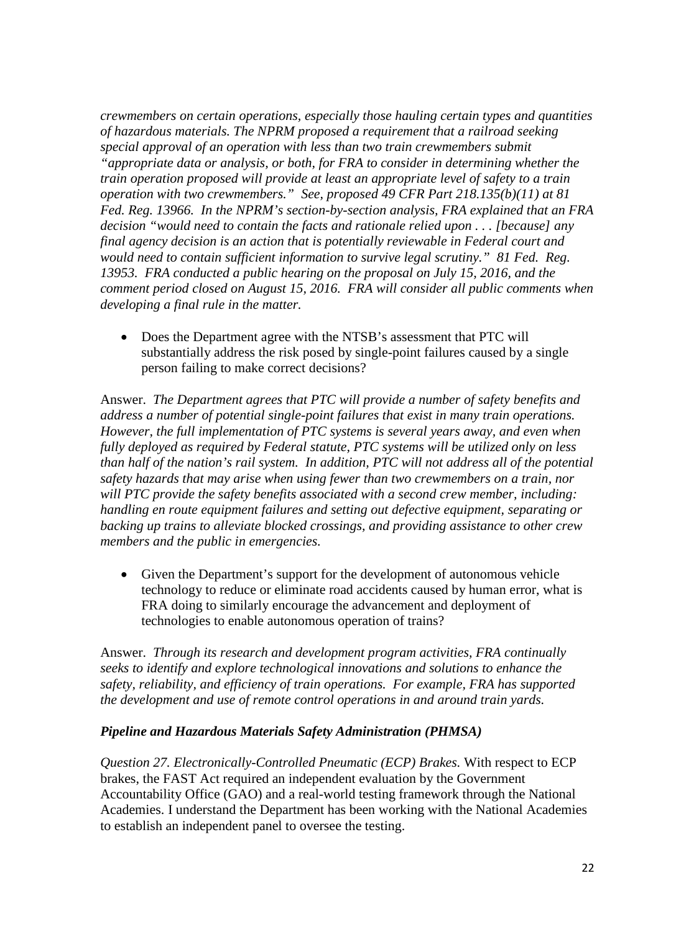*crewmembers on certain operations, especially those hauling certain types and quantities of hazardous materials. The NPRM proposed a requirement that a railroad seeking special approval of an operation with less than two train crewmembers submit "appropriate data or analysis, or both, for FRA to consider in determining whether the train operation proposed will provide at least an appropriate level of safety to a train operation with two crewmembers." See, proposed 49 CFR Part 218.135(b)(11) at 81 Fed. Reg. 13966. In the NPRM's section-by-section analysis, FRA explained that an FRA decision "would need to contain the facts and rationale relied upon . . . [because] any final agency decision is an action that is potentially reviewable in Federal court and would need to contain sufficient information to survive legal scrutiny." 81 Fed. Reg. 13953. FRA conducted a public hearing on the proposal on July 15, 2016, and the comment period closed on August 15, 2016. FRA will consider all public comments when developing a final rule in the matter.* 

• Does the Department agree with the NTSB's assessment that PTC will substantially address the risk posed by single-point failures caused by a single person failing to make correct decisions?

Answer. *The Department agrees that PTC will provide a number of safety benefits and address a number of potential single-point failures that exist in many train operations. However, the full implementation of PTC systems is several years away, and even when fully deployed as required by Federal statute, PTC systems will be utilized only on less than half of the nation's rail system. In addition, PTC will not address all of the potential safety hazards that may arise when using fewer than two crewmembers on a train, nor will PTC provide the safety benefits associated with a second crew member, including: handling en route equipment failures and setting out defective equipment, separating or backing up trains to alleviate blocked crossings, and providing assistance to other crew members and the public in emergencies.*

• Given the Department's support for the development of autonomous vehicle technology to reduce or eliminate road accidents caused by human error, what is FRA doing to similarly encourage the advancement and deployment of technologies to enable autonomous operation of trains?

Answer. *Through its research and development program activities, FRA continually seeks to identify and explore technological innovations and solutions to enhance the safety, reliability, and efficiency of train operations. For example, FRA has supported the development and use of remote control operations in and around train yards.* 

## *Pipeline and Hazardous Materials Safety Administration (PHMSA)*

*Question 27. Electronically-Controlled Pneumatic (ECP) Brakes.* With respect to ECP brakes, the FAST Act required an independent evaluation by the Government Accountability Office (GAO) and a real-world testing framework through the National Academies. I understand the Department has been working with the National Academies to establish an independent panel to oversee the testing.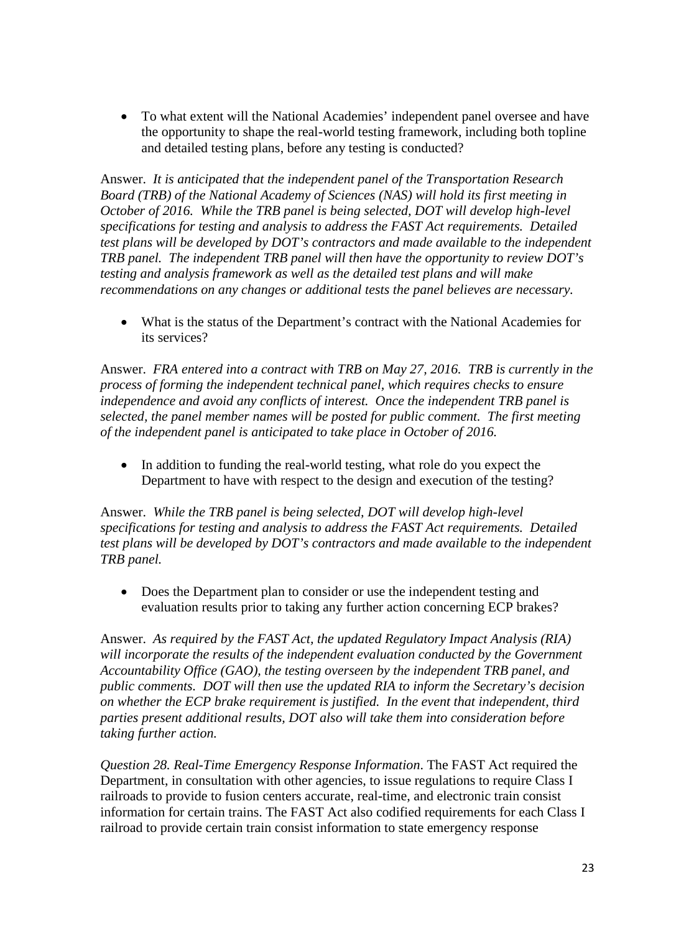• To what extent will the National Academies' independent panel oversee and have the opportunity to shape the real-world testing framework, including both topline and detailed testing plans, before any testing is conducted?

Answer. *It is anticipated that the independent panel of the Transportation Research Board (TRB) of the National Academy of Sciences (NAS) will hold its first meeting in October of 2016. While the TRB panel is being selected, DOT will develop high-level specifications for testing and analysis to address the FAST Act requirements. Detailed test plans will be developed by DOT's contractors and made available to the independent TRB panel. The independent TRB panel will then have the opportunity to review DOT's testing and analysis framework as well as the detailed test plans and will make recommendations on any changes or additional tests the panel believes are necessary.* 

• What is the status of the Department's contract with the National Academies for its services?

Answer. *FRA entered into a contract with TRB on May 27, 2016. TRB is currently in the process of forming the independent technical panel, which requires checks to ensure independence and avoid any conflicts of interest. Once the independent TRB panel is selected, the panel member names will be posted for public comment. The first meeting of the independent panel is anticipated to take place in October of 2016.* 

• In addition to funding the real-world testing, what role do you expect the Department to have with respect to the design and execution of the testing?

Answer. *While the TRB panel is being selected, DOT will develop high-level specifications for testing and analysis to address the FAST Act requirements. Detailed test plans will be developed by DOT's contractors and made available to the independent TRB panel.*

• Does the Department plan to consider or use the independent testing and evaluation results prior to taking any further action concerning ECP brakes?

Answer. *As required by the FAST Act, the updated Regulatory Impact Analysis (RIA)*  will incorporate the results of the independent evaluation conducted by the Government *Accountability Office (GAO), the testing overseen by the independent TRB panel, and public comments. DOT will then use the updated RIA to inform the Secretary's decision on whether the ECP brake requirement is justified. In the event that independent, third parties present additional results, DOT also will take them into consideration before taking further action.* 

*Question 28. Real-Time Emergency Response Information*. The FAST Act required the Department, in consultation with other agencies, to issue regulations to require Class I railroads to provide to fusion centers accurate, real-time, and electronic train consist information for certain trains. The FAST Act also codified requirements for each Class I railroad to provide certain train consist information to state emergency response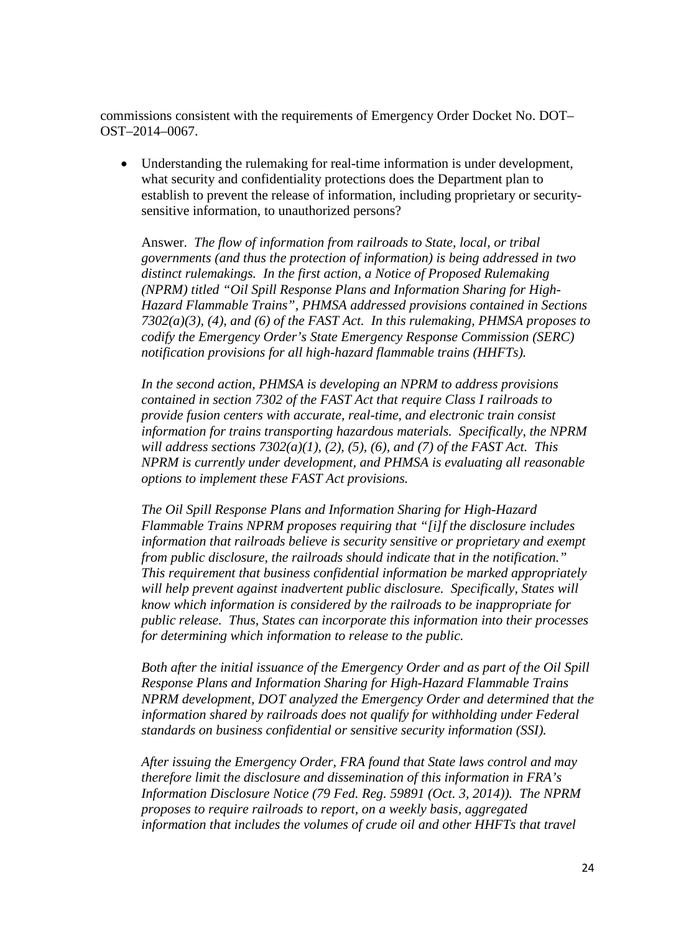commissions consistent with the requirements of Emergency Order Docket No. DOT– OST–2014–0067.

• Understanding the rulemaking for real-time information is under development, what security and confidentiality protections does the Department plan to establish to prevent the release of information, including proprietary or securitysensitive information, to unauthorized persons?

Answer. *The flow of information from railroads to State, local, or tribal governments (and thus the protection of information) is being addressed in two distinct rulemakings. In the first action, a Notice of Proposed Rulemaking (NPRM) titled "Oil Spill Response Plans and Information Sharing for High-Hazard Flammable Trains", PHMSA addressed provisions contained in Sections 7302(a)(3), (4), and (6) of the FAST Act. In this rulemaking, PHMSA proposes to codify the Emergency Order's State Emergency Response Commission (SERC) notification provisions for all high-hazard flammable trains (HHFTs).* 

*In the second action, PHMSA is developing an NPRM to address provisions contained in section 7302 of the FAST Act that require Class I railroads to provide fusion centers with accurate, real-time, and electronic train consist information for trains transporting hazardous materials. Specifically, the NPRM will address sections 7302(a)(1), (2), (5), (6), and (7) of the FAST Act. This NPRM is currently under development, and PHMSA is evaluating all reasonable options to implement these FAST Act provisions.*

*The Oil Spill Response Plans and Information Sharing for High-Hazard Flammable Trains NPRM proposes requiring that "[i]f the disclosure includes information that railroads believe is security sensitive or proprietary and exempt from public disclosure, the railroads should indicate that in the notification." This requirement that business confidential information be marked appropriately will help prevent against inadvertent public disclosure. Specifically, States will know which information is considered by the railroads to be inappropriate for public release. Thus, States can incorporate this information into their processes for determining which information to release to the public.*

*Both after the initial issuance of the Emergency Order and as part of the Oil Spill Response Plans and Information Sharing for High-Hazard Flammable Trains NPRM development, DOT analyzed the Emergency Order and determined that the information shared by railroads does not qualify for withholding under Federal standards on business confidential or sensitive security information (SSI).* 

*After issuing the Emergency Order, FRA found that State laws control and may therefore limit the disclosure and dissemination of this information in FRA's Information Disclosure Notice (79 Fed. Reg. 59891 (Oct. 3, 2014)). The NPRM proposes to require railroads to report, on a weekly basis, aggregated information that includes the volumes of crude oil and other HHFTs that travel*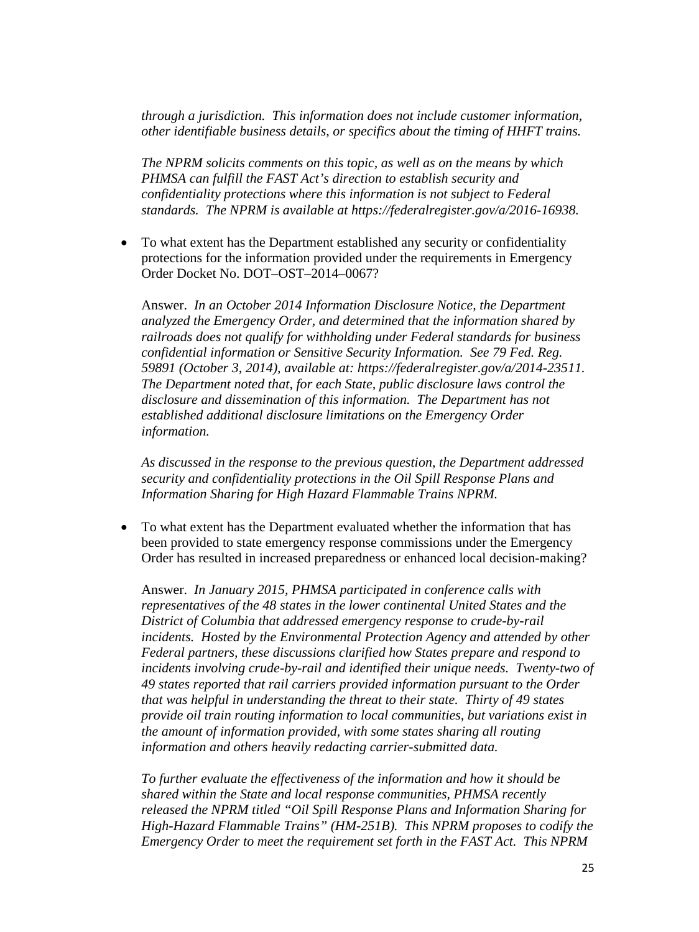*through a jurisdiction. This information does not include customer information, other identifiable business details, or specifics about the timing of HHFT trains.*

*The NPRM solicits comments on this topic, as well as on the means by which PHMSA can fulfill the FAST Act's direction to establish security and confidentiality protections where this information is not subject to Federal standards. The NPRM is available at [https://federalregister.gov/a/2016-16938.](https://federalregister.gov/a/2016-16938)*

• To what extent has the Department established any security or confidentiality protections for the information provided under the requirements in Emergency Order Docket No. DOT–OST–2014–0067?

Answer. *In an October 2014 Information Disclosure Notice, the Department analyzed the Emergency Order, and determined that the information shared by railroads does not qualify for withholding under Federal standards for business confidential information or Sensitive Security Information. See 79 Fed. Reg. 59891 (October 3, 2014), available at: [https://federalregister.gov/a/2014-23511.](https://federalregister.gov/a/2014-23511) The Department noted that, for each State, public disclosure laws control the disclosure and dissemination of this information. The Department has not established additional disclosure limitations on the Emergency Order information.*

*As discussed in the response to the previous question, the Department addressed security and confidentiality protections in the Oil Spill Response Plans and Information Sharing for High Hazard Flammable Trains NPRM.* 

• To what extent has the Department evaluated whether the information that has been provided to state emergency response commissions under the Emergency Order has resulted in increased preparedness or enhanced local decision-making?

Answer. *In January 2015, PHMSA participated in conference calls with representatives of the 48 states in the lower continental United States and the District of Columbia that addressed emergency response to crude-by-rail incidents. Hosted by the Environmental Protection Agency and attended by other Federal partners, these discussions clarified how States prepare and respond to incidents involving crude-by-rail and identified their unique needs. Twenty-two of 49 states reported that rail carriers provided information pursuant to the Order that was helpful in understanding the threat to their state. Thirty of 49 states provide oil train routing information to local communities, but variations exist in the amount of information provided, with some states sharing all routing information and others heavily redacting carrier-submitted data.*

*To further evaluate the effectiveness of the information and how it should be shared within the State and local response communities, PHMSA recently released the NPRM titled "Oil Spill Response Plans and Information Sharing for High-Hazard Flammable Trains" (HM-251B). This NPRM proposes to codify the Emergency Order to meet the requirement set forth in the FAST Act. This NPRM*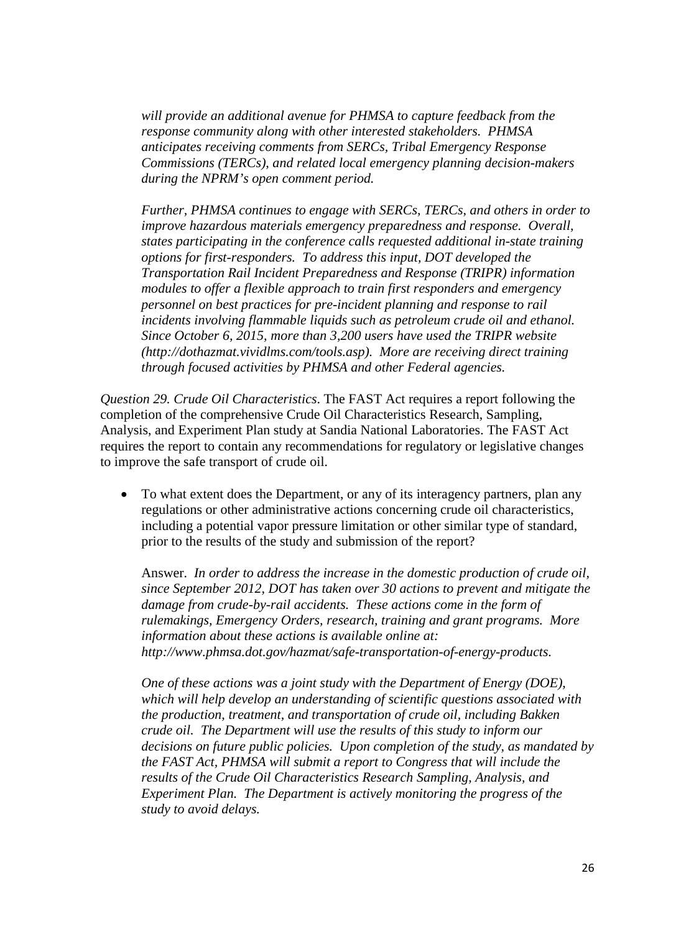*will provide an additional avenue for PHMSA to capture feedback from the response community along with other interested stakeholders. PHMSA anticipates receiving comments from SERCs, Tribal Emergency Response Commissions (TERCs), and related local emergency planning decision-makers during the NPRM's open comment period.*

*Further, PHMSA continues to engage with SERCs, TERCs, and others in order to improve hazardous materials emergency preparedness and response. Overall, states participating in the conference calls requested additional in-state training options for first-responders. To address this input, DOT developed the Transportation Rail Incident Preparedness and Response (TRIPR) information modules to offer a flexible approach to train first responders and emergency personnel on best practices for pre-incident planning and response to rail incidents involving flammable liquids such as petroleum crude oil and ethanol. Since October 6, 2015, more than 3,200 users have used the TRIPR website [\(http://dothazmat.vividlms.com/tools.asp\)](http://dothazmat.vividlms.com/tools.asp). More are receiving direct training through focused activities by PHMSA and other Federal agencies.*

*Question 29. Crude Oil Characteristics*. The FAST Act requires a report following the completion of the comprehensive Crude Oil Characteristics Research, Sampling, Analysis, and Experiment Plan study at Sandia National Laboratories. The FAST Act requires the report to contain any recommendations for regulatory or legislative changes to improve the safe transport of crude oil.

• To what extent does the Department, or any of its interagency partners, plan any regulations or other administrative actions concerning crude oil characteristics, including a potential vapor pressure limitation or other similar type of standard, prior to the results of the study and submission of the report?

Answer. *In order to address the increase in the domestic production of crude oil, since September 2012, DOT has taken over 30 actions to prevent and mitigate the damage from crude-by-rail accidents. These actions come in the form of rulemakings, Emergency Orders, research, training and grant [programs.](http://www.phmsa.dot.gov/hazmat/safe-transportation-of-energy-products) More information about these actions is available online at: http://www.phmsa.dot.gov/hazmat/safe-transportation-of-energy-products.* 

*One of these actions was a joint study with the Department of Energy (DOE), which will help develop an understanding of scientific questions associated with the production, treatment, and transportation of crude oil, including Bakken crude oil. The Department will use the results of this study to inform our decisions on future public policies. Upon completion of the study, as mandated by the FAST Act, PHMSA will submit a report to Congress that will include the results of the Crude Oil Characteristics Research Sampling, Analysis, and Experiment Plan. The Department is actively monitoring the progress of the study to avoid delays.*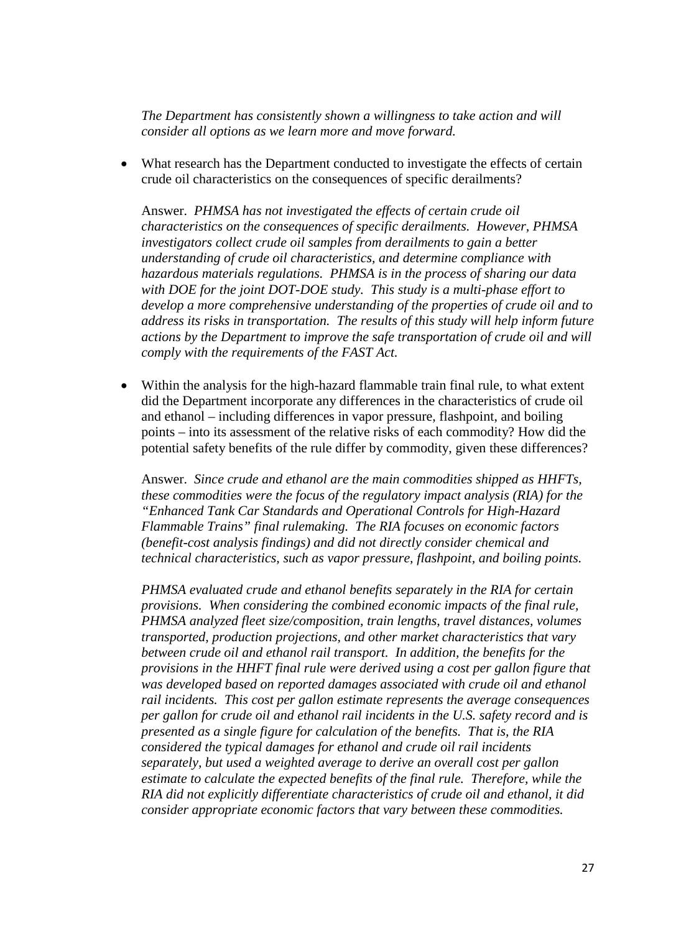*The Department has consistently shown a willingness to take action and will consider all options as we learn more and move forward.*

• What research has the Department conducted to investigate the effects of certain crude oil characteristics on the consequences of specific derailments?

Answer. *PHMSA has not investigated the effects of certain crude oil characteristics on the consequences of specific derailments. However, PHMSA investigators collect crude oil samples from derailments to gain a better understanding of crude oil characteristics, and determine compliance with hazardous materials regulations. PHMSA is in the process of sharing our data with DOE for the joint DOT-DOE study. This study is a multi-phase effort to develop a more comprehensive understanding of the properties of crude oil and to address its risks in transportation. The results of this study will help inform future actions by the Department to improve the safe transportation of crude oil and will comply with the requirements of the FAST Act.*

• Within the analysis for the high-hazard flammable train final rule, to what extent did the Department incorporate any differences in the characteristics of crude oil and ethanol – including differences in vapor pressure, flashpoint, and boiling points – into its assessment of the relative risks of each commodity? How did the potential safety benefits of the rule differ by commodity, given these differences?

Answer. *Since crude and ethanol are the main commodities shipped as HHFTs, these commodities were the focus of the regulatory impact analysis (RIA) for the "Enhanced Tank Car Standards and Operational Controls for High-Hazard Flammable Trains" final rulemaking. The RIA focuses on economic factors (benefit-cost analysis findings) and did not directly consider chemical and technical characteristics, such as vapor pressure, flashpoint, and boiling points.*

*PHMSA evaluated crude and ethanol benefits separately in the RIA for certain provisions. When considering the combined economic impacts of the final rule, PHMSA analyzed fleet size/composition, train lengths, travel distances, volumes transported, production projections, and other market characteristics that vary between crude oil and ethanol rail transport. In addition, the benefits for the provisions in the HHFT final rule were derived using a cost per gallon figure that was developed based on reported damages associated with crude oil and ethanol rail incidents. This cost per gallon estimate represents the average consequences per gallon for crude oil and ethanol rail incidents in the U.S. safety record and is presented as a single figure for calculation of the benefits. That is, the RIA considered the typical damages for ethanol and crude oil rail incidents separately, but used a weighted average to derive an overall cost per gallon estimate to calculate the expected benefits of the final rule. Therefore, while the RIA did not explicitly differentiate characteristics of crude oil and ethanol, it did consider appropriate economic factors that vary between these commodities.*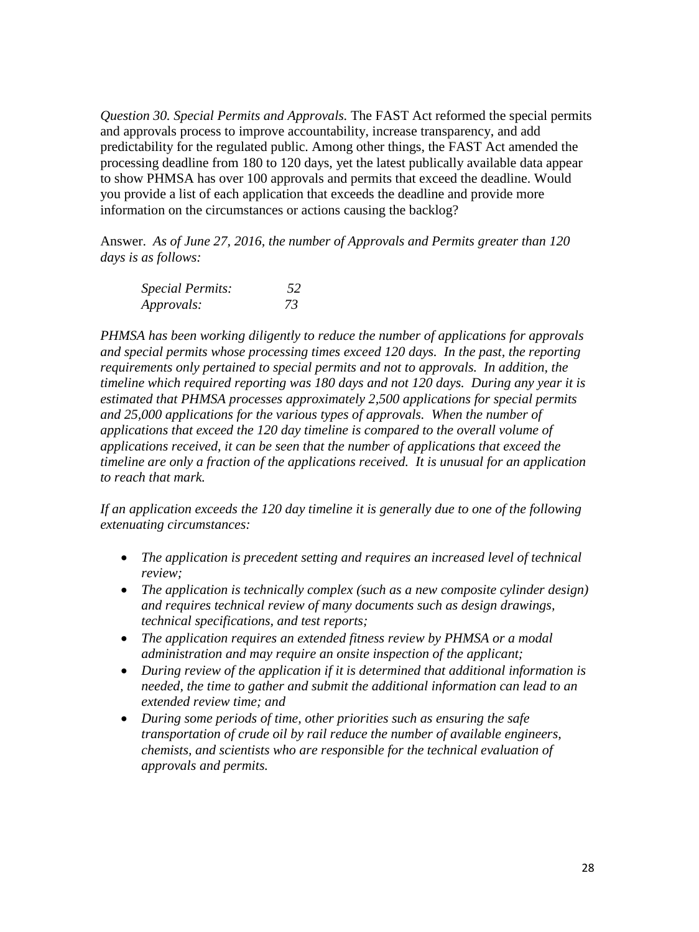*Question 30. Special Permits and Approvals.* The FAST Act reformed the special permits and approvals process to improve accountability, increase transparency, and add predictability for the regulated public. Among other things, the FAST Act amended the processing deadline from 180 to 120 days, yet the latest publically available data appear to show PHMSA has over 100 approvals and permits that exceed the deadline. Would you provide a list of each application that exceeds the deadline and provide more information on the circumstances or actions causing the backlog?

Answer. *As of June 27, 2016, the number of Approvals and Permits greater than 120 days is as follows:*

| <b>Special Permits:</b> | .52 |
|-------------------------|-----|
| Approvals:              | 73  |

*PHMSA has been working diligently to reduce the number of applications for approvals and special permits whose processing times exceed 120 days. In the past, the reporting requirements only pertained to special permits and not to approvals. In addition, the timeline which required reporting was 180 days and not 120 days. During any year it is estimated that PHMSA processes approximately 2,500 applications for special permits and 25,000 applications for the various types of approvals. When the number of applications that exceed the 120 day timeline is compared to the overall volume of applications received, it can be seen that the number of applications that exceed the timeline are only a fraction of the applications received. It is unusual for an application to reach that mark.* 

If an application exceeds the 120 day timeline it is generally due to one of the following *extenuating circumstances:*

- *The application is precedent setting and requires an increased level of technical review;*
- *The application is technically complex (such as a new composite cylinder design) and requires technical review of many documents such as design drawings, technical specifications, and test reports;*
- *The application requires an extended fitness review by PHMSA or a modal administration and may require an onsite inspection of the applicant;*
- *During review of the application if it is determined that additional information is needed, the time to gather and submit the additional information can lead to an extended review time; and*
- *During some periods of time, other priorities such as ensuring the safe transportation of crude oil by rail reduce the number of available engineers, chemists, and scientists who are responsible for the technical evaluation of approvals and permits.*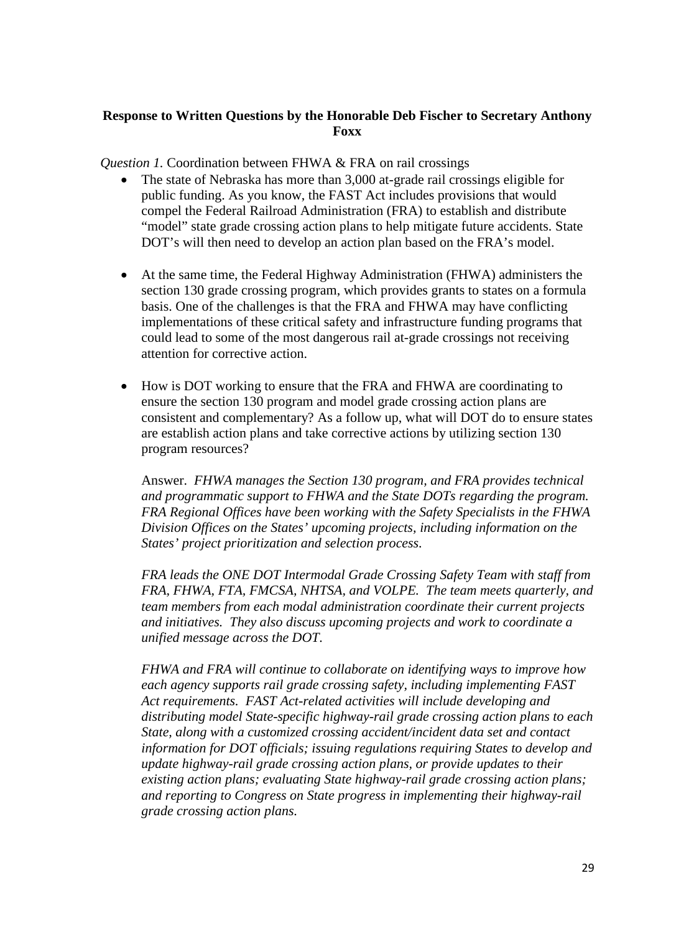### **Response to Written Questions by the Honorable Deb Fischer to Secretary Anthony Foxx**

*Question 1.* Coordination between FHWA & FRA on rail crossings

- The state of Nebraska has more than 3,000 at-grade rail crossings eligible for public funding. As you know, the FAST Act includes provisions that would compel the Federal Railroad Administration (FRA) to establish and distribute "model" state grade crossing action plans to help mitigate future accidents. State DOT's will then need to develop an action plan based on the FRA's model.
- At the same time, the Federal Highway Administration (FHWA) administers the section 130 grade crossing program, which provides grants to states on a formula basis. One of the challenges is that the FRA and FHWA may have conflicting implementations of these critical safety and infrastructure funding programs that could lead to some of the most dangerous rail at-grade crossings not receiving attention for corrective action.
- How is DOT working to ensure that the FRA and FHWA are coordinating to ensure the section 130 program and model grade crossing action plans are consistent and complementary? As a follow up, what will DOT do to ensure states are establish action plans and take corrective actions by utilizing section 130 program resources?

Answer. *FHWA manages the Section 130 program, and FRA provides technical and programmatic support to FHWA and the State DOTs regarding the program. FRA Regional Offices have been working with the Safety Specialists in the FHWA Division Offices on the States' upcoming projects, including information on the States' project prioritization and selection process.*

*FRA leads the ONE DOT Intermodal Grade Crossing Safety Team with staff from FRA, FHWA, FTA, FMCSA, NHTSA, and VOLPE. The team meets quarterly, and team members from each modal administration coordinate their current projects and initiatives. They also discuss upcoming projects and work to coordinate a unified message across the DOT.*

*FHWA and FRA will continue to collaborate on identifying ways to improve how each agency supports rail grade crossing safety, including implementing FAST Act requirements. FAST Act-related activities will include developing and distributing model State-specific highway-rail grade crossing action plans to each State, along with a customized crossing accident/incident data set and contact information for DOT officials; issuing regulations requiring States to develop and update highway-rail grade crossing action plans, or provide updates to their existing action plans; evaluating State highway-rail grade crossing action plans; and reporting to Congress on State progress in implementing their highway-rail grade crossing action plans.*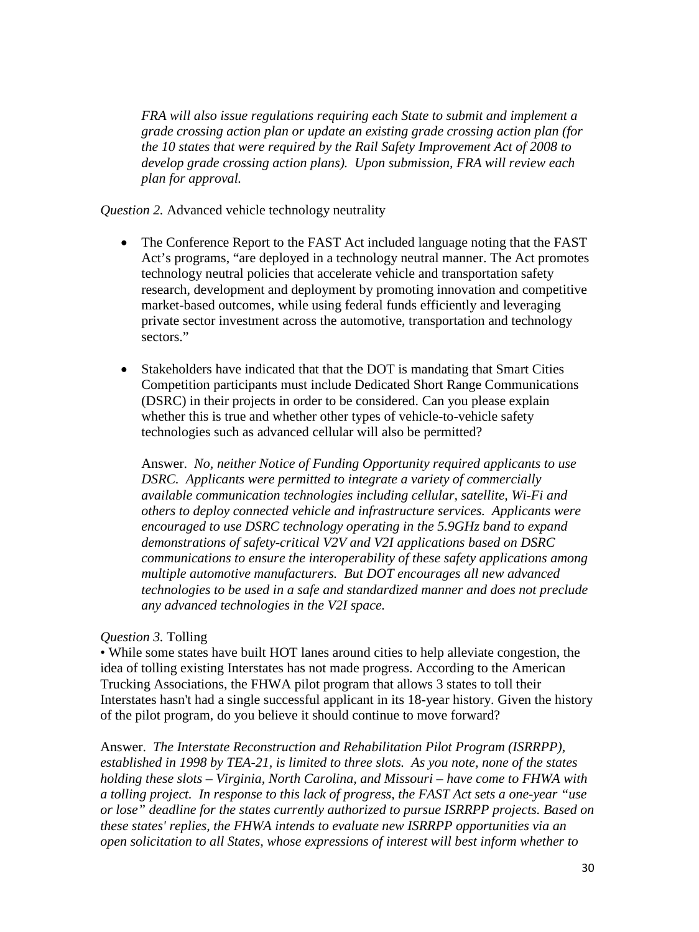*FRA will also issue regulations requiring each State to submit and implement a grade crossing action plan or update an existing grade crossing action plan (for the 10 states that were required by the Rail Safety Improvement Act of 2008 to develop grade crossing action plans). Upon submission, FRA will review each plan for approval.*

*Question 2.* Advanced vehicle technology neutrality

- The Conference Report to the FAST Act included language noting that the FAST Act's programs, "are deployed in a technology neutral manner. The Act promotes technology neutral policies that accelerate vehicle and transportation safety research, development and deployment by promoting innovation and competitive market-based outcomes, while using federal funds efficiently and leveraging private sector investment across the automotive, transportation and technology sectors."
- Stakeholders have indicated that that the DOT is mandating that Smart Cities Competition participants must include Dedicated Short Range Communications (DSRC) in their projects in order to be considered. Can you please explain whether this is true and whether other types of vehicle-to-vehicle safety technologies such as advanced cellular will also be permitted?

Answer. *No, neither Notice of Funding Opportunity required applicants to use DSRC. Applicants were permitted to integrate a variety of commercially available communication technologies including cellular, satellite, Wi-Fi and others to deploy connected vehicle and infrastructure services. Applicants were encouraged to use DSRC technology operating in the 5.9GHz band to expand demonstrations of safety-critical V2V and V2I applications based on DSRC communications to ensure the interoperability of these safety applications among multiple automotive manufacturers. But DOT encourages all new advanced technologies to be used in a safe and standardized manner and does not preclude any advanced technologies in the V2I space.* 

## *Question 3.* Tolling

• While some states have built HOT lanes around cities to help alleviate congestion, the idea of tolling existing Interstates has not made progress. According to the American Trucking Associations, the FHWA pilot program that allows 3 states to toll their Interstates hasn't had a single successful applicant in its 18-year history. Given the history of the pilot program, do you believe it should continue to move forward?

Answer. *The Interstate Reconstruction and Rehabilitation Pilot Program (ISRRPP), established in 1998 by TEA-21, is limited to three slots. As you note, none of the states holding these slots – Virginia, North Carolina, and Missouri – have come to FHWA with a tolling project. In response to this lack of progress, the FAST Act sets a one-year "use or lose" deadline for the states currently authorized to pursue ISRRPP projects. Based on these states' replies, the FHWA intends to evaluate new ISRRPP opportunities via an open solicitation to all States, whose expressions of interest will best inform whether to*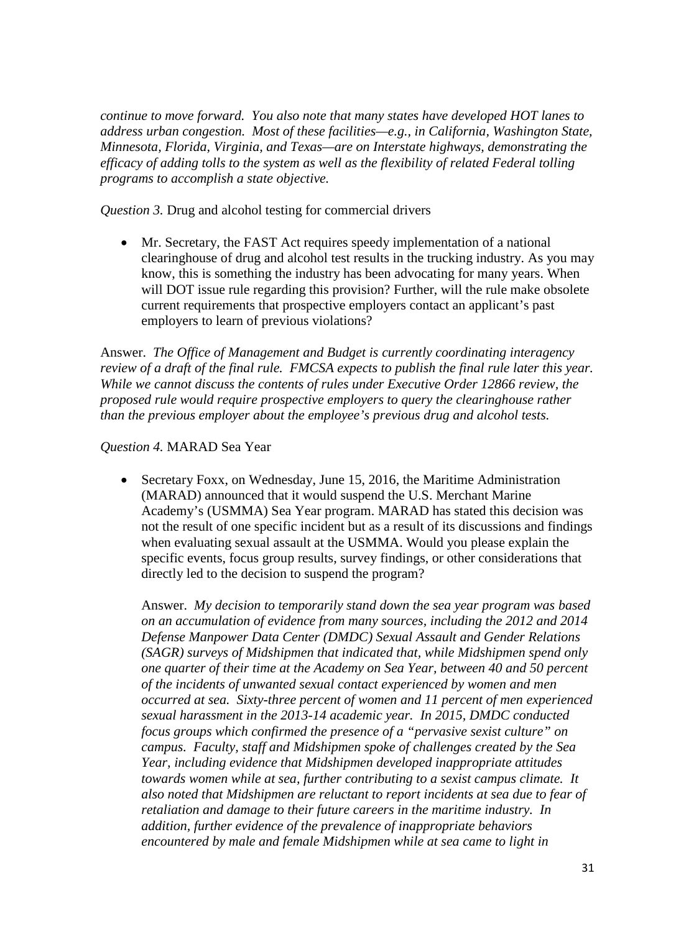*continue to move forward. You also note that many states have developed HOT lanes to address urban congestion. Most of these facilities—e.g., in California, Washington State, Minnesota, Florida, Virginia, and Texas—are on Interstate highways, demonstrating the efficacy of adding tolls to the system as well as the flexibility of related Federal tolling programs to accomplish a state objective.* 

*Question 3.* Drug and alcohol testing for commercial drivers

• Mr. Secretary, the FAST Act requires speedy implementation of a national clearinghouse of drug and alcohol test results in the trucking industry. As you may know, this is something the industry has been advocating for many years. When will DOT issue rule regarding this provision? Further, will the rule make obsolete current requirements that prospective employers contact an applicant's past employers to learn of previous violations?

Answer. *The Office of Management and Budget is currently coordinating interagency review of a draft of the final rule. FMCSA expects to publish the final rule later this year. While we cannot discuss the contents of rules under Executive Order 12866 review, the proposed rule would require prospective employers to query the clearinghouse rather than the previous employer about the employee's previous drug and alcohol tests.*

### *Question 4.* MARAD Sea Year

• Secretary Foxx, on Wednesday, June 15, 2016, the Maritime Administration (MARAD) announced that it would suspend the U.S. Merchant Marine Academy's (USMMA) Sea Year program. MARAD has stated this decision was not the result of one specific incident but as a result of its discussions and findings when evaluating sexual assault at the USMMA. Would you please explain the specific events, focus group results, survey findings, or other considerations that directly led to the decision to suspend the program?

Answer. *My decision to temporarily stand down the sea year program was based on an accumulation of evidence from many sources, including the 2012 and 2014 Defense Manpower Data Center (DMDC) Sexual Assault and Gender Relations (SAGR) surveys of Midshipmen that indicated that, while Midshipmen spend only one quarter of their time at the Academy on Sea Year, between 40 and 50 percent of the incidents of unwanted sexual contact experienced by women and men occurred at sea. Sixty-three percent of women and 11 percent of men experienced sexual harassment in the 2013-14 academic year. In 2015, DMDC conducted focus groups which confirmed the presence of a "pervasive sexist culture" on campus. Faculty, staff and Midshipmen spoke of challenges created by the Sea Year, including evidence that Midshipmen developed inappropriate attitudes towards women while at sea, further contributing to a sexist campus climate. It also noted that Midshipmen are reluctant to report incidents at sea due to fear of retaliation and damage to their future careers in the maritime industry. In addition, further evidence of the prevalence of inappropriate behaviors encountered by male and female Midshipmen while at sea came to light in*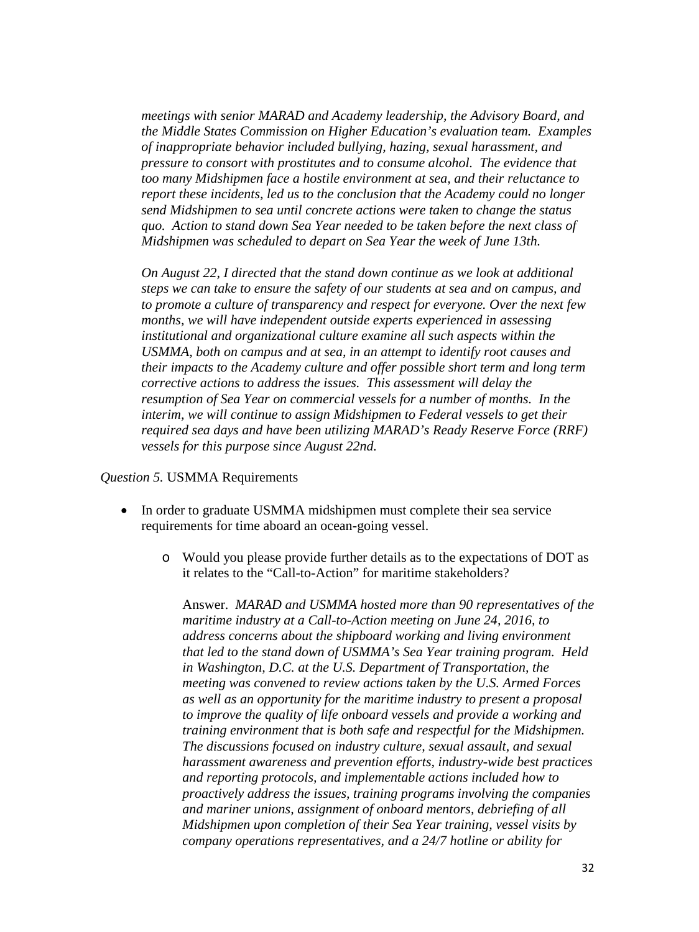*meetings with senior MARAD and Academy leadership, the Advisory Board, and the Middle States Commission on Higher Education's evaluation team. Examples of inappropriate behavior included bullying, hazing, sexual harassment, and pressure to consort with prostitutes and to consume alcohol. The evidence that too many Midshipmen face a hostile environment at sea, and their reluctance to report these incidents, led us to the conclusion that the Academy could no longer send Midshipmen to sea until concrete actions were taken to change the status quo. Action to stand down Sea Year needed to be taken before the next class of Midshipmen was scheduled to depart on Sea Year the week of June 13th.*

*On August 22, I directed that the stand down continue as we look at additional steps we can take to ensure the safety of our students at sea and on campus, and to promote a culture of transparency and respect for everyone. Over the next few months, we will have independent outside experts experienced in assessing institutional and organizational culture examine all such aspects within the USMMA, both on campus and at sea, in an attempt to identify root causes and their impacts to the Academy culture and offer possible short term and long term corrective actions to address the issues. This assessment will delay the resumption of Sea Year on commercial vessels for a number of months. In the interim, we will continue to assign Midshipmen to Federal vessels to get their required sea days and have been utilizing MARAD's Ready Reserve Force (RRF) vessels for this purpose since August 22nd.*

#### *Question 5.* USMMA Requirements

- In order to graduate USMMA midshipmen must complete their sea service requirements for time aboard an ocean-going vessel.
	- o Would you please provide further details as to the expectations of DOT as it relates to the "Call-to-Action" for maritime stakeholders?

Answer. *MARAD and USMMA hosted more than 90 representatives of the maritime industry at a Call-to-Action meeting on June 24, 2016, to address concerns about the shipboard working and living environment that led to the stand down of USMMA's Sea Year training program. Held in Washington, D.C. at the U.S. Department of Transportation, the meeting was convened to review actions taken by the U.S. Armed Forces as well as an opportunity for the maritime industry to present a proposal to improve the quality of life onboard vessels and provide a working and training environment that is both safe and respectful for the Midshipmen. The discussions focused on industry culture, sexual assault, and sexual harassment awareness and prevention efforts, industry-wide best practices and reporting protocols, and implementable actions included how to proactively address the issues, training programs involving the companies and mariner unions, assignment of onboard mentors, debriefing of all Midshipmen upon completion of their Sea Year training, vessel visits by company operations representatives, and a 24/7 hotline or ability for*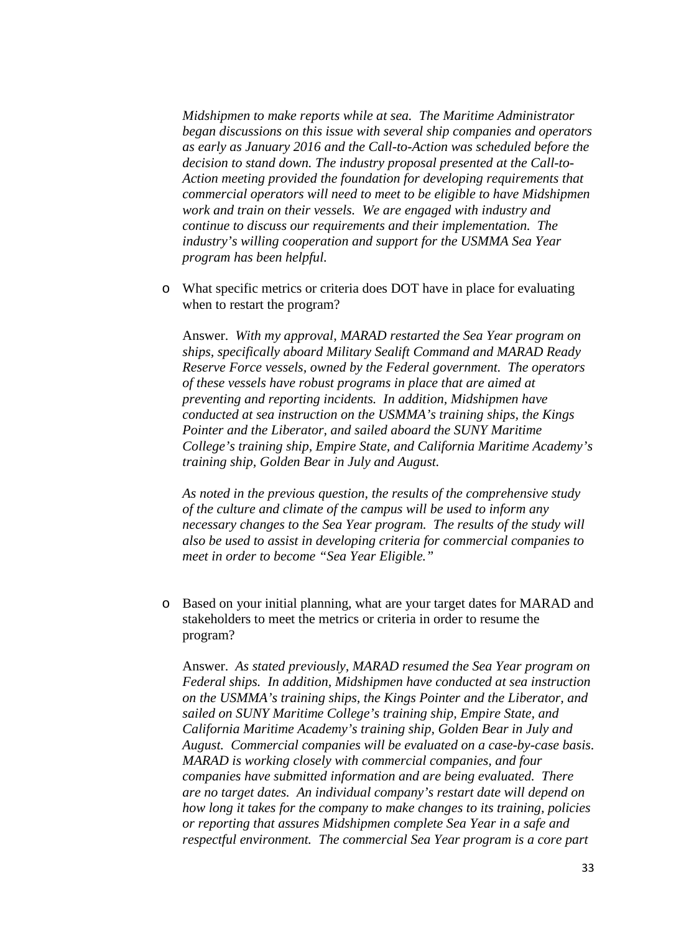*Midshipmen to make reports while at sea. The Maritime Administrator began discussions on this issue with several ship companies and operators as early as January 2016 and the Call-to-Action was scheduled before the decision to stand down. The industry proposal presented at the Call-to-Action meeting provided the foundation for developing requirements that commercial operators will need to meet to be eligible to have Midshipmen work and train on their vessels. We are engaged with industry and continue to discuss our requirements and their implementation. The industry's willing cooperation and support for the USMMA Sea Year program has been helpful.*

o What specific metrics or criteria does DOT have in place for evaluating when to restart the program?

Answer. *With my approval, MARAD restarted the Sea Year program on ships, specifically aboard Military Sealift Command and MARAD Ready Reserve Force vessels, owned by the Federal government. The operators of these vessels have robust programs in place that are aimed at preventing and reporting incidents. In addition, Midshipmen have conducted at sea instruction on the USMMA's training ships, the Kings Pointer and the Liberator, and sailed aboard the SUNY Maritime College's training ship, Empire State, and California Maritime Academy's training ship, Golden Bear in July and August.*

*As noted in the previous question, the results of the comprehensive study of the culture and climate of the campus will be used to inform any necessary changes to the Sea Year program. The results of the study will also be used to assist in developing criteria for commercial companies to meet in order to become "Sea Year Eligible."* 

o Based on your initial planning, what are your target dates for MARAD and stakeholders to meet the metrics or criteria in order to resume the program?

Answer. *As stated previously, MARAD resumed the Sea Year program on Federal ships. In addition, Midshipmen have conducted at sea instruction on the USMMA's training ships, the Kings Pointer and the Liberator, and sailed on SUNY Maritime College's training ship, Empire State, and California Maritime Academy's training ship, Golden Bear in July and August. Commercial companies will be evaluated on a case-by-case basis. MARAD is working closely with commercial companies, and four companies have submitted information and are being evaluated. There are no target dates. An individual company's restart date will depend on how long it takes for the company to make changes to its training, policies or reporting that assures Midshipmen complete Sea Year in a safe and respectful environment. The commercial Sea Year program is a core part*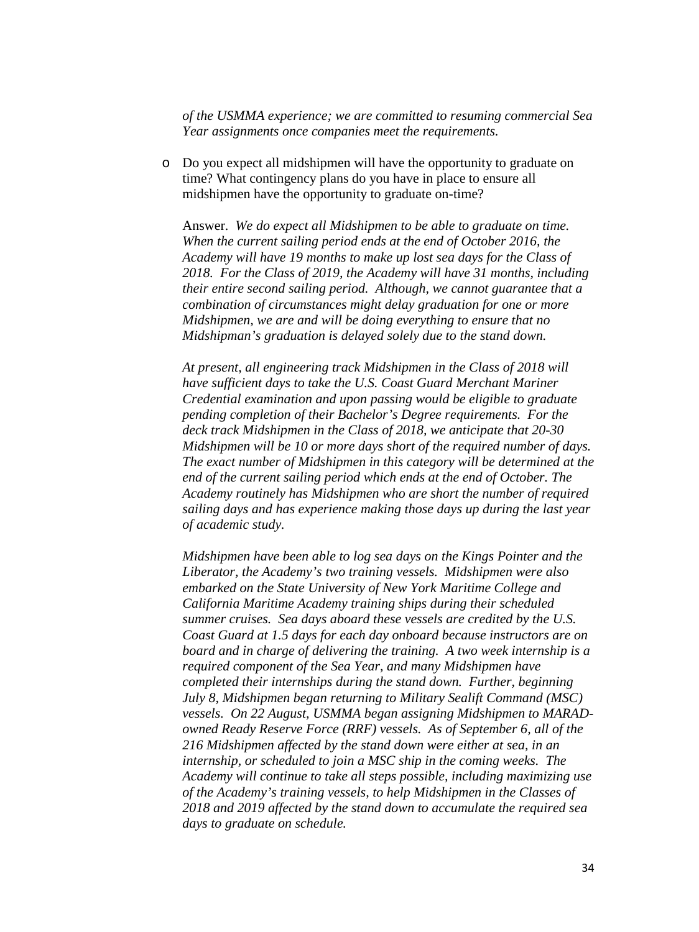*of the USMMA experience; we are committed to resuming commercial Sea Year assignments once companies meet the requirements.*

o Do you expect all midshipmen will have the opportunity to graduate on time? What contingency plans do you have in place to ensure all midshipmen have the opportunity to graduate on-time?

Answer. *We do expect all Midshipmen to be able to graduate on time. When the current sailing period ends at the end of October 2016, the Academy will have 19 months to make up lost sea days for the Class of 2018. For the Class of 2019, the Academy will have 31 months, including their entire second sailing period. Although, we cannot guarantee that a combination of circumstances might delay graduation for one or more Midshipmen, we are and will be doing everything to ensure that no Midshipman's graduation is delayed solely due to the stand down.* 

*At present, all engineering track Midshipmen in the Class of 2018 will have sufficient days to take the U.S. Coast Guard Merchant Mariner Credential examination and upon passing would be eligible to graduate pending completion of their Bachelor's Degree requirements. For the deck track Midshipmen in the Class of 2018, we anticipate that 20-30 Midshipmen will be 10 or more days short of the required number of days. The exact number of Midshipmen in this category will be determined at the end of the current sailing period which ends at the end of October. The Academy routinely has Midshipmen who are short the number of required sailing days and has experience making those days up during the last year of academic study.*

*Midshipmen have been able to log sea days on the Kings Pointer and the Liberator, the Academy's two training vessels. Midshipmen were also embarked on the State University of New York Maritime College and California Maritime Academy training ships during their scheduled summer cruises. Sea days aboard these vessels are credited by the U.S. Coast Guard at 1.5 days for each day onboard because instructors are on board and in charge of delivering the training. A two week internship is a required component of the Sea Year, and many Midshipmen have completed their internships during the stand down. Further, beginning July 8, Midshipmen began returning to Military Sealift Command (MSC) vessels. On 22 August, USMMA began assigning Midshipmen to MARADowned Ready Reserve Force (RRF) vessels. As of September 6, all of the 216 Midshipmen affected by the stand down were either at sea, in an internship, or scheduled to join a MSC ship in the coming weeks. The Academy will continue to take all steps possible, including maximizing use of the Academy's training vessels, to help Midshipmen in the Classes of 2018 and 2019 affected by the stand down to accumulate the required sea days to graduate on schedule.*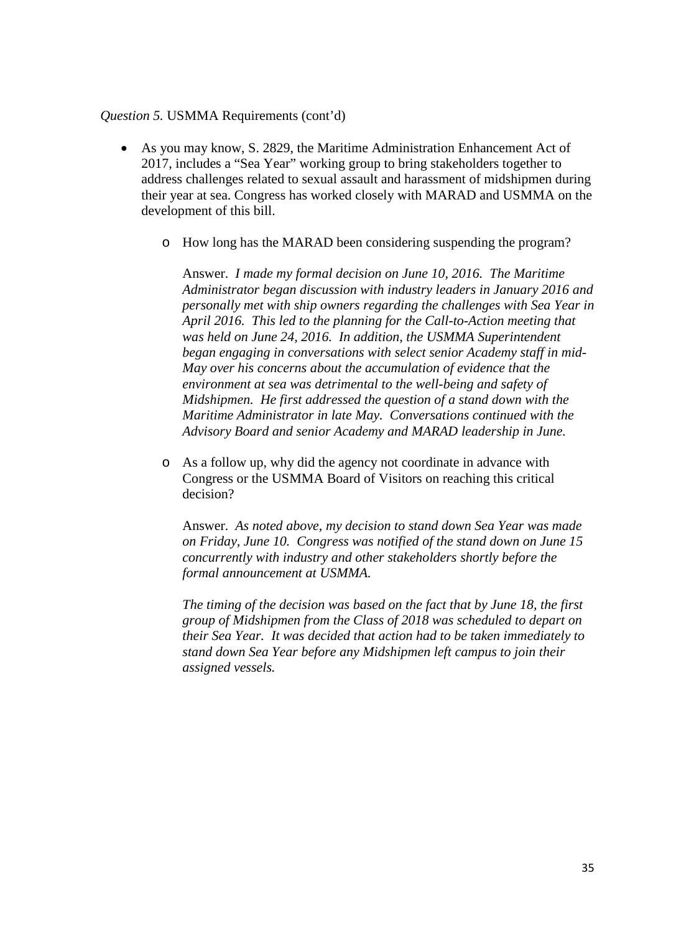#### *Question 5.* USMMA Requirements (cont'd)

- As you may know, S. 2829, the Maritime Administration Enhancement Act of 2017, includes a "Sea Year" working group to bring stakeholders together to address challenges related to sexual assault and harassment of midshipmen during their year at sea. Congress has worked closely with MARAD and USMMA on the development of this bill.
	- o How long has the MARAD been considering suspending the program?

Answer. *I made my formal decision on June 10, 2016. The Maritime Administrator began discussion with industry leaders in January 2016 and personally met with ship owners regarding the challenges with Sea Year in April 2016. This led to the planning for the Call-to-Action meeting that was held on June 24, 2016. In addition, the USMMA Superintendent began engaging in conversations with select senior Academy staff in mid-May over his concerns about the accumulation of evidence that the environment at sea was detrimental to the well-being and safety of Midshipmen. He first addressed the question of a stand down with the Maritime Administrator in late May. Conversations continued with the Advisory Board and senior Academy and MARAD leadership in June.* 

o As a follow up, why did the agency not coordinate in advance with Congress or the USMMA Board of Visitors on reaching this critical decision?

Answer. *As noted above, my decision to stand down Sea Year was made on Friday, June 10. Congress was notified of the stand down on June 15 concurrently with industry and other stakeholders shortly before the formal announcement at USMMA.* 

*The timing of the decision was based on the fact that by June 18, the first group of Midshipmen from the Class of 2018 was scheduled to depart on their Sea Year. It was decided that action had to be taken immediately to stand down Sea Year before any Midshipmen left campus to join their assigned vessels.*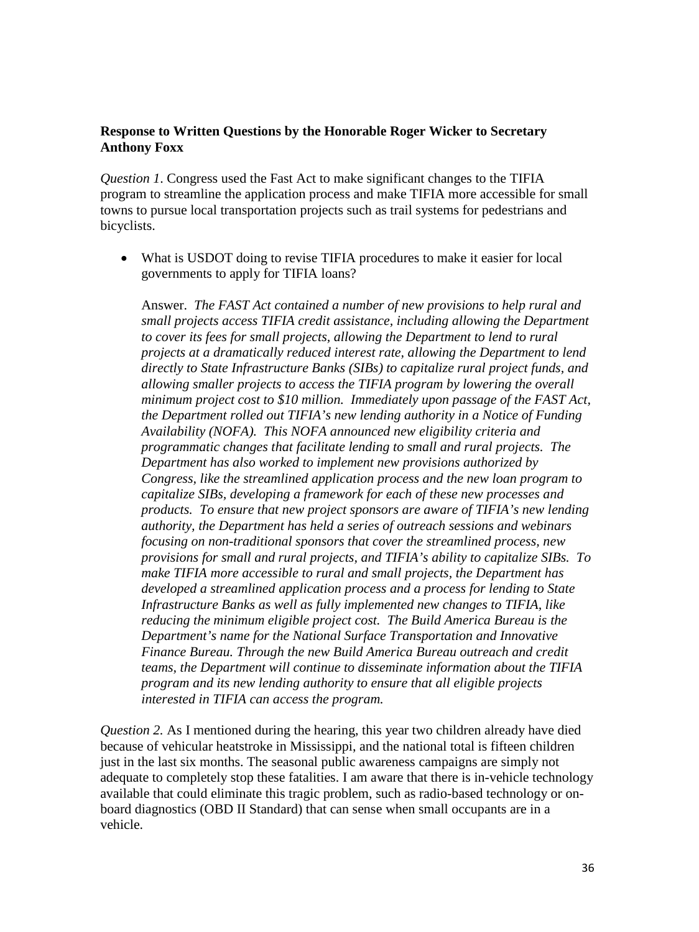## **Response to Written Questions by the Honorable Roger Wicker to Secretary Anthony Foxx**

*Question 1*. Congress used the Fast Act to make significant changes to the TIFIA program to streamline the application process and make TIFIA more accessible for small towns to pursue local transportation projects such as trail systems for pedestrians and bicyclists.

What is USDOT doing to revise TIFIA procedures to make it easier for local governments to apply for TIFIA loans?

Answer. *The FAST Act contained a number of new provisions to help rural and small projects access TIFIA credit assistance, including allowing the Department to cover its fees for small projects, allowing the Department to lend to rural projects at a dramatically reduced interest rate, allowing the Department to lend directly to State Infrastructure Banks (SIBs) to capitalize rural project funds, and allowing smaller projects to access the TIFIA program by lowering the overall minimum project cost to \$10 million. Immediately upon passage of the FAST Act, the Department rolled out TIFIA's new lending authority in a Notice of Funding Availability (NOFA). This NOFA announced new eligibility criteria and programmatic changes that facilitate lending to small and rural projects. The Department has also worked to implement new provisions authorized by Congress, like the streamlined application process and the new loan program to capitalize SIBs, developing a framework for each of these new processes and products. To ensure that new project sponsors are aware of TIFIA's new lending authority, the Department has held a series of outreach sessions and webinars focusing on non-traditional sponsors that cover the streamlined process, new provisions for small and rural projects, and TIFIA's ability to capitalize SIBs. To make TIFIA more accessible to rural and small projects, the Department has developed a streamlined application process and a process for lending to State Infrastructure Banks as well as fully implemented new changes to TIFIA, like reducing the minimum eligible project cost. The Build America Bureau is the Department's name for the National Surface Transportation and Innovative Finance Bureau. Through the new Build America Bureau outreach and credit teams, the Department will continue to disseminate information about the TIFIA program and its new lending authority to ensure that all eligible projects interested in TIFIA can access the program.*

*Question 2.* As I mentioned during the hearing, this year two children already have died because of vehicular heatstroke in Mississippi, and the national total is fifteen children just in the last six months. The seasonal public awareness campaigns are simply not adequate to completely stop these fatalities. I am aware that there is in-vehicle technology available that could eliminate this tragic problem, such as radio-based technology or onboard diagnostics (OBD II Standard) that can sense when small occupants are in a vehicle.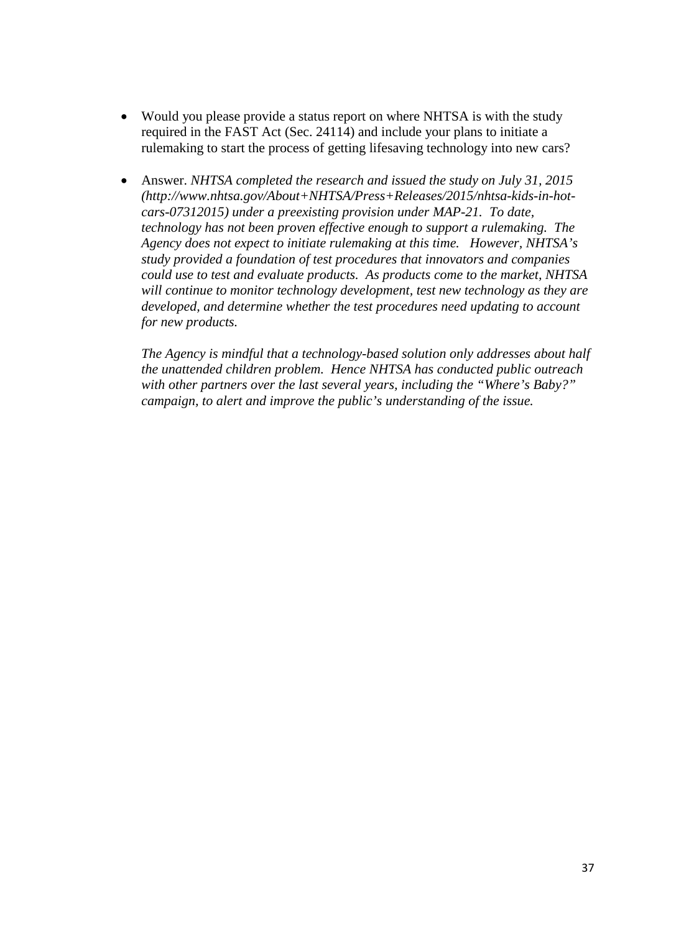- Would you please provide a status report on where NHTSA is with the study required in the FAST Act (Sec. 24114) and include your plans to initiate a rulemaking to start the process of getting lifesaving technology into new cars?
- Answer. *NHTSA completed the research and issued the study on July 31, 2015 [\(http://www.nhtsa.gov/About+NHTSA/Press+Releases/2015/nhtsa-kids-in-hot](http://www.nhtsa.gov/About+NHTSA/Press+Releases/2015/nhtsa-kids-in-hot-cars-07312015)[cars-07312015\)](http://www.nhtsa.gov/About+NHTSA/Press+Releases/2015/nhtsa-kids-in-hot-cars-07312015) under a preexisting provision under MAP-21. To date, technology has not been proven effective enough to support a rulemaking. The Agency does not expect to initiate rulemaking at this time. However, NHTSA's study provided a foundation of test procedures that innovators and companies could use to test and evaluate products. As products come to the market, NHTSA will continue to monitor technology development, test new technology as they are developed, and determine whether the test procedures need updating to account for new products.*

*The Agency is mindful that a technology-based solution only addresses about half the unattended children problem. Hence NHTSA has conducted public outreach with other partners over the last several years, including the "Where's Baby?" campaign, to alert and improve the public's understanding of the issue.*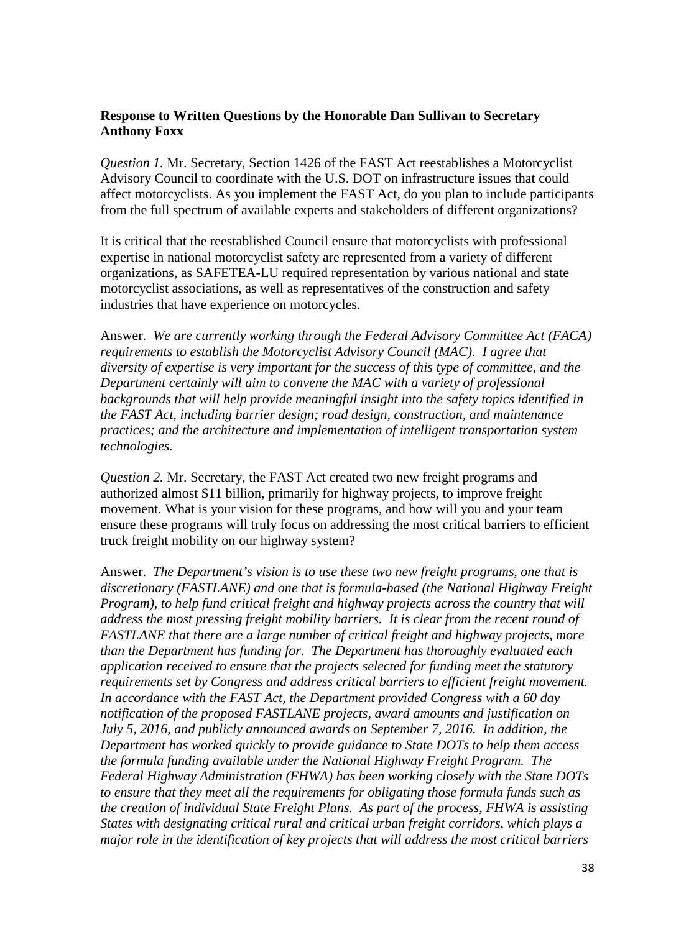### **Response to Written Questions by the Honorable Dan Sullivan to Secretary Anthony Foxx**

*Question 1.* Mr. Secretary, Section 1426 of the FAST Act reestablishes a Motorcyclist Advisory Council to coordinate with the U.S. DOT on infrastructure issues that could affect motorcyclists. As you implement the FAST Act, do you plan to include participants from the full spectrum of available experts and stakeholders of different organizations?

It is critical that the reestablished Council ensure that motorcyclists with professional expertise in national motorcyclist safety are represented from a variety of different organizations, as SAFETEA-LU required representation by various national and state motorcyclist associations, as well as representatives of the construction and safety industries that have experience on motorcycles.

Answer. *We are currently working through the Federal Advisory Committee Act (FACA) requirements to establish the Motorcyclist Advisory Council (MAC). I agree that diversity of expertise is very important for the success of this type of committee, and the Department certainly will aim to convene the MAC with a variety of professional backgrounds that will help provide meaningful insight into the safety topics identified in the FAST Act, including barrier design; road design, construction, and maintenance practices; and the architecture and implementation of intelligent transportation system technologies.*

*Question 2.* Mr. Secretary, the FAST Act created two new freight programs and authorized almost \$11 billion, primarily for highway projects, to improve freight movement. What is your vision for these programs, and how will you and your team ensure these programs will truly focus on addressing the most critical barriers to efficient truck freight mobility on our highway system?

Answer. *The Department's vision is to use these two new freight programs, one that is discretionary (FASTLANE) and one that is formula-based (the National Highway Freight Program), to help fund critical freight and highway projects across the country that will address the most pressing freight mobility barriers. It is clear from the recent round of FASTLANE that there are a large number of critical freight and highway projects, more than the Department has funding for. The Department has thoroughly evaluated each application received to ensure that the projects selected for funding meet the statutory requirements set by Congress and address critical barriers to efficient freight movement. In accordance with the FAST Act, the Department provided Congress with a 60 day notification of the proposed FASTLANE projects, award amounts and justification on July 5, 2016, and publicly announced awards on September 7, 2016. In addition, the Department has worked quickly to provide guidance to State DOTs to help them access the formula funding available under the National Highway Freight Program. The Federal Highway Administration (FHWA) has been working closely with the State DOTs to ensure that they meet all the requirements for obligating those formula funds such as the creation of individual State Freight Plans. As part of the process, FHWA is assisting States with designating critical rural and critical urban freight corridors, which plays a major role in the identification of key projects that will address the most critical barriers*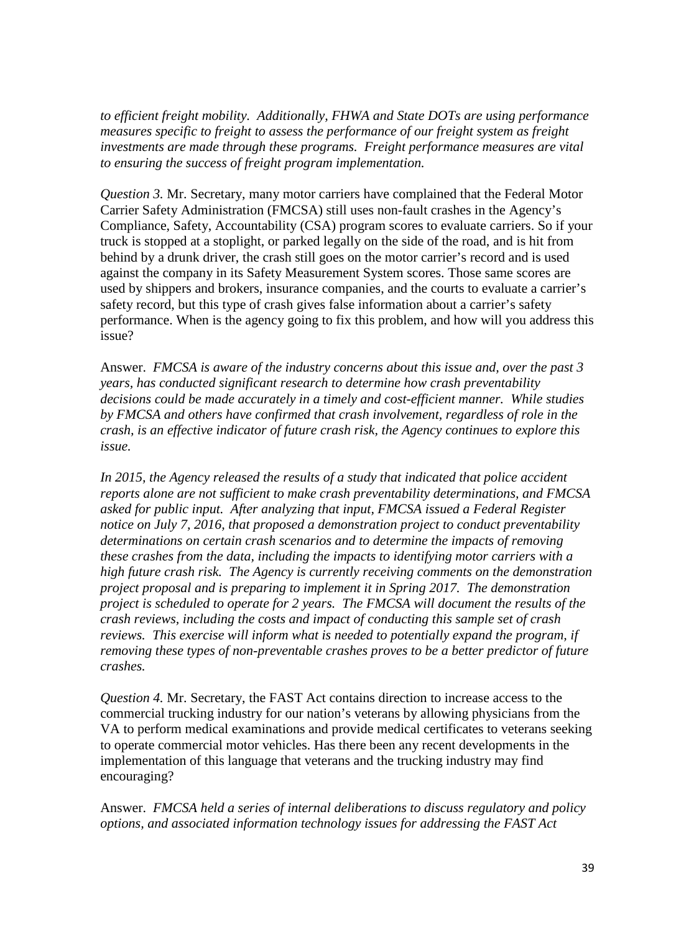*to efficient freight mobility. Additionally, FHWA and State DOTs are using performance measures specific to freight to assess the performance of our freight system as freight investments are made through these programs. Freight performance measures are vital to ensuring the success of freight program implementation.*

*Question 3.* Mr. Secretary, many motor carriers have complained that the Federal Motor Carrier Safety Administration (FMCSA) still uses non-fault crashes in the Agency's Compliance, Safety, Accountability (CSA) program scores to evaluate carriers. So if your truck is stopped at a stoplight, or parked legally on the side of the road, and is hit from behind by a drunk driver, the crash still goes on the motor carrier's record and is used against the company in its Safety Measurement System scores. Those same scores are used by shippers and brokers, insurance companies, and the courts to evaluate a carrier's safety record, but this type of crash gives false information about a carrier's safety performance. When is the agency going to fix this problem, and how will you address this issue?

Answer. *FMCSA is aware of the industry concerns about this issue and, over the past 3 years, has conducted significant research to determine how crash preventability decisions could be made accurately in a timely and cost-efficient manner. While studies by FMCSA and others have confirmed that crash involvement, regardless of role in the crash, is an effective indicator of future crash risk, the Agency continues to explore this issue.* 

*In 2015, the Agency released the results of a study that indicated that police accident reports alone are not sufficient to make crash preventability determinations, and FMCSA asked for public input. After analyzing that input, FMCSA issued a Federal Register notice on July 7, 2016, that proposed a demonstration project to conduct preventability determinations on certain crash scenarios and to determine the impacts of removing these crashes from the data, including the impacts to identifying motor carriers with a high future crash risk. The Agency is currently receiving comments on the demonstration project proposal and is preparing to implement it in Spring 2017. The demonstration project is scheduled to operate for 2 years. The FMCSA will document the results of the crash reviews, including the costs and impact of conducting this sample set of crash reviews. This exercise will inform what is needed to potentially expand the program, if removing these types of non-preventable crashes proves to be a better predictor of future crashes.*

*Question 4.* Mr. Secretary, the FAST Act contains direction to increase access to the commercial trucking industry for our nation's veterans by allowing physicians from the VA to perform medical examinations and provide medical certificates to veterans seeking to operate commercial motor vehicles. Has there been any recent developments in the implementation of this language that veterans and the trucking industry may find encouraging?

Answer. *FMCSA held a series of internal deliberations to discuss regulatory and policy options, and associated information technology issues for addressing the FAST Act*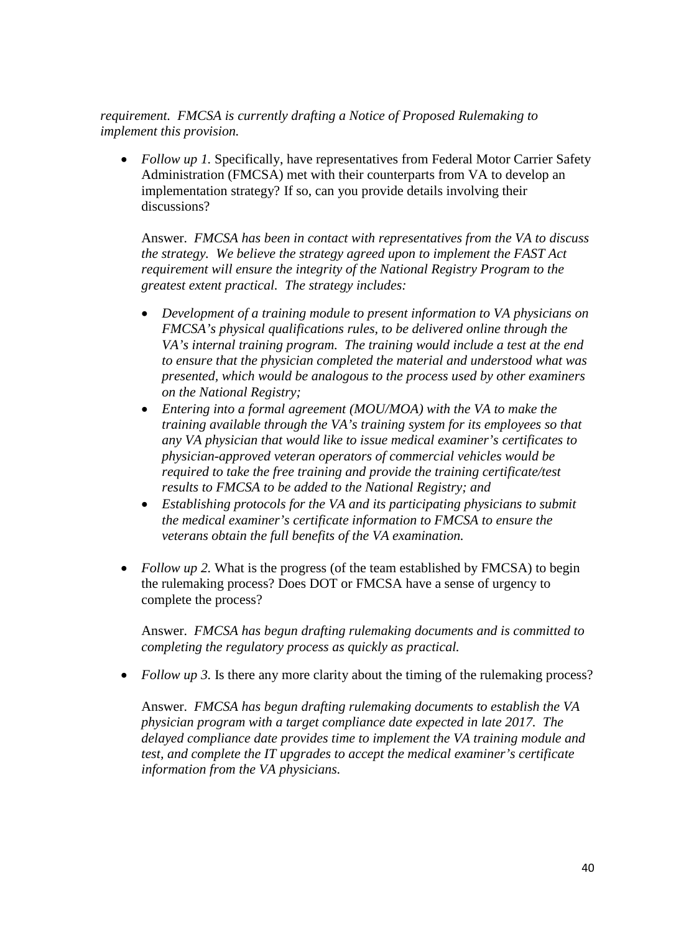*requirement. FMCSA is currently drafting a Notice of Proposed Rulemaking to implement this provision.* 

• *Follow up 1*. Specifically, have representatives from Federal Motor Carrier Safety Administration (FMCSA) met with their counterparts from VA to develop an implementation strategy? If so, can you provide details involving their discussions?

Answer. *FMCSA has been in contact with representatives from the VA to discuss the strategy. We believe the strategy agreed upon to implement the FAST Act requirement will ensure the integrity of the National Registry Program to the greatest extent practical. The strategy includes:*

- *Development of a training module to present information to VA physicians on FMCSA's physical qualifications rules, to be delivered online through the VA's internal training program. The training would include a test at the end to ensure that the physician completed the material and understood what was presented, which would be analogous to the process used by other examiners on the National Registry;*
- *Entering into a formal agreement (MOU/MOA) with the VA to make the training available through the VA's training system for its employees so that any VA physician that would like to issue medical examiner's certificates to physician-approved veteran operators of commercial vehicles would be required to take the free training and provide the training certificate/test results to FMCSA to be added to the National Registry; and*
- *Establishing protocols for the VA and its participating physicians to submit the medical examiner's certificate information to FMCSA to ensure the veterans obtain the full benefits of the VA examination.*
- *Follow up 2.* What is the progress (of the team established by FMCSA) to begin the rulemaking process? Does DOT or FMCSA have a sense of urgency to complete the process?

Answer. *FMCSA has begun drafting rulemaking documents and is committed to completing the regulatory process as quickly as practical.*

• *Follow up 3.* Is there any more clarity about the timing of the rulemaking process?

Answer. *FMCSA has begun drafting rulemaking documents to establish the VA physician program with a target compliance date expected in late 2017. The delayed compliance date provides time to implement the VA training module and test, and complete the IT upgrades to accept the medical examiner's certificate information from the VA physicians.*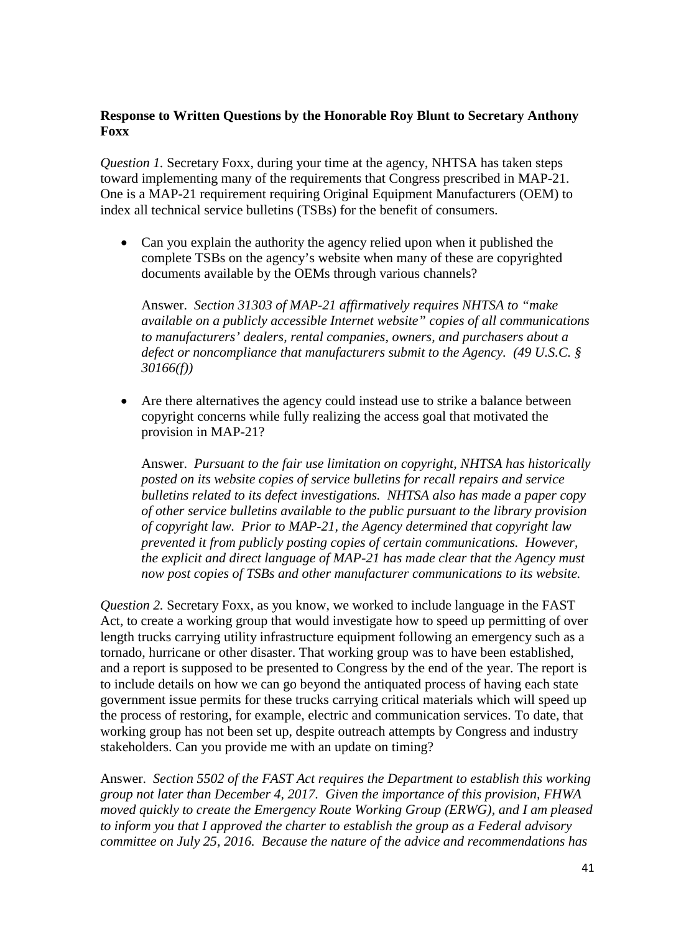## **Response to Written Questions by the Honorable Roy Blunt to Secretary Anthony Foxx**

*Question 1.* Secretary Foxx, during your time at the agency, NHTSA has taken steps toward implementing many of the requirements that Congress prescribed in MAP-21. One is a MAP-21 requirement requiring Original Equipment Manufacturers (OEM) to index all technical service bulletins (TSBs) for the benefit of consumers.

• Can you explain the authority the agency relied upon when it published the complete TSBs on the agency's website when many of these are copyrighted documents available by the OEMs through various channels?

Answer. *Section 31303 of MAP-21 affirmatively requires NHTSA to "make available on a publicly accessible Internet website" copies of all communications to manufacturers' dealers, rental companies, owners, and purchasers about a defect or noncompliance that manufacturers submit to the Agency. (49 U.S.C. § 30166(f))* 

• Are there alternatives the agency could instead use to strike a balance between copyright concerns while fully realizing the access goal that motivated the provision in MAP-21?

Answer. *Pursuant to the fair use limitation on copyright, NHTSA has historically posted on its website copies of service bulletins for recall repairs and service bulletins related to its defect investigations. NHTSA also has made a paper copy of other service bulletins available to the public pursuant to the library provision of copyright law. Prior to MAP-21, the Agency determined that copyright law prevented it from publicly posting copies of certain communications. However, the explicit and direct language of MAP-21 has made clear that the Agency must now post copies of TSBs and other manufacturer communications to its website.*

*Question 2.* Secretary Foxx, as you know, we worked to include language in the FAST Act, to create a working group that would investigate how to speed up permitting of over length trucks carrying utility infrastructure equipment following an emergency such as a tornado, hurricane or other disaster. That working group was to have been established, and a report is supposed to be presented to Congress by the end of the year. The report is to include details on how we can go beyond the antiquated process of having each state government issue permits for these trucks carrying critical materials which will speed up the process of restoring, for example, electric and communication services. To date, that working group has not been set up, despite outreach attempts by Congress and industry stakeholders. Can you provide me with an update on timing?

Answer. *Section 5502 of the FAST Act requires the Department to establish this working group not later than December 4, 2017. Given the importance of this provision, FHWA moved quickly to create the Emergency Route Working Group (ERWG), and I am pleased to inform you that I approved the charter to establish the group as a Federal advisory committee on July 25, 2016. Because the nature of the advice and recommendations has*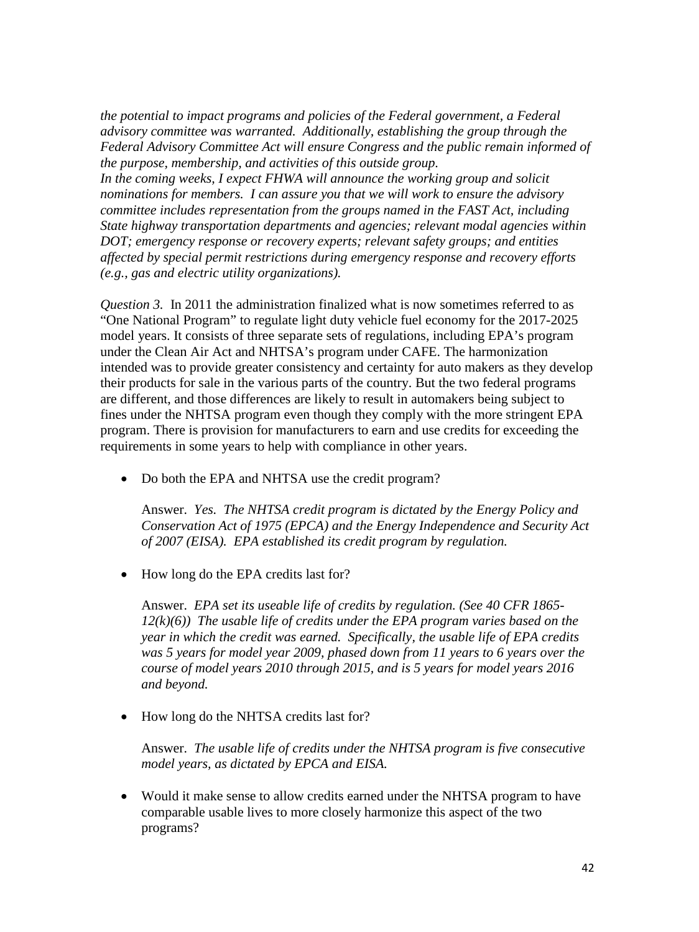*the potential to impact programs and policies of the Federal government, a Federal advisory committee was warranted. Additionally, establishing the group through the Federal Advisory Committee Act will ensure Congress and the public remain informed of the purpose, membership, and activities of this outside group.*

*In the coming weeks, I expect FHWA will announce the working group and solicit nominations for members. I can assure you that we will work to ensure the advisory committee includes representation from the groups named in the FAST Act, including State highway transportation departments and agencies; relevant modal agencies within DOT; emergency response or recovery experts; relevant safety groups; and entities affected by special permit restrictions during emergency response and recovery efforts (e.g., gas and electric utility organizations).*

*Question 3.* In 2011 the administration finalized what is now sometimes referred to as "One National Program" to regulate light duty vehicle fuel economy for the 2017-2025 model years. It consists of three separate sets of regulations, including EPA's program under the Clean Air Act and NHTSA's program under CAFE. The harmonization intended was to provide greater consistency and certainty for auto makers as they develop their products for sale in the various parts of the country. But the two federal programs are different, and those differences are likely to result in automakers being subject to fines under the NHTSA program even though they comply with the more stringent EPA program. There is provision for manufacturers to earn and use credits for exceeding the requirements in some years to help with compliance in other years.

• Do both the EPA and NHTSA use the credit program?

Answer. *Yes. The NHTSA credit program is dictated by the Energy Policy and Conservation Act of 1975 (EPCA) and the Energy Independence and Security Act of 2007 (EISA). EPA established its credit program by regulation.*

• How long do the EPA credits last for?

Answer. *EPA set its useable life of credits by regulation. (See 40 CFR 1865- 12(k)(6)) The usable life of credits under the EPA program varies based on the year in which the credit was earned. Specifically, the usable life of EPA credits was 5 years for model year 2009, phased down from 11 years to 6 years over the course of model years 2010 through 2015, and is 5 years for model years 2016 and beyond.*

• How long do the NHTSA credits last for?

Answer. *The usable life of credits under the NHTSA program is five consecutive model years, as dictated by EPCA and EISA.*

• Would it make sense to allow credits earned under the NHTSA program to have comparable usable lives to more closely harmonize this aspect of the two programs?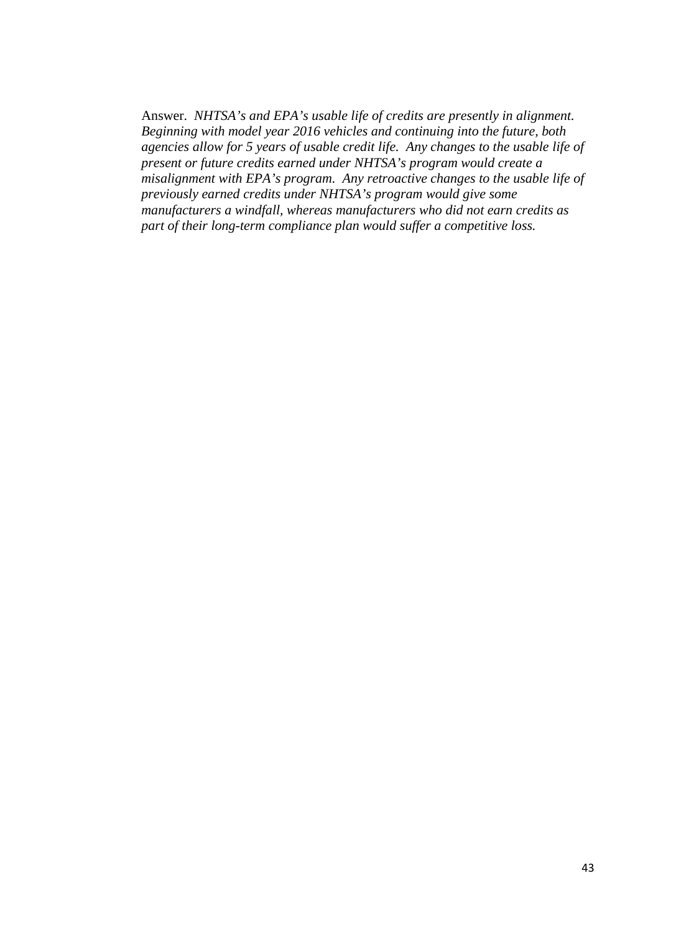Answer. *NHTSA's and EPA's usable life of credits are presently in alignment. Beginning with model year 2016 vehicles and continuing into the future, both agencies allow for 5 years of usable credit life. Any changes to the usable life of present or future credits earned under NHTSA's program would create a misalignment with EPA's program. Any retroactive changes to the usable life of previously earned credits under NHTSA's program would give some manufacturers a windfall, whereas manufacturers who did not earn credits as part of their long-term compliance plan would suffer a competitive loss.*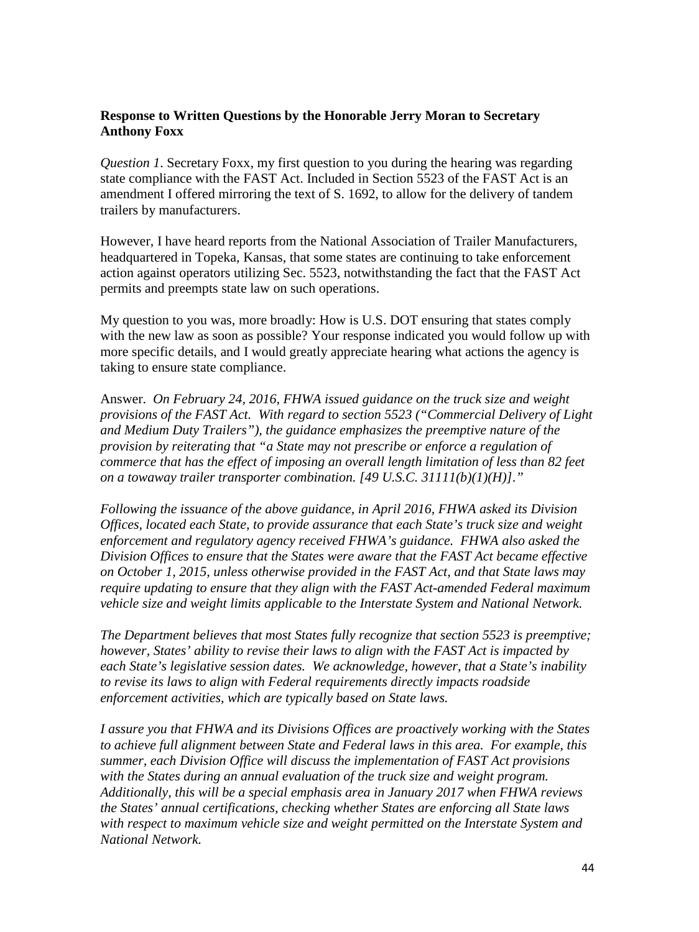## **Response to Written Questions by the Honorable Jerry Moran to Secretary Anthony Foxx**

*Question 1*. Secretary Foxx, my first question to you during the hearing was regarding state compliance with the FAST Act. Included in Section 5523 of the FAST Act is an amendment I offered mirroring the text of S. 1692, to allow for the delivery of tandem trailers by manufacturers.

However, I have heard reports from the National Association of Trailer Manufacturers, headquartered in Topeka, Kansas, that some states are continuing to take enforcement action against operators utilizing Sec. 5523, notwithstanding the fact that the FAST Act permits and preempts state law on such operations.

My question to you was, more broadly: How is U.S. DOT ensuring that states comply with the new law as soon as possible? Your response indicated you would follow up with more specific details, and I would greatly appreciate hearing what actions the agency is taking to ensure state compliance.

Answer. *On February 24, 2016, FHWA issued guidance on the truck size and weight provisions of the FAST Act. With regard to section 5523 ("Commercial Delivery of Light and Medium Duty Trailers"), the guidance emphasizes the preemptive nature of the provision by reiterating that "a State may not prescribe or enforce a regulation of commerce that has the effect of imposing an overall length limitation of less than 82 feet on a towaway trailer transporter combination. [49 U.S.C. 31111(b)(1)(H)]."*

*Following the issuance of the above guidance, in April 2016, FHWA asked its Division Offices, located each State, to provide assurance that each State's truck size and weight enforcement and regulatory agency received FHWA's guidance. FHWA also asked the Division Offices to ensure that the States were aware that the FAST Act became effective on October 1, 2015, unless otherwise provided in the FAST Act, and that State laws may require updating to ensure that they align with the FAST Act-amended Federal maximum vehicle size and weight limits applicable to the Interstate System and National Network.* 

*The Department believes that most States fully recognize that section 5523 is preemptive; however, States' ability to revise their laws to align with the FAST Act is impacted by each State's legislative session dates. We acknowledge, however, that a State's inability to revise its laws to align with Federal requirements directly impacts roadside enforcement activities, which are typically based on State laws.*

*I assure you that FHWA and its Divisions Offices are proactively working with the States to achieve full alignment between State and Federal laws in this area. For example, this summer, each Division Office will discuss the implementation of FAST Act provisions with the States during an annual evaluation of the truck size and weight program. Additionally, this will be a special emphasis area in January 2017 when FHWA reviews the States' annual certifications, checking whether States are enforcing all State laws with respect to maximum vehicle size and weight permitted on the Interstate System and National Network.*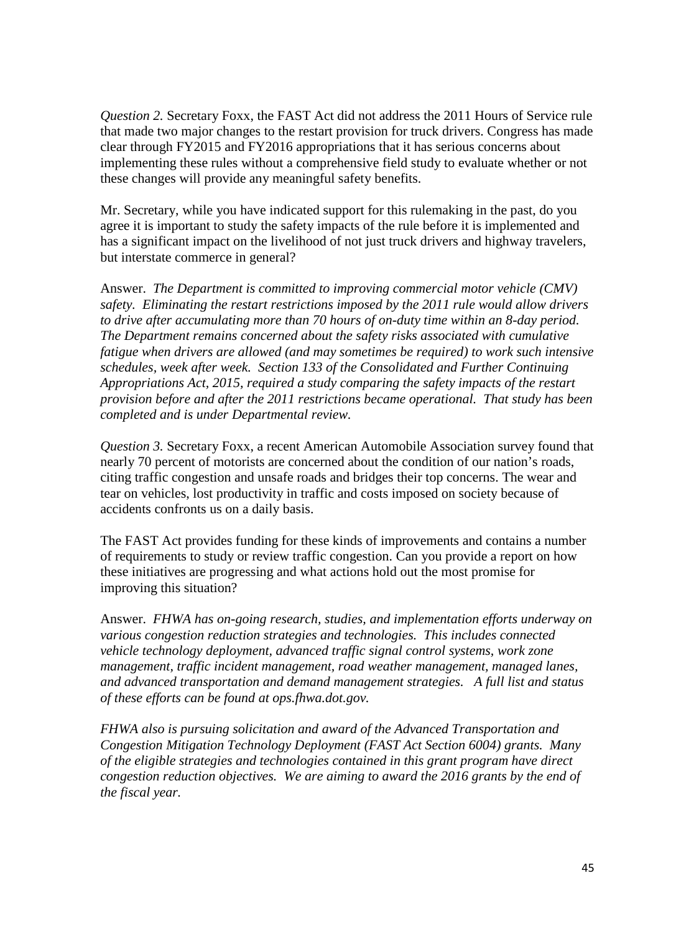*Question 2.* Secretary Foxx, the FAST Act did not address the 2011 Hours of Service rule that made two major changes to the restart provision for truck drivers. Congress has made clear through FY2015 and FY2016 appropriations that it has serious concerns about implementing these rules without a comprehensive field study to evaluate whether or not these changes will provide any meaningful safety benefits.

Mr. Secretary, while you have indicated support for this rulemaking in the past, do you agree it is important to study the safety impacts of the rule before it is implemented and has a significant impact on the livelihood of not just truck drivers and highway travelers, but interstate commerce in general?

Answer. *The Department is committed to improving commercial motor vehicle (CMV) safety. Eliminating the restart restrictions imposed by the 2011 rule would allow drivers to drive after accumulating more than 70 hours of on-duty time within an 8-day period. The Department remains concerned about the safety risks associated with cumulative fatigue when drivers are allowed (and may sometimes be required) to work such intensive schedules, week after week. Section 133 of the Consolidated and Further Continuing Appropriations Act, 2015, required a study comparing the safety impacts of the restart provision before and after the 2011 restrictions became operational. That study has been completed and is under Departmental review.*

*Question 3.* Secretary Foxx, a recent American Automobile Association survey found that nearly 70 percent of motorists are concerned about the condition of our nation's roads, citing traffic congestion and unsafe roads and bridges their top concerns. The wear and tear on vehicles, lost productivity in traffic and costs imposed on society because of accidents confronts us on a daily basis.

The FAST Act provides funding for these kinds of improvements and contains a number of requirements to study or review traffic congestion. Can you provide a report on how these initiatives are progressing and what actions hold out the most promise for improving this situation?

Answer. *FHWA has on-going research, studies, and implementation efforts underway on various congestion reduction strategies and technologies. This includes connected vehicle technology deployment, advanced traffic signal control systems, work zone management, traffic incident management, road weather management, managed lanes, and advanced transportation and demand management strategies. A full list and status of these efforts can be found at ops.fhwa.dot.gov.*

*FHWA also is pursuing solicitation and award of the Advanced Transportation and Congestion Mitigation Technology Deployment (FAST Act Section 6004) grants. Many of the eligible strategies and technologies contained in this grant program have direct congestion reduction objectives. We are aiming to award the 2016 grants by the end of the fiscal year.*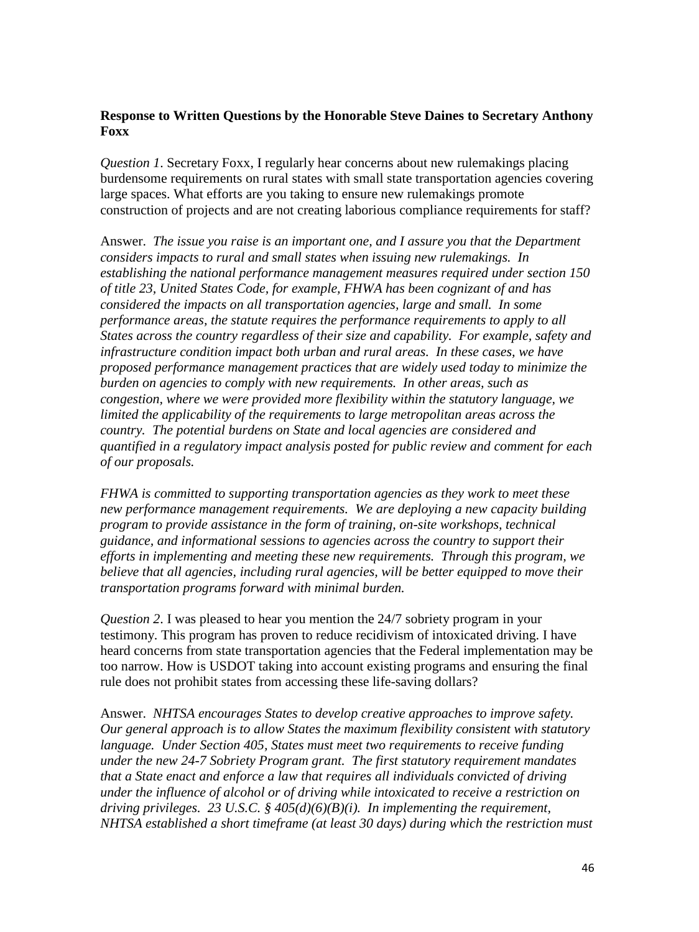### **Response to Written Questions by the Honorable Steve Daines to Secretary Anthony Foxx**

*Question 1*. Secretary Foxx, I regularly hear concerns about new rulemakings placing burdensome requirements on rural states with small state transportation agencies covering large spaces. What efforts are you taking to ensure new rulemakings promote construction of projects and are not creating laborious compliance requirements for staff?

Answer. *The issue you raise is an important one, and I assure you that the Department considers impacts to rural and small states when issuing new rulemakings. In establishing the national performance management measures required under section 150 of title 23, United States Code, for example, FHWA has been cognizant of and has considered the impacts on all transportation agencies, large and small. In some performance areas, the statute requires the performance requirements to apply to all States across the country regardless of their size and capability. For example, safety and infrastructure condition impact both urban and rural areas. In these cases, we have proposed performance management practices that are widely used today to minimize the burden on agencies to comply with new requirements. In other areas, such as congestion, where we were provided more flexibility within the statutory language, we limited the applicability of the requirements to large metropolitan areas across the country. The potential burdens on State and local agencies are considered and quantified in a regulatory impact analysis posted for public review and comment for each of our proposals.* 

*FHWA is committed to supporting transportation agencies as they work to meet these new performance management requirements. We are deploying a new capacity building program to provide assistance in the form of training, on-site workshops, technical guidance, and informational sessions to agencies across the country to support their efforts in implementing and meeting these new requirements. Through this program, we believe that all agencies, including rural agencies, will be better equipped to move their transportation programs forward with minimal burden.*

*Question 2*. I was pleased to hear you mention the 24/7 sobriety program in your testimony. This program has proven to reduce recidivism of intoxicated driving. I have heard concerns from state transportation agencies that the Federal implementation may be too narrow. How is USDOT taking into account existing programs and ensuring the final rule does not prohibit states from accessing these life-saving dollars?

Answer. *NHTSA encourages States to develop creative approaches to improve safety. Our general approach is to allow States the maximum flexibility consistent with statutory language. Under Section 405, States must meet two requirements to receive funding under the new 24-7 Sobriety Program grant. The first statutory requirement mandates that a State enact and enforce a law that requires all individuals convicted of driving under the influence of alcohol or of driving while intoxicated to receive a restriction on driving privileges. 23 U.S.C. § 405(d)(6)(B)(i). In implementing the requirement, NHTSA established a short timeframe (at least 30 days) during which the restriction must*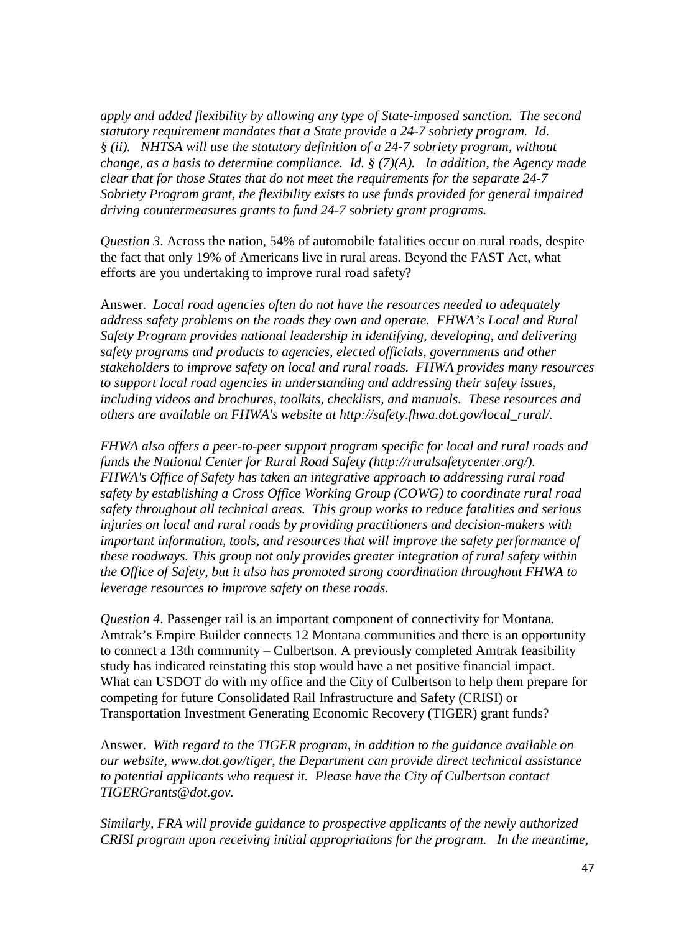*apply and added flexibility by allowing any type of State-imposed sanction. The second statutory requirement mandates that a State provide a 24-7 sobriety program. Id. § (ii). NHTSA will use the statutory definition of a 24-7 sobriety program, without change, as a basis to determine compliance. Id. § (7)(A). In addition, the Agency made clear that for those States that do not meet the requirements for the separate 24-7 Sobriety Program grant, the flexibility exists to use funds provided for general impaired driving countermeasures grants to fund 24-7 sobriety grant programs.*

*Question 3*. Across the nation, 54% of automobile fatalities occur on rural roads, despite the fact that only 19% of Americans live in rural areas. Beyond the FAST Act, what efforts are you undertaking to improve rural road safety?

Answer. *Local road agencies often do not have the resources needed to adequately address safety problems on the roads they own and operate. FHWA's Local and Rural Safety Program provides national leadership in identifying, developing, and delivering safety programs and products to agencies, elected officials, governments and other stakeholders to improve safety on local and rural roads. FHWA provides many resources to support local road agencies in understanding and addressing their safety issues, including videos and brochures, toolkits, checklists, and manuals. These resources and others are available on FHWA's website at [http://safety.fhwa.dot.gov/local\\_rural/.](http://safety.fhwa.dot.gov/local_rural/)* 

*FHWA also offers a peer-to-peer support program specific for local and rural roads and funds the National Center for Rural Road Safety (http://ruralsafetycenter.org/). FHWA's Office of Safety has taken an integrative approach to addressing rural road safety by establishing a Cross Office Working Group (COWG) to coordinate rural road safety throughout all technical areas. This group works to reduce fatalities and serious injuries on local and rural roads by providing practitioners and decision-makers with important information, tools, and resources that will improve the safety performance of these roadways. This group not only provides greater integration of rural safety within the Office of Safety, but it also has promoted strong coordination throughout FHWA to leverage resources to improve safety on these roads.*

*Question 4*. Passenger rail is an important component of connectivity for Montana. Amtrak's Empire Builder connects 12 Montana communities and there is an opportunity to connect a 13th community – Culbertson. A previously completed Amtrak feasibility study has indicated reinstating this stop would have a net positive financial impact. What can USDOT do with my office and the City of Culbertson to help them prepare for competing for future Consolidated Rail Infrastructure and Safety (CRISI) or Transportation Investment Generating Economic Recovery (TIGER) grant funds?

Answer. *With regard to the TIGER program, in addition to the guidance available on our website, www.dot.gov/tiger, the Department can provide direct technical assistance to potential applicants who request it. Please have the City of Culbertson contact TIGERGrants@dot.gov.*

*Similarly, FRA will provide guidance to prospective applicants of the newly authorized CRISI program upon receiving initial appropriations for the program. In the meantime,*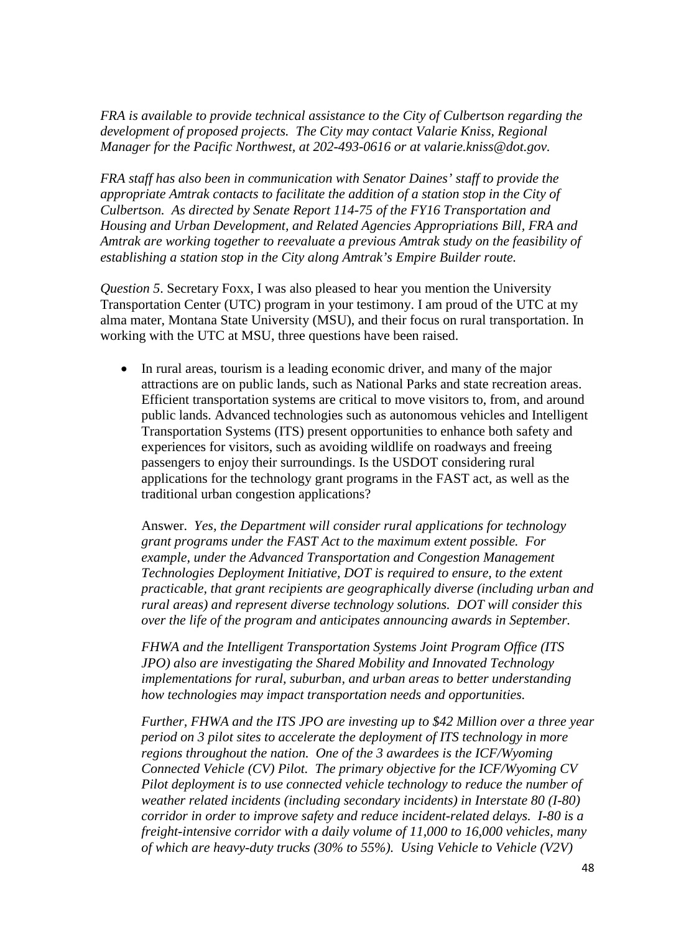*FRA is available to provide technical assistance to the City of Culbertson regarding the development of proposed projects. The City may contact Valarie Kniss, Regional Manager for the Pacific Northwest, at 202-493-0616 or at valarie.kniss@dot.gov.*

*FRA staff has also been in communication with Senator Daines' staff to provide the appropriate Amtrak contacts to facilitate the addition of a station stop in the City of Culbertson. As directed by Senate Report 114-75 of the FY16 Transportation and Housing and Urban Development, and Related Agencies Appropriations Bill, FRA and Amtrak are working together to reevaluate a previous Amtrak study on the feasibility of establishing a station stop in the City along Amtrak's Empire Builder route.* 

*Question 5*. Secretary Foxx, I was also pleased to hear you mention the University Transportation Center (UTC) program in your testimony. I am proud of the UTC at my alma mater, Montana State University (MSU), and their focus on rural transportation. In working with the UTC at MSU, three questions have been raised.

• In rural areas, tourism is a leading economic driver, and many of the major attractions are on public lands, such as National Parks and state recreation areas. Efficient transportation systems are critical to move visitors to, from, and around public lands. Advanced technologies such as autonomous vehicles and Intelligent Transportation Systems (ITS) present opportunities to enhance both safety and experiences for visitors, such as avoiding wildlife on roadways and freeing passengers to enjoy their surroundings. Is the USDOT considering rural applications for the technology grant programs in the FAST act, as well as the traditional urban congestion applications?

Answer. *Yes, the Department will consider rural applications for technology grant programs under the FAST Act to the maximum extent possible. For example, under the Advanced Transportation and Congestion Management Technologies Deployment Initiative, DOT is required to ensure, to the extent practicable, that grant recipients are geographically diverse (including urban and rural areas) and represent diverse technology solutions. DOT will consider this over the life of the program and anticipates announcing awards in September.* 

*FHWA and the Intelligent Transportation Systems Joint Program Office (ITS JPO) also are investigating the Shared Mobility and Innovated Technology implementations for rural, suburban, and urban areas to better understanding how technologies may impact transportation needs and opportunities.*

*Further, FHWA and the ITS JPO are investing up to \$42 Million over a three year period on 3 pilot sites to accelerate the deployment of ITS technology in more regions throughout the nation. One of the 3 awardees is the ICF/Wyoming Connected Vehicle (CV) Pilot. The primary objective for the ICF/Wyoming CV Pilot deployment is to use connected vehicle technology to reduce the number of weather related incidents (including secondary incidents) in Interstate 80 (I-80) corridor in order to improve safety and reduce incident-related delays. I-80 is a freight-intensive corridor with a daily volume of 11,000 to 16,000 vehicles, many of which are heavy-duty trucks (30% to 55%). Using Vehicle to Vehicle (V2V)*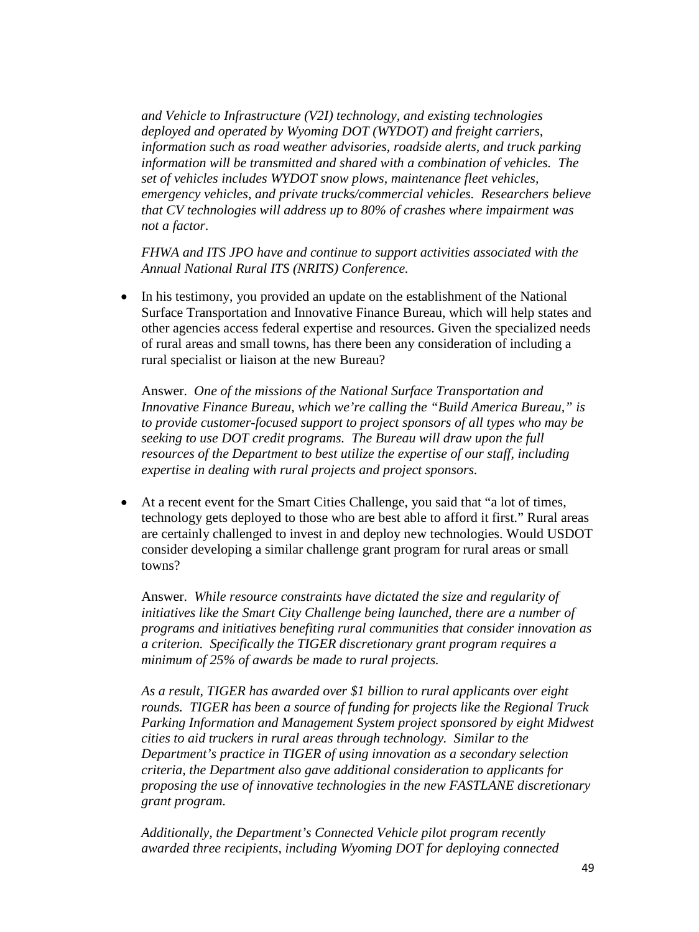*and Vehicle to Infrastructure (V2I) technology, and existing technologies deployed and operated by Wyoming DOT (WYDOT) and freight carriers, information such as road weather advisories, roadside alerts, and truck parking information will be transmitted and shared with a combination of vehicles. The set of vehicles includes WYDOT snow plows, maintenance fleet vehicles, emergency vehicles, and private trucks/commercial vehicles. Researchers believe that CV technologies will address up to 80% of crashes where impairment was not a factor.* 

*FHWA and ITS JPO have and continue to support activities associated with the Annual National Rural ITS (NRITS) Conference.*

• In his testimony, you provided an update on the establishment of the National Surface Transportation and Innovative Finance Bureau, which will help states and other agencies access federal expertise and resources. Given the specialized needs of rural areas and small towns, has there been any consideration of including a rural specialist or liaison at the new Bureau?

Answer. *One of the missions of the National Surface Transportation and Innovative Finance Bureau, which we're calling the "Build America Bureau," is to provide customer-focused support to project sponsors of all types who may be seeking to use DOT credit programs. The Bureau will draw upon the full resources of the Department to best utilize the expertise of our staff, including expertise in dealing with rural projects and project sponsors.*

• At a recent event for the Smart Cities Challenge, you said that "a lot of times, technology gets deployed to those who are best able to afford it first." Rural areas are certainly challenged to invest in and deploy new technologies. Would USDOT consider developing a similar challenge grant program for rural areas or small towns?

Answer. *While resource constraints have dictated the size and regularity of initiatives like the Smart City Challenge being launched, there are a number of programs and initiatives benefiting rural communities that consider innovation as a criterion. Specifically the TIGER discretionary grant program requires a minimum of 25% of awards be made to rural projects.* 

*As a result, TIGER has awarded over \$1 billion to rural applicants over eight rounds. TIGER has been a source of funding for projects like the Regional Truck Parking Information and Management System project sponsored by eight Midwest cities to aid truckers in rural areas through technology. Similar to the Department's practice in TIGER of using innovation as a secondary selection criteria, the Department also gave additional consideration to applicants for proposing the use of innovative technologies in the new FASTLANE discretionary grant program.*

*Additionally, the Department's Connected Vehicle pilot program recently awarded three recipients, including Wyoming DOT for deploying connected*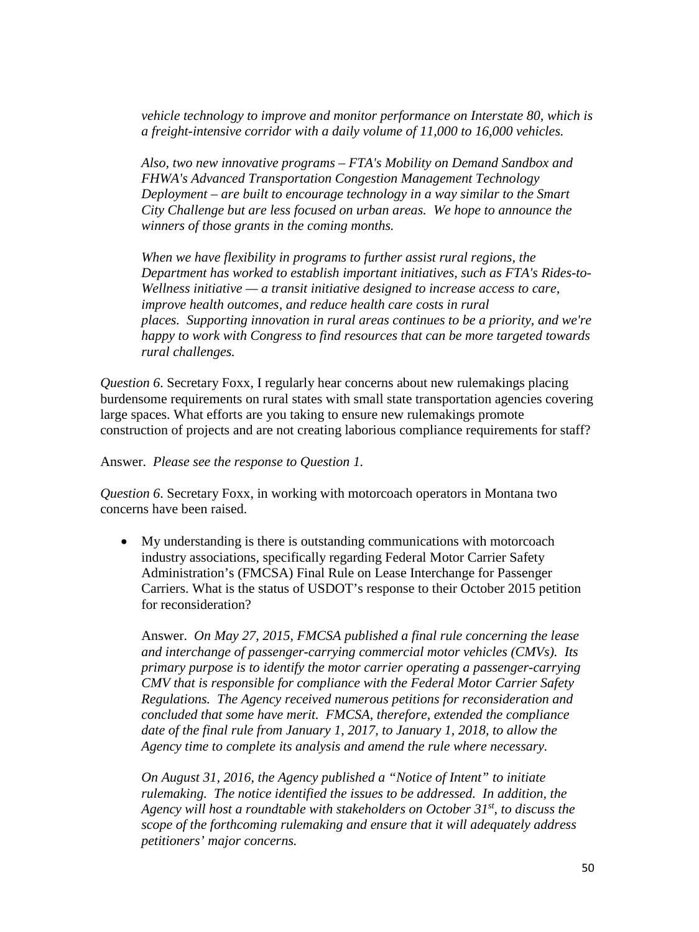*vehicle technology to improve and monitor performance on Interstate 80, which is a freight-intensive corridor with a daily volume of 11,000 to 16,000 vehicles.* 

*Also, two new innovative programs – FTA's Mobility on Demand Sandbox and FHWA's Advanced Transportation Congestion Management Technology Deployment – are built to encourage technology in a way similar to the Smart City Challenge but are less focused on urban areas. We hope to announce the winners of those grants in the coming months.* 

*When we have flexibility in programs to further assist rural regions, the Department has worked to establish important initiatives, such as FTA's Rides-to-Wellness initiative — a transit initiative designed to increase access to care, improve health outcomes, and reduce health care costs in rural places. Supporting innovation in rural areas continues to be a priority, and we're happy to work with Congress to find resources that can be more targeted towards rural challenges.* 

*Question 6*. Secretary Foxx, I regularly hear concerns about new rulemakings placing burdensome requirements on rural states with small state transportation agencies covering large spaces. What efforts are you taking to ensure new rulemakings promote construction of projects and are not creating laborious compliance requirements for staff?

#### Answer. *Please see the response to Question 1.*

*Question 6*. Secretary Foxx, in working with motorcoach operators in Montana two concerns have been raised.

• My understanding is there is outstanding communications with motorcoach industry associations, specifically regarding Federal Motor Carrier Safety Administration's (FMCSA) Final Rule on Lease Interchange for Passenger Carriers. What is the status of USDOT's response to their October 2015 petition for reconsideration?

Answer. *On May 27, 2015, FMCSA published a final rule concerning the lease and interchange of passenger-carrying commercial motor vehicles (CMVs). Its primary purpose is to identify the motor carrier operating a passenger-carrying CMV that is responsible for compliance with the Federal Motor Carrier Safety Regulations. The Agency received numerous petitions for reconsideration and concluded that some have merit. FMCSA, therefore, extended the compliance date of the final rule from January 1, 2017, to January 1, 2018, to allow the Agency time to complete its analysis and amend the rule where necessary.*

*On August 31, 2016, the Agency published a "Notice of Intent" to initiate rulemaking. The notice identified the issues to be addressed. In addition, the Agency will host a roundtable with stakeholders on October 31st, to discuss the scope of the forthcoming rulemaking and ensure that it will adequately address petitioners' major concerns.*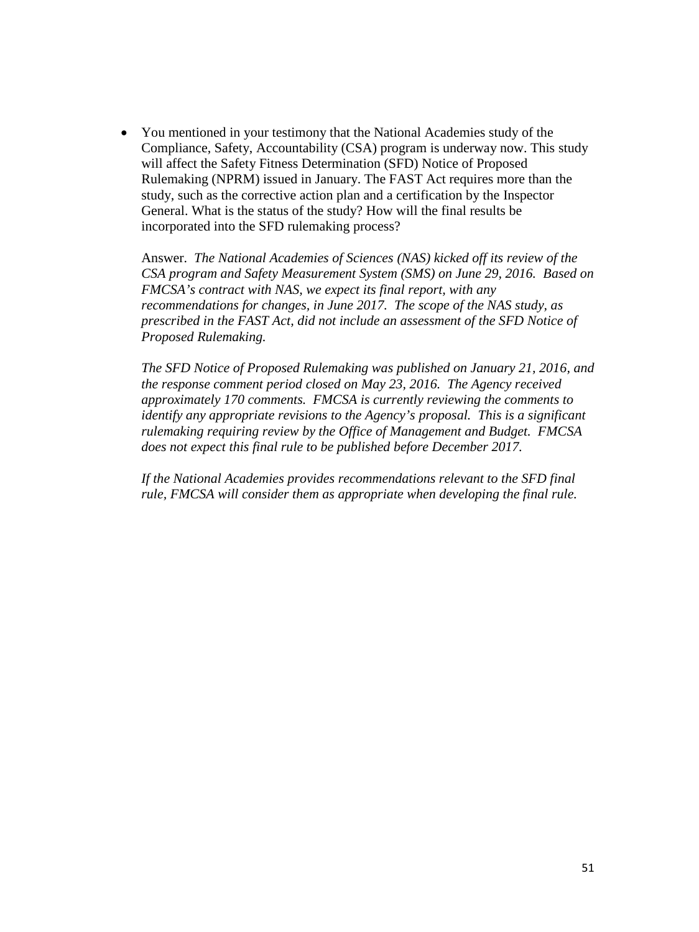• You mentioned in your testimony that the National Academies study of the Compliance, Safety, Accountability (CSA) program is underway now. This study will affect the Safety Fitness Determination (SFD) Notice of Proposed Rulemaking (NPRM) issued in January. The FAST Act requires more than the study, such as the corrective action plan and a certification by the Inspector General. What is the status of the study? How will the final results be incorporated into the SFD rulemaking process?

Answer. *The National Academies of Sciences (NAS) kicked off its review of the CSA program and Safety Measurement System (SMS) on June 29, 2016. Based on FMCSA's contract with NAS, we expect its final report, with any recommendations for changes, in June 2017. The scope of the NAS study, as prescribed in the FAST Act, did not include an assessment of the SFD Notice of Proposed Rulemaking.* 

*The SFD Notice of Proposed Rulemaking was published on January 21, 2016, and the response comment period closed on May 23, 2016. The Agency received approximately 170 comments. FMCSA is currently reviewing the comments to identify any appropriate revisions to the Agency's proposal. This is a significant rulemaking requiring review by the Office of Management and Budget. FMCSA does not expect this final rule to be published before December 2017.* 

*If the National Academies provides recommendations relevant to the SFD final rule, FMCSA will consider them as appropriate when developing the final rule.*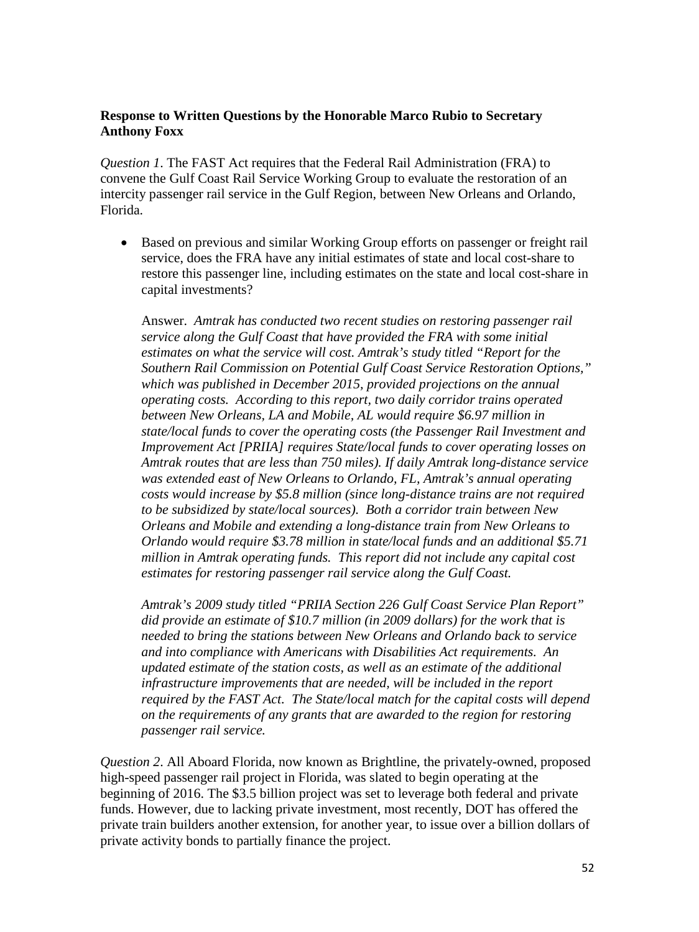## **Response to Written Questions by the Honorable Marco Rubio to Secretary Anthony Foxx**

*Question 1*. The FAST Act requires that the Federal Rail Administration (FRA) to convene the Gulf Coast Rail Service Working Group to evaluate the restoration of an intercity passenger rail service in the Gulf Region, between New Orleans and Orlando, Florida.

• Based on previous and similar Working Group efforts on passenger or freight rail service, does the FRA have any initial estimates of state and local cost-share to restore this passenger line, including estimates on the state and local cost-share in capital investments?

Answer. *Amtrak has conducted two recent studies on restoring passenger rail service along the Gulf Coast that have provided the FRA with some initial estimates on what the service will cost. Amtrak's study titled "Report for the Southern Rail Commission on Potential Gulf Coast Service Restoration Options," which was published in December 2015, provided projections on the annual operating costs. According to this report, two daily corridor trains operated between New Orleans, LA and Mobile, AL would require \$6.97 million in state/local funds to cover the operating costs (the Passenger Rail Investment and Improvement Act [PRIIA] requires State/local funds to cover operating losses on Amtrak routes that are less than 750 miles). If daily Amtrak long-distance service was extended east of New Orleans to Orlando, FL, Amtrak's annual operating costs would increase by \$5.8 million (since long-distance trains are not required to be subsidized by state/local sources). Both a corridor train between New Orleans and Mobile and extending a long-distance train from New Orleans to Orlando would require \$3.78 million in state/local funds and an additional \$5.71 million in Amtrak operating funds. This report did not include any capital cost estimates for restoring passenger rail service along the Gulf Coast.*

*Amtrak's 2009 study titled "PRIIA Section 226 Gulf Coast Service Plan Report" did provide an estimate of \$10.7 million (in 2009 dollars) for the work that is needed to bring the stations between New Orleans and Orlando back to service and into compliance with Americans with Disabilities Act requirements. An updated estimate of the station costs, as well as an estimate of the additional infrastructure improvements that are needed, will be included in the report required by the FAST Act. The State/local match for the capital costs will depend on the requirements of any grants that are awarded to the region for restoring passenger rail service.*

*Question 2*. All Aboard Florida, now known as Brightline, the privately-owned, proposed high-speed passenger rail project in Florida, was slated to begin operating at the beginning of 2016. The \$3.5 billion project was set to leverage both federal and private funds. However, due to lacking private investment, most recently, DOT has offered the private train builders another extension, for another year, to issue over a billion dollars of private activity bonds to partially finance the project.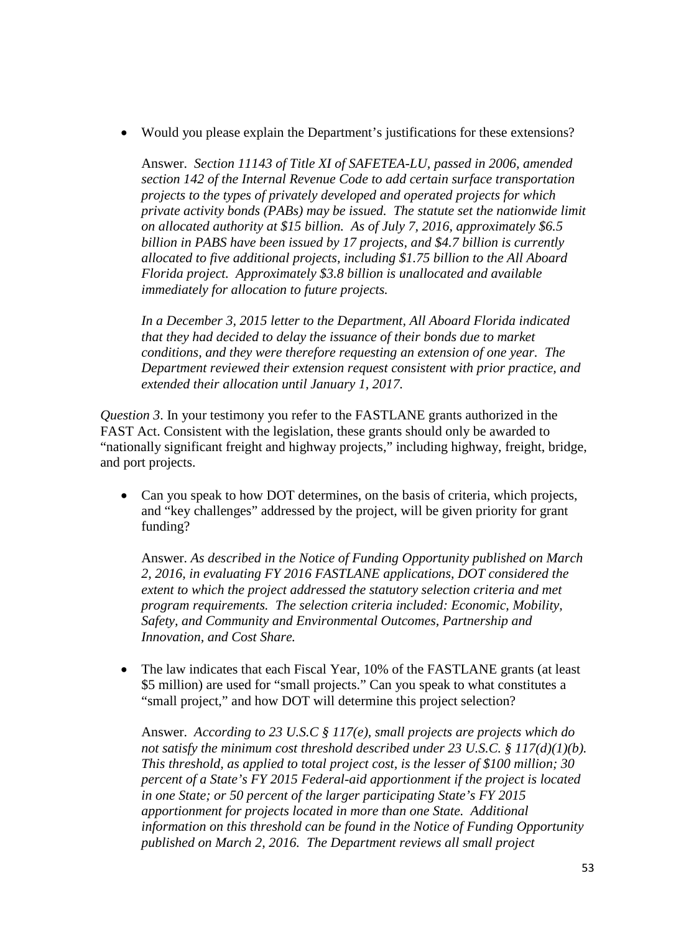• Would you please explain the Department's justifications for these extensions?

Answer. *Section 11143 of Title XI of SAFETEA-LU, passed in 2006, amended section 142 of the Internal Revenue Code to add certain surface transportation projects to the types of privately developed and operated projects for which private activity bonds (PABs) may be issued. The statute set the nationwide limit on allocated authority at \$15 billion. As of July 7, 2016, approximately \$6.5 billion in PABS have been issued by 17 projects, and \$4.7 billion is currently allocated to five additional projects, including \$1.75 billion to the All Aboard Florida project. Approximately \$3.8 billion is unallocated and available immediately for allocation to future projects.*

*In a December 3, 2015 letter to the Department, All Aboard Florida indicated that they had decided to delay the issuance of their bonds due to market conditions, and they were therefore requesting an extension of one year. The Department reviewed their extension request consistent with prior practice, and extended their allocation until January 1, 2017.*

*Question 3*. In your testimony you refer to the FASTLANE grants authorized in the FAST Act. Consistent with the legislation, these grants should only be awarded to "nationally significant freight and highway projects," including highway, freight, bridge, and port projects.

• Can you speak to how DOT determines, on the basis of criteria, which projects, and "key challenges" addressed by the project, will be given priority for grant funding?

Answer. *As described in the Notice of Funding Opportunity published on March 2, 2016, in evaluating FY 2016 FASTLANE applications, DOT considered the extent to which the project addressed the statutory selection criteria and met program requirements. The selection criteria included: Economic, Mobility, Safety, and Community and Environmental Outcomes, Partnership and Innovation, and Cost Share.* 

The law indicates that each Fiscal Year, 10% of the FASTLANE grants (at least \$5 million) are used for "small projects." Can you speak to what constitutes a "small project," and how DOT will determine this project selection?

Answer. *According to 23 U.S.C § 117(e), small projects are projects which do not satisfy the minimum cost threshold described under 23 U.S.C. § 117(d)(1)(b). This threshold, as applied to total project cost, is the lesser of \$100 million; 30 percent of a State's FY 2015 Federal-aid apportionment if the project is located in one State; or 50 percent of the larger participating State's FY 2015 apportionment for projects located in more than one State. Additional information on this threshold can be found in the Notice of Funding Opportunity published on March 2, 2016. The Department reviews all small project*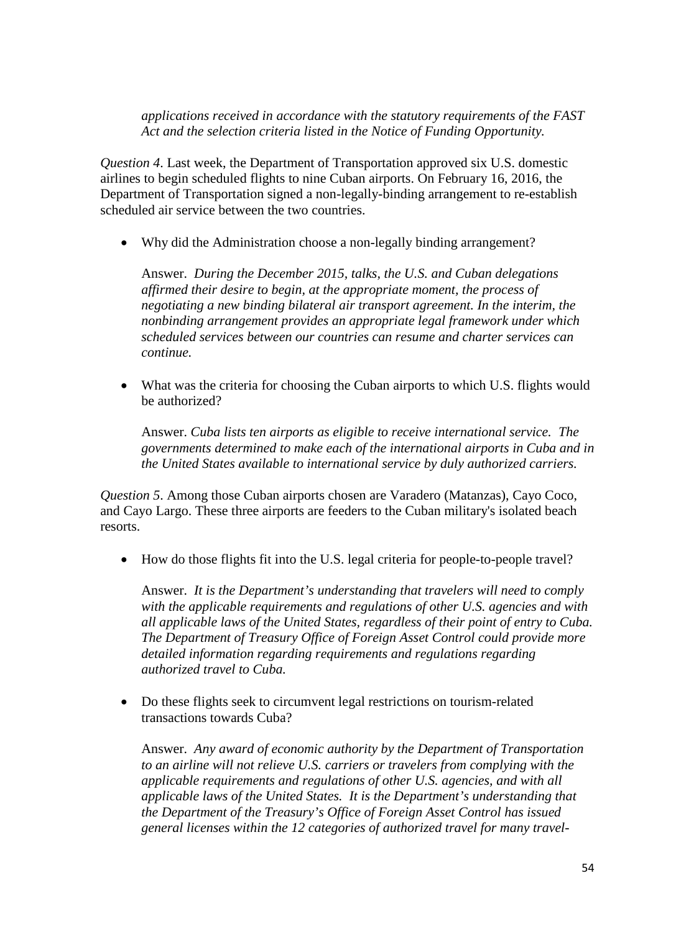*applications received in accordance with the statutory requirements of the FAST Act and the selection criteria listed in the Notice of Funding Opportunity.* 

*Question 4*. Last week, the Department of Transportation approved six U.S. domestic airlines to begin scheduled flights to nine Cuban airports. On February 16, 2016, the Department of Transportation signed a non-legally-binding arrangement to re-establish scheduled air service between the two countries.

• Why did the Administration choose a non-legally binding arrangement?

Answer. *During the December 2015, talks, the U.S. and Cuban delegations affirmed their desire to begin, at the appropriate moment, the process of negotiating a new binding bilateral air transport agreement. In the interim, the nonbinding arrangement provides an appropriate legal framework under which scheduled services between our countries can resume and charter services can continue.* 

• What was the criteria for choosing the Cuban airports to which U.S. flights would be authorized?

Answer. *Cuba lists ten airports as eligible to receive international service. The governments determined to make each of the international airports in Cuba and in the United States available to international service by duly authorized carriers.*

*Question 5*. Among those Cuban airports chosen are Varadero (Matanzas), Cayo Coco, and Cayo Largo. These three airports are feeders to the Cuban military's isolated beach resorts.

• How do those flights fit into the U.S. legal criteria for people-to-people travel?

Answer. *It is the Department's understanding that travelers will need to comply with the applicable requirements and regulations of other U.S. agencies and with all applicable laws of the United States, regardless of their point of entry to Cuba. The Department of Treasury Office of Foreign Asset Control could provide more detailed information regarding requirements and regulations regarding authorized travel to Cuba.*

• Do these flights seek to circumvent legal restrictions on tourism-related transactions towards Cuba?

Answer. *Any award of economic authority by the Department of Transportation to an airline will not relieve U.S. carriers or travelers from complying with the applicable requirements and regulations of other U.S. agencies, and with all applicable laws of the United States. It is the Department's understanding that the Department of the Treasury's Office of Foreign Asset Control has issued general licenses within the 12 categories of authorized travel for many travel-*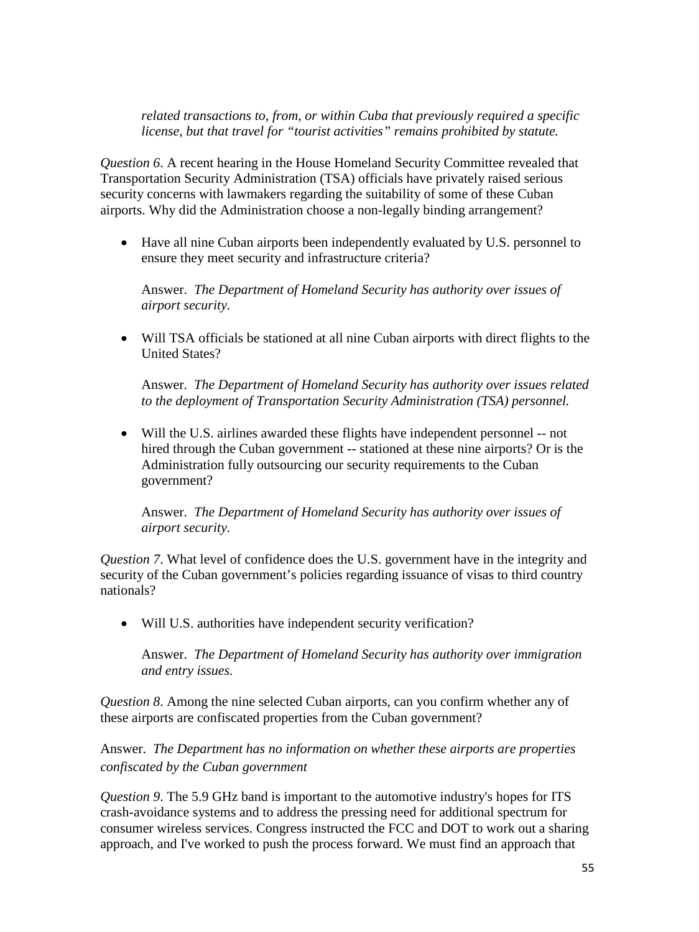*related transactions to, from, or within Cuba that previously required a specific license, but that travel for "tourist activities" remains prohibited by statute.*

*Question 6*. A recent hearing in the House Homeland Security Committee revealed that Transportation Security Administration (TSA) officials have privately raised serious security concerns with lawmakers regarding the suitability of some of these Cuban airports. Why did the Administration choose a non-legally binding arrangement?

• Have all nine Cuban airports been independently evaluated by U.S. personnel to ensure they meet security and infrastructure criteria?

Answer. *The Department of Homeland Security has authority over issues of airport security.*

• Will TSA officials be stationed at all nine Cuban airports with direct flights to the United States?

Answer. *The Department of Homeland Security has authority over issues related to the deployment of Transportation Security Administration (TSA) personnel.* 

• Will the U.S. airlines awarded these flights have independent personnel -- not hired through the Cuban government -- stationed at these nine airports? Or is the Administration fully outsourcing our security requirements to the Cuban government?

Answer. *The Department of Homeland Security has authority over issues of airport security.*

*Question 7*. What level of confidence does the U.S. government have in the integrity and security of the Cuban government's policies regarding issuance of visas to third country nationals?

• Will U.S. authorities have independent security verification?

Answer. *The Department of Homeland Security has authority over immigration and entry issues.*

*Question 8*. Among the nine selected Cuban airports, can you confirm whether any of these airports are confiscated properties from the Cuban government?

Answer. *The Department has no information on whether these airports are properties confiscated by the Cuban government*

*Question 9*. The 5.9 GHz band is important to the automotive industry's hopes for ITS crash-avoidance systems and to address the pressing need for additional spectrum for consumer wireless services. Congress instructed the FCC and DOT to work out a sharing approach, and I've worked to push the process forward. We must find an approach that